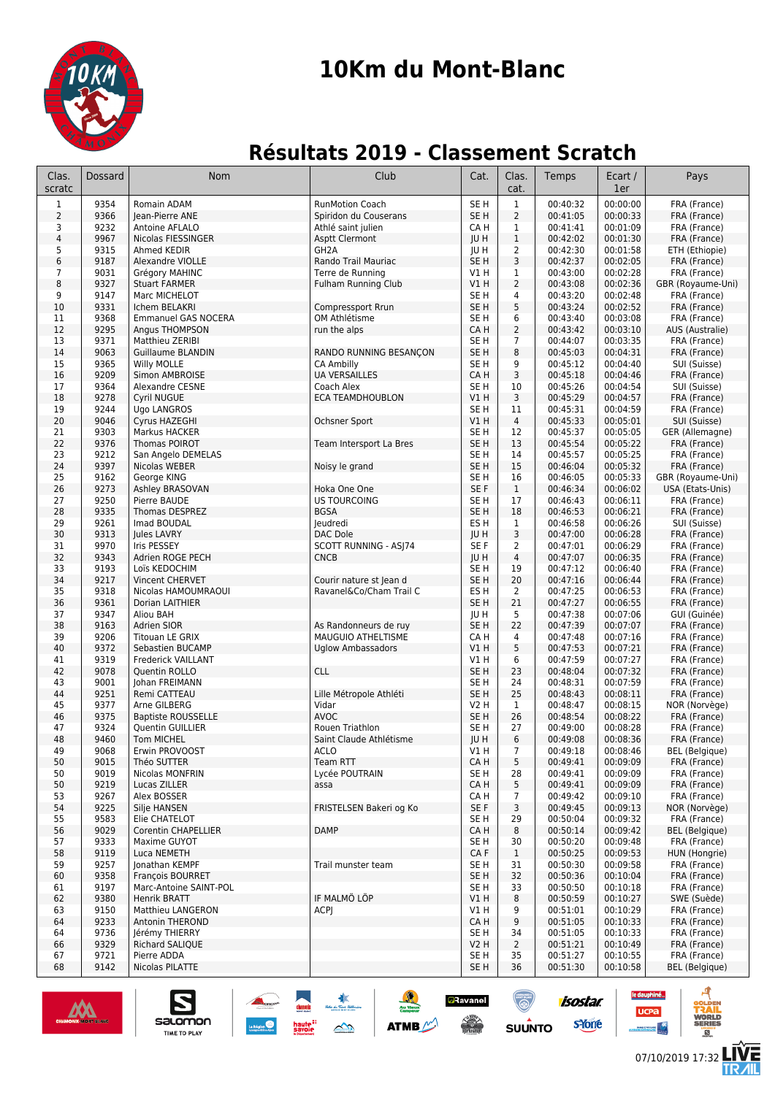

# **10Km du Mont-Blanc**

## **Résultats 2019 - Classement Scratch**

| Clas.<br>scratc | Dossard      | Nom                                   | Club                       | Cat.                | Clas.<br>cat.        | Temps                | Ecart /<br>1er       | Pays                              |
|-----------------|--------------|---------------------------------------|----------------------------|---------------------|----------------------|----------------------|----------------------|-----------------------------------|
| $\mathbf 1$     | 9354         | Romain ADAM                           | <b>RunMotion Coach</b>     | SE <sub>H</sub>     | $\mathbf{1}$         | 00:40:32             | 00:00:00             | FRA (France)                      |
| $\overline{2}$  | 9366         | lean-Pierre ANE                       | Spiridon du Couserans      | SE H                | $\overline{2}$       | 00:41:05             | 00:00:33             | FRA (France)                      |
| 3               | 9232         | Antoine AFLALO                        | Athlé saint julien         | CA H                | 1                    | 00:41:41             | 00:01:09             | FRA (France)                      |
| $\sqrt{4}$      | 9967         | Nicolas FIESSINGER                    | <b>Asptt Clermont</b>      | JU H                | $1\,$                | 00:42:02             | 00:01:30             | FRA (France)                      |
| 5               | 9315         | Ahmed KEDIR                           | GH <sub>2</sub> A          | JU H                | 2                    | 00:42:30             | 00:01:58             | ETH (Ethiopie)                    |
| 6               | 9187         | Alexandre VIOLLE                      | Rando Trail Mauriac        | SE <sub>H</sub>     | 3                    | 00:42:37             | 00:02:05             | FRA (France)                      |
| 7<br>8          | 9031<br>9327 | Grégory MAHINC                        | Terre de Running           | V1 H                | $\mathbf{1}$<br>2    | 00:43:00             | 00:02:28<br>00:02:36 | FRA (France)                      |
| 9               | 9147         | <b>Stuart FARMER</b><br>Marc MICHELOT | <b>Fulham Running Club</b> | <b>V1 H</b><br>SE H | 4                    | 00:43:08<br>00:43:20 | 00:02:48             | GBR (Royaume-Uni)<br>FRA (France) |
| 10              | 9331         | Ichem BELAKRI                         | Compressport Rrun          | SE <sub>H</sub>     | 5                    | 00:43:24             | 00:02:52             | FRA (France)                      |
| 11              | 9368         | <b>Emmanuel GAS NOCERA</b>            | OM Athlétisme              | SE H                | 6                    | 00:43:40             | 00:03:08             | FRA (France)                      |
| 12              | 9295         | Angus THOMPSON                        | run the alps               | CA H                | 2                    | 00:43:42             | 00:03:10             | AUS (Australie)                   |
| 13              | 9371         | Matthieu ZERIBI                       |                            | SE <sub>H</sub>     | $\overline{7}$       | 00:44:07             | 00:03:35             | FRA (France)                      |
| 14              | 9063         | <b>Guillaume BLANDIN</b>              | RANDO RUNNING BESANÇON     | SE <sub>H</sub>     | 8                    | 00:45:03             | 00:04:31             | FRA (France)                      |
| 15              | 9365         | Willy MOLLE                           | CA Ambilly                 | SE H                | 9                    | 00:45:12             | 00:04:40             | SUI (Suisse)                      |
| 16              | 9209         | Simon AMBROISE                        | <b>UA VERSAILLES</b>       | CA H                | 3                    | 00:45:18             | 00:04:46             | FRA (France)                      |
| 17              | 9364         | Alexandre CESNE                       | Coach Alex                 | SE H                | 10                   | 00:45:26             | 00:04:54             | SUI (Suisse)                      |
| 18              | 9278         | Cyril NUGUE                           | <b>ECA TEAMDHOUBLON</b>    | <b>V1 H</b>         | 3                    | 00:45:29             | 00:04:57             | FRA (France)                      |
| 19              | 9244<br>9046 | Ugo LANGROS                           |                            | SE H<br><b>V1 H</b> | 11<br>$\overline{4}$ | 00:45:31<br>00:45:33 | 00:04:59<br>00:05:01 | FRA (France)                      |
| 20<br>21        | 9303         | Cyrus HAZEGHI<br>Markus HACKER        | Ochsner Sport              | SE H                | 12                   | 00:45:37             | 00:05:05             | SUI (Suisse)<br>GER (Allemagne)   |
| 22              | 9376         | Thomas POIROT                         | Team Intersport La Bres    | SE <sub>H</sub>     | 13                   | 00:45:54             | 00:05:22             | FRA (France)                      |
| 23              | 9212         | San Angelo DEMELAS                    |                            | SE H                | 14                   | 00:45:57             | 00:05:25             | FRA (France)                      |
| 24              | 9397         | Nicolas WEBER                         | Noisy le grand             | SE <sub>H</sub>     | 15                   | 00:46:04             | 00:05:32             | FRA (France)                      |
| 25              | 9162         | George KING                           |                            | SE <sub>H</sub>     | 16                   | 00:46:05             | 00:05:33             | GBR (Royaume-Uni)                 |
| 26              | 9273         | Ashley BRASOVAN                       | Hoka One One               | SE F                | $\mathbf{1}$         | 00:46:34             | 00:06:02             | USA (Etats-Unis)                  |
| 27              | 9250         | Pierre BAUDE                          | <b>US TOURCOING</b>        | SE H                | 17                   | 00:46:43             | 00:06:11             | FRA (France)                      |
| 28              | 9335         | Thomas DESPREZ                        | <b>BGSA</b>                | SE H                | 18                   | 00:46:53             | 00:06:21             | FRA (France)                      |
| 29              | 9261         | Imad BOUDAL                           | Jeudredi                   | ES H                | 1                    | 00:46:58             | 00:06:26             | SUI (Suisse)                      |
| 30              | 9313         | Jules LAVRY                           | DAC Dole                   | JU H                | 3                    | 00:47:00             | 00:06:28             | FRA (France)                      |
| 31              | 9970         | Iris PESSEY                           | SCOTT RUNNING - ASJ74      | SE F                | 2                    | 00:47:01             | 00:06:29             | FRA (France)                      |
| 32<br>33        | 9343<br>9193 | Adrien ROGE PECH<br>Loïs KEDOCHIM     | <b>CNCB</b>                | JU H<br>SE H        | 4<br>19              | 00:47:07<br>00:47:12 | 00:06:35<br>00:06:40 | FRA (France)<br>FRA (France)      |
| 34              | 9217         | Vincent CHERVET                       | Courir nature st Jean d    | SE <sub>H</sub>     | 20                   | 00:47:16             | 00:06:44             | FRA (France)                      |
| 35              | 9318         | Nicolas HAMOUMRAOUI                   | Ravanel&Co/Cham Trail C    | ES H                | $\overline{2}$       | 00:47:25             | 00:06:53             | FRA (France)                      |
| 36              | 9361         | Dorian LAITHIER                       |                            | SE <sub>H</sub>     | 21                   | 00:47:27             | 00:06:55             | FRA (France)                      |
| 37              | 9347         | Aliou BAH                             |                            | JU H                | 5                    | 00:47:38             | 00:07:06             | GUI (Guinée)                      |
| 38              | 9163         | Adrien SIOR                           | As Randonneurs de ruy      | SE H                | 22                   | 00:47:39             | 00:07:07             | FRA (France)                      |
| 39              | 9206         | <b>Titouan LE GRIX</b>                | MAUGUIO ATHELTISME         | CA H                | 4                    | 00:47:48             | 00:07:16             | FRA (France)                      |
| 40              | 9372         | Sebastien BUCAMP                      | <b>Uglow Ambassadors</b>   | VIH                 | 5                    | 00:47:53             | 00:07:21             | FRA (France)                      |
| 41              | 9319         | Frederick VAILLANT                    |                            | V1 H                | 6                    | 00:47:59             | 00:07:27             | FRA (France)                      |
| 42              | 9078         | Quentin ROLLO                         | <b>CLL</b>                 | SE <sub>H</sub>     | 23                   | 00:48:04             | 00:07:32             | FRA (France)                      |
| 43<br>44        | 9001<br>9251 | Johan FREIMANN<br>Remi CATTEAU        | Lille Métropole Athléti    | SE H<br>SE H        | 24<br>25             | 00:48:31<br>00:48:43 | 00:07:59<br>00:08:11 | FRA (France)<br>FRA (France)      |
| 45              | 9377         | Arne GILBERG                          | Vidar                      | V2 H                | $\mathbf{1}$         | 00:48:47             | 00:08:15             | NOR (Norvège)                     |
| 46              | 9375         | <b>Baptiste ROUSSELLE</b>             | <b>AVOC</b>                | SE <sub>H</sub>     | 26                   | 00:48:54             | 00:08:22             | FRA (France)                      |
| 47              | 9324         | Quentin GUILLIER                      | Rouen Triathlon            | SE H                | 27                   | 00:49:00             | 00:08:28             | FRA (France)                      |
| 48              | 9460         | Tom MICHEL                            | Saint Claude Athlétisme    | JU H                | 6                    | 00:49:08             | 00:08:36             | FRA (France)                      |
| 49              | 9068         | Erwin PROVOOST                        | ACLO                       | V1 H                | $\overline{7}$       | 00:49:18             | 00:08:46             | <b>BEL</b> (Belgique)             |
| 50              | 9015         | Théo SUTTER                           | Team RTT                   | CA H                | 5                    | 00:49:41             | 00:09:09             | FRA (France)                      |
| 50              | 9019         | Nicolas MONFRIN                       | Lycée POUTRAIN             | SE <sub>H</sub>     | 28                   | 00:49:41             | 00:09:09             | FRA (France)                      |
| 50              | 9219         | Lucas ZILLER                          | assa                       | CA H                | 5                    | 00:49:41             | 00:09:09             | FRA (France)                      |
| 53              | 9267         | Alex BOSSER                           |                            | CA H                | $\overline{7}$       | 00:49:42             | 00:09:10             | FRA (France)                      |
| 54<br>55        | 9225<br>9583 | Silje HANSEN<br>Elie CHATELOT         | FRISTELSEN Bakeri og Ko    | SE F<br>SE H        | 3<br>29              | 00:49:45<br>00:50:04 | 00:09:13<br>00:09:32 | NOR (Norvège)<br>FRA (France)     |
| 56              | 9029         | Corentin CHAPELLIER                   | <b>DAMP</b>                | CA H                | 8                    | 00:50:14             | 00:09:42             | <b>BEL</b> (Belgique)             |
| 57              | 9333         | Maxime GUYOT                          |                            | SE H                | 30                   | 00:50:20             | 00:09:48             | FRA (France)                      |
| 58              | 9119         | Luca NEMETH                           |                            | CA F                | $\mathbf{1}$         | 00:50:25             | 00:09:53             | HUN (Hongrie)                     |
| 59              | 9257         | Jonathan KEMPF                        | Trail munster team         | SE H                | 31                   | 00:50:30             | 00:09:58             | FRA (France)                      |
| 60              | 9358         | François BOURRET                      |                            | SE <sub>H</sub>     | 32                   | 00:50:36             | 00:10:04             | FRA (France)                      |
| 61              | 9197         | Marc-Antoine SAINT-POL                |                            | SE <sub>H</sub>     | 33                   | 00:50:50             | 00:10:18             | FRA (France)                      |
| 62              | 9380         | Henrik BRATT                          | IF MALMÖ LÖP               | V1H                 | 8                    | 00:50:59             | 00:10:27             | SWE (Suède)                       |
| 63              | 9150         | <b>Matthieu LANGERON</b>              | ACPJ                       | V1 H                | 9                    | 00:51:01             | 00:10:29             | FRA (France)                      |
| 64              | 9233         | Antonin THEROND                       |                            | CA H                | 9                    | 00:51:05             | 00:10:33             | FRA (France)                      |
| 64              | 9736         | Jérémy THIERRY                        |                            | SE H                | 34                   | 00:51:05             | 00:10:33             | FRA (France)                      |
| 66<br>67        | 9329<br>9721 | Richard SALIQUE<br>Pierre ADDA        |                            | V2 H<br>SE H        | $\overline{2}$<br>35 | 00:51:21<br>00:51:27 | 00:10:49<br>00:10:55 | FRA (France)<br>FRA (France)      |
| 68              | 9142         | Nicolas PILATTE                       |                            | SE <sub>H</sub>     | 36                   | 00:51:30             | 00:10:58             | <b>BEL</b> (Belgique)             |
|                 |              |                                       |                            |                     |                      |                      |                      |                                   |

haute<sup>::</sup><br>savoie

 $\rightarrow$ 

<mark>⊿</mark>Ravanel

 $\frac{1}{\sqrt{2}}$ 

ATMB



salomon

**TIME TO PLAY** 

E

**isostar** 

syone

**SUUNTO**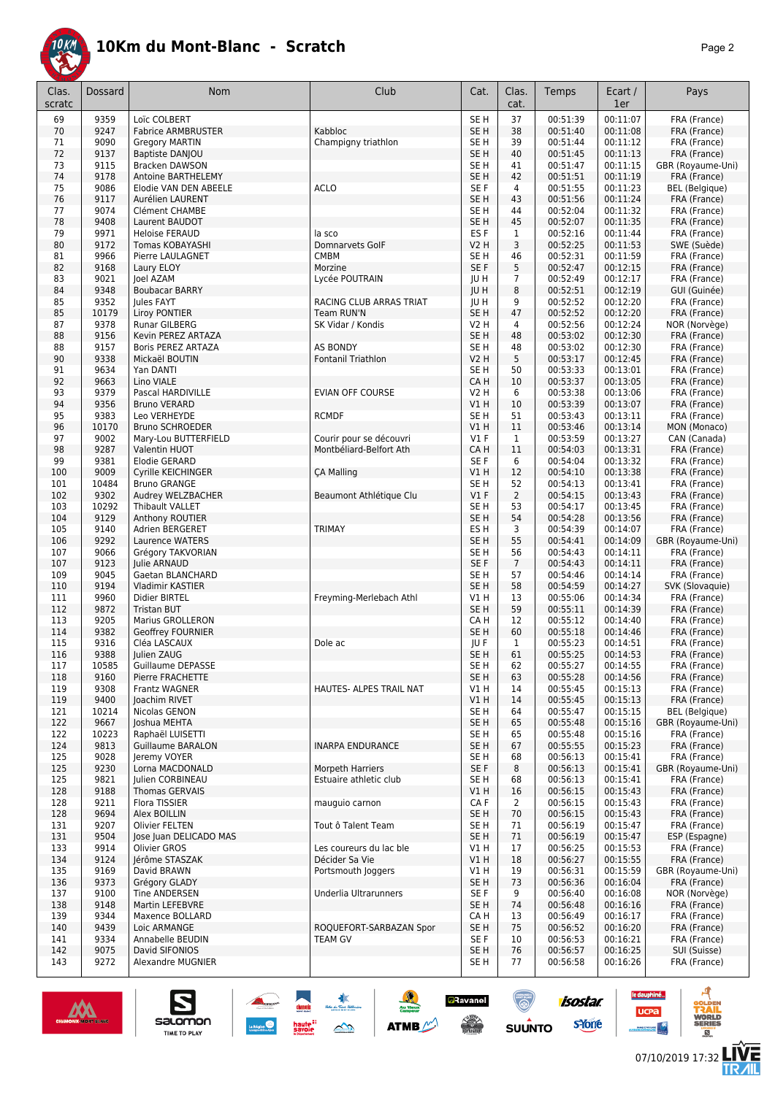

| Clas.<br>scratc | Dossard       | Nom                                         | Club                    | Cat.                    | Clas.<br>cat.        | Temps                | Ecart /<br>1er       | Pays                                  |
|-----------------|---------------|---------------------------------------------|-------------------------|-------------------------|----------------------|----------------------|----------------------|---------------------------------------|
| 69              | 9359          | Loïc COLBERT                                |                         | SE <sub>H</sub>         | 37                   | 00:51:39             | 00:11:07             | FRA (France)                          |
| 70              | 9247          | <b>Fabrice ARMBRUSTER</b>                   | Kabbloc                 | SE <sub>H</sub>         | 38                   | 00:51:40             | 00:11:08             | FRA (France)                          |
| 71              | 9090          | <b>Gregory MARTIN</b>                       | Champigny triathlon     | SE H                    | 39                   | 00:51:44             | 00:11:12             | FRA (France)                          |
| 72              | 9137          | <b>Baptiste DANJOU</b>                      |                         | SE <sub>H</sub>         | 40                   | 00:51:45             | 00:11:13             | FRA (France)                          |
| 73              | 9115          | <b>Bracken DAWSON</b>                       |                         | SE <sub>H</sub>         | 41                   | 00:51:47             | 00:11:15<br>00:11:19 | GBR (Royaume-Uni)                     |
| 74<br>75        | 9178<br>9086  | Antoine BARTHELEMY<br>Elodie VAN DEN ABEELE | <b>ACLO</b>             | SE <sub>H</sub><br>SE F | 42<br>4              | 00:51:51<br>00:51:55 | 00:11:23             | FRA (France)<br><b>BEL</b> (Belgique) |
| 76              | 9117          | Aurélien LAURENT                            |                         | SE <sub>H</sub>         | 43                   | 00:51:56             | 00:11:24             | FRA (France)                          |
| 77              | 9074          | Clément CHAMBE                              |                         | SE <sub>H</sub>         | 44                   | 00:52:04             | 00:11:32             | FRA (France)                          |
| 78              | 9408          | Laurent BAUDOT                              |                         | SE <sub>H</sub>         | 45                   | 00:52:07             | 00:11:35             | FRA (France)                          |
| 79              | 9971          | <b>Heloise FERAUD</b>                       | la sco                  | ES <sub>F</sub>         | 1                    | 00:52:16             | 00:11:44             | FRA (France)                          |
| 80              | 9172          | <b>Tomas KOBAYASHI</b>                      | Domnarvets GolF         | V2 H                    | 3                    | 00:52:25             | 00:11:53             | SWE (Suède)                           |
| 81              | 9966          | Pierre LAULAGNET                            | <b>CMBM</b>             | SE H                    | 46                   | 00:52:31             | 00:11:59             | FRA (France)                          |
| 82              | 9168          | Laury ELOY                                  | Morzine                 | SE F                    | 5                    | 00:52:47             | 00:12:15             | FRA (France)                          |
| 83              | 9021          | Joel AZAM                                   | Lycée POUTRAIN          | JU H                    | $\overline{7}$       | 00:52:49             | 00:12:17             | FRA (France)                          |
| 84              | 9348          | <b>Boubacar BARRY</b>                       |                         | JU H                    | 8                    | 00:52:51             | 00:12:19             | GUI (Guinée)                          |
| 85              | 9352          | <b>Iules FAYT</b>                           | RACING CLUB ARRAS TRIAT | <b>JUH</b>              | 9                    | 00:52:52             | 00:12:20             | FRA (France)                          |
| 85              | 10179         | <b>Liroy PONTIER</b>                        | Team RUN'N              | SE <sub>H</sub>         | 47                   | 00:52:52             | 00:12:20<br>00:12:24 | FRA (France)                          |
| 87<br>88        | 9378<br>9156  | Runar GILBERG<br>Kevin PEREZ ARTAZA         | SK Vidar / Kondis       | V2 H<br>SE <sub>H</sub> | 4<br>48              | 00:52:56<br>00:53:02 | 00:12:30             | NOR (Norvège)<br>FRA (France)         |
| 88              | 9157          | Boris PEREZ ARTAZA                          | <b>AS BONDY</b>         | SE <sub>H</sub>         | 48                   | 00:53:02             | 00:12:30             | FRA (France)                          |
| 90              | 9338          | Mickaël BOUTIN                              | Fontanil Triathlon      | <b>V2 H</b>             | 5                    | 00:53:17             | 00:12:45             | FRA (France)                          |
| 91              | 9634          | Yan DANTI                                   |                         | SE H                    | 50                   | 00:53:33             | 00:13:01             | FRA (France)                          |
| 92              | 9663          | Lino VIALE                                  |                         | CA H                    | 10                   | 00:53:37             | 00:13:05             | FRA (France)                          |
| 93              | 9379          | Pascal HARDIVILLE                           | <b>EVIAN OFF COURSE</b> | V2 H                    | 6                    | 00:53:38             | 00:13:06             | FRA (France)                          |
| 94              | 9356          | <b>Bruno VERARD</b>                         |                         | V1 H                    | 10                   | 00:53:39             | 00:13:07             | FRA (France)                          |
| 95              | 9383          | Leo VERHEYDE                                | <b>RCMDF</b>            | SE <sub>H</sub>         | 51                   | 00:53:43             | 00:13:11             | FRA (France)                          |
| 96              | 10170         | <b>Bruno SCHROEDER</b>                      |                         | VIH                     | 11                   | 00:53:46             | 00:13:14             | MON (Monaco)                          |
| 97              | 9002          | Mary-Lou BUTTERFIELD                        | Courir pour se découvri | $VI$ F                  | 1                    | 00:53:59             | 00:13:27             | CAN (Canada)                          |
| 98              | 9287          | <b>Valentin HUOT</b>                        | Montbéliard-Belfort Ath | CA H                    | 11                   | 00:54:03             | 00:13:31             | FRA (France)                          |
| 99              | 9381          | Elodie GERARD                               |                         | SE F                    | 6                    | 00:54:04             | 00:13:32             | FRA (France)                          |
| 100             | 9009          | Cyrille KEICHINGER                          | <b>CA Malling</b>       | V1H                     | 12                   | 00:54:10             | 00:13:38             | FRA (France)                          |
| 101<br>102      | 10484<br>9302 | <b>Bruno GRANGE</b><br>Audrey WELZBACHER    | Beaumont Athlétique Clu | SE <sub>H</sub><br>V1F  | 52<br>$\overline{2}$ | 00:54:13<br>00:54:15 | 00:13:41<br>00:13:43 | FRA (France)<br>FRA (France)          |
| 103             | 10292         | Thibault VALLET                             |                         | SE <sub>H</sub>         | 53                   | 00:54:17             | 00:13:45             | FRA (France)                          |
| 104             | 9129          | Anthony ROUTIER                             |                         | SE <sub>H</sub>         | 54                   | 00:54:28             | 00:13:56             | FRA (France)                          |
| 105             | 9140          | Adrien BERGERET                             | <b>TRIMAY</b>           | ES H                    | 3                    | 00:54:39             | 00:14:07             | FRA (France)                          |
| 106             | 9292          | Laurence WATERS                             |                         | SE <sub>H</sub>         | 55                   | 00:54:41             | 00:14:09             | GBR (Royaume-Uni)                     |
| 107             | 9066          | Grégory TAKVORIAN                           |                         | SE <sub>H</sub>         | 56                   | 00:54:43             | 00:14:11             | FRA (France)                          |
| 107             | 9123          | Julie ARNAUD                                |                         | SE F                    | $\overline{7}$       | 00:54:43             | 00:14:11             | FRA (France)                          |
| 109             | 9045          | Gaetan BLANCHARD                            |                         | SE <sub>H</sub>         | 57                   | 00:54:46             | 00:14:14             | FRA (France)                          |
| 110             | 9194          | Vladimir KASTIER                            |                         | SE <sub>H</sub>         | 58                   | 00:54:59             | 00:14:27             | SVK (Slovaquie)                       |
| 111             | 9960          | Didier BIRTEL                               | Freyming-Merlebach Athl | V1H                     | 13                   | 00:55:06             | 00:14:34             | FRA (France)                          |
| 112             | 9872          | <b>Tristan BUT</b>                          |                         | SE <sub>H</sub>         | 59                   | 00:55:11             | 00:14:39             | FRA (France)                          |
| 113             | 9205          | Marius GROLLERON                            |                         | CA H                    | 12                   | 00:55:12             | 00:14:40             | FRA (France)<br>FRA (France)          |
| 114<br>115      | 9382<br>9316  | <b>Geoffrey FOURNIER</b><br>Cléa LASCAUX    | Dole ac                 | SE <sub>H</sub><br>JU F | 60<br>1              | 00:55:18<br>00:55:23 | 00:14:46<br>00:14:51 | FRA (France)                          |
| 116             | 9388          | Julien ZAUG                                 |                         | SE <sub>H</sub>         | 61                   | 00:55:25             | 00:14:53             | FRA (France)                          |
| 117             | 10585         | Guillaume DEPASSE                           |                         | SE H                    | 62                   | 00:55:27             | 00:14:55             | FRA (France)                          |
| 118             | 9160          | Pierre FRACHETTE                            |                         | SE <sub>H</sub>         | 63                   | 00:55:28             | 00:14:56             | FRA (France)                          |
| 119             | 9308          | Frantz WAGNER                               | HAUTES- ALPES TRAIL NAT | V1 H                    | 14                   | 00:55:45             | 00:15:13             | FRA (France)                          |
| 119             | 9400          | Joachim RIVET                               |                         | V1 H                    | 14                   | 00:55:45             | 00:15:13             | FRA (France)                          |
| 121             | 10214         | Nicolas GENON                               |                         | SE H                    | 64                   | 00:55:47             | 00:15:15             | <b>BEL</b> (Belgique)                 |
| 122             | 9667          | Joshua MEHTA                                |                         | SE <sub>H</sub>         | 65                   | 00:55:48             | 00:15:16             | GBR (Royaume-Uni)                     |
| 122             | 10223         | Raphaël LUISETTI                            |                         | SE H                    | 65                   | 00:55:48             | 00:15:16             | FRA (France)                          |
| 124             | 9813          | <b>Guillaume BARALON</b>                    | <b>INARPA ENDURANCE</b> | SE <sub>H</sub>         | 67                   | 00:55:55             | 00:15:23             | FRA (France)                          |
| 125             | 9028          | Jeremy VOYER                                |                         | SE H                    | 68                   | 00:56:13             | 00:15:41             | FRA (France)                          |
| 125             | 9230          | Lorna MACDONALD                             | Morpeth Harriers        | SE F                    | 8                    | 00:56:13             | 00:15:41             | GBR (Royaume-Uni)                     |
| 125             | 9821          | Julien CORBINEAU                            | Estuaire athletic club  | SE H                    | 68                   | 00:56:13             | 00:15:41             | FRA (France)                          |
| 128             | 9188          | Thomas GERVAIS                              |                         | V1 H                    | 16                   | 00:56:15             | 00:15:43             | FRA (France)                          |
| 128<br>128      | 9211<br>9694  | Flora TISSIER<br>Alex BOILLIN               | mauguio carnon          | CA F<br>SE H            | $\overline{2}$<br>70 | 00:56:15<br>00:56:15 | 00:15:43<br>00:15:43 | FRA (France)<br>FRA (France)          |
| 131             | 9207          | Olivier FELTEN                              | Tout ô Talent Team      | SE H                    | 71                   | 00:56:19             | 00:15:47             | FRA (France)                          |
| 131             | 9504          | Jose Juan DELICADO MAS                      |                         | SE <sub>H</sub>         | 71                   | 00:56:19             | 00:15:47             | ESP (Espagne)                         |
| 133             | 9914          | Olivier GROS                                | Les coureurs du lac ble | V1H                     | 17                   | 00:56:25             | 00:15:53             | FRA (France)                          |
| 134             | 9124          | Jérôme STASZAK                              | Décider Sa Vie          | V1 H                    | 18                   | 00:56:27             | 00:15:55             | FRA (France)                          |
| 135             | 9169          | David BRAWN                                 | Portsmouth Joggers      | V1 H                    | 19                   | 00:56:31             | 00:15:59             | GBR (Royaume-Uni)                     |
| 136             | 9373          | Grégory GLADY                               |                         | SE <sub>H</sub>         | 73                   | 00:56:36             | 00:16:04             | FRA (France)                          |
| 137             | 9100          | <b>Tine ANDERSEN</b>                        | Underlia Ultrarunners   | SE F                    | 9                    | 00:56:40             | 00:16:08             | NOR (Norvège)                         |
| 138             | 9148          | Martin LEFEBVRE                             |                         | SE H                    | 74                   | 00:56:48             | 00:16:16             | FRA (France)                          |
| 139             | 9344          | Maxence BOLLARD                             |                         | CA H                    | 13                   | 00:56:49             | 00:16:17             | FRA (France)                          |
| 140             | 9439          | Loic ARMANGE                                | ROQUEFORT-SARBAZAN Spor | SE <sub>H</sub>         | 75                   | 00:56:52             | 00:16:20             | FRA (France)                          |
| 141             | 9334          | Annabelle BEUDIN                            | <b>TEAM GV</b>          | SE F                    | 10                   | 00:56:53             | 00:16:21             | FRA (France)                          |
| 142             | 9075          | David SIFONIOS                              |                         | SE H                    | 76                   | 00:56:57             | 00:16:25             | SUI (Suisse)                          |
| 143             | 9272          | Alexandre MUGNIER                           |                         | SE H                    | 77                   | 00:56:58             | 00:16:26             | FRA (France)                          |

大会

 $\rightarrow$ 

**ATMB** 



S

salomon

TIME TO PLAY



isostar.

**s**Yone

 $\bigcirc$ 

 $su\overset{\bullet}{\mathsf{unro}}$ 

**a**Ravanel

 $\frac{1}{\sqrt{2}}$ 

le dauphiné...

**UCPa** 

- 4



ه

**VORLD**<br>ERIES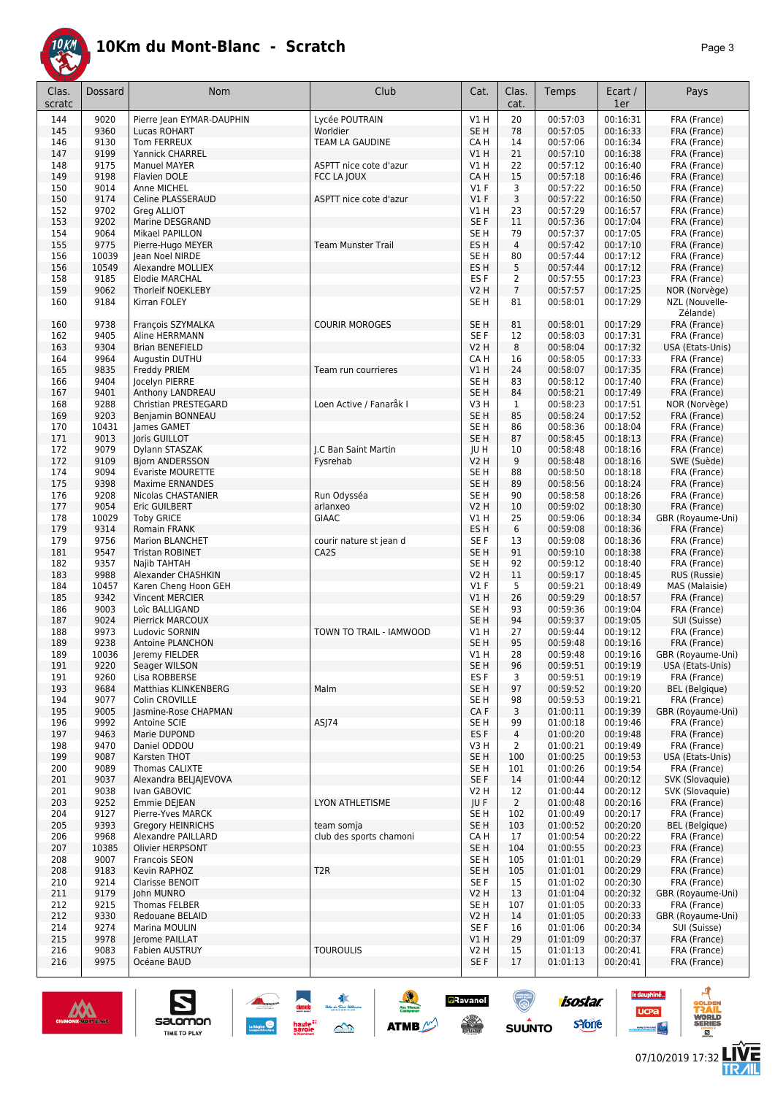

| Clas.      | <b>Dossard</b> | Nom                                         | Club                      | Cat.                    | Clas.                | Temps                | Ecart /              | Pays                         |
|------------|----------------|---------------------------------------------|---------------------------|-------------------------|----------------------|----------------------|----------------------|------------------------------|
| scratc     |                |                                             |                           |                         | cat.                 |                      | 1er                  |                              |
| 144        | 9020           | Pierre Jean EYMAR-DAUPHIN                   | Lycée POUTRAIN            | V1H                     | 20                   | 00:57:03             | 00:16:31             | FRA (France)                 |
| 145        | 9360           | Lucas ROHART                                | Worldier                  | SE H                    | 78                   | 00:57:05             | 00:16:33             | FRA (France)                 |
| 146        | 9130           | Tom FERREUX                                 | TEAM LA GAUDINE           | CA H                    | 14                   | 00:57:06             | 00:16:34             | FRA (France)                 |
| 147        | 9199           | Yannick CHARREL                             |                           | V1 H                    | 21                   | 00:57:10             | 00:16:38             | FRA (France)                 |
| 148        | 9175           | <b>Manuel MAYER</b>                         | ASPTT nice cote d'azur    | V1 H                    | 22                   | 00:57:12             | 00:16:40             | FRA (France)                 |
| 149        | 9198           | Flavien DOLE                                | FCC LA JOUX               | CA H                    | 15                   | 00:57:18             | 00:16:46             | FRA (France)                 |
| 150        | 9014           | Anne MICHEL                                 |                           | $VI$ F                  | 3                    | 00:57:22             | 00:16:50             | FRA (France)                 |
| 150        | 9174           | Celine PLASSERAUD                           | ASPTT nice cote d'azur    | V1F                     | 3                    | 00:57:22             | 00:16:50             | FRA (France)                 |
| 152        | 9702           | Greg ALLIOT                                 |                           | V1 H                    | 23                   | 00:57:29             | 00:16:57<br>00:17:04 | FRA (France)                 |
| 153<br>154 | 9202<br>9064   | Marine DESGRAND                             |                           | SE F                    | 11                   | 00:57:36             | 00:17:05             | FRA (France)<br>FRA (France) |
| 155        | 9775           | Mikael PAPILLON                             | <b>Team Munster Trail</b> | SE H<br>ES <sub>H</sub> | 79<br>$\overline{4}$ | 00:57:37<br>00:57:42 | 00:17:10             | FRA (France)                 |
|            |                | Pierre-Hugo MEYER                           |                           |                         |                      |                      |                      |                              |
| 156<br>156 | 10039<br>10549 | lean Noel NIRDE<br><b>Alexandre MOLLIEX</b> |                           | SE <sub>H</sub><br>ES H | 80<br>5              | 00:57:44<br>00:57:44 | 00:17:12<br>00:17:12 | FRA (France)                 |
| 158        | 9185           | <b>Elodie MARCHAL</b>                       |                           | ES F                    | 2                    | 00:57:55             | 00:17:23             | FRA (France)<br>FRA (France) |
| 159        | 9062           | Thorleif NOEKLEBY                           |                           | V2 H                    | $\overline{7}$       | 00:57:57             | 00:17:25             | NOR (Norvège)                |
| 160        | 9184           | Kirran FOLEY                                |                           | SE H                    | 81                   | 00:58:01             | 00:17:29             | NZL (Nouvelle-               |
|            |                |                                             |                           |                         |                      |                      |                      | Zélande)                     |
| 160        | 9738           | François SZYMALKA                           | <b>COURIR MOROGES</b>     | SE <sub>H</sub>         | 81                   | 00:58:01             | 00:17:29             | FRA (France)                 |
| 162        | 9405           | Aline HERRMANN                              |                           | SE F                    | 12                   | 00:58:03             | 00:17:31             | FRA (France)                 |
| 163        | 9304           | <b>Brian BENEFIELD</b>                      |                           | V2 H                    | 8                    | 00:58:04             | 00:17:32             | USA (Etats-Unis)             |
| 164        | 9964           | Augustin DUTHU                              |                           | CA H                    | 16                   | 00:58:05             | 00:17:33             | FRA (France)                 |
| 165        | 9835           | Freddy PRIEM                                | Team run courrieres       | VIH                     | 24                   | 00:58:07             | 00:17:35             | FRA (France)                 |
| 166        | 9404           | Jocelyn PIERRE                              |                           | SE H                    | 83                   | 00:58:12             | 00:17:40             | FRA (France)                 |
| 167        | 9401           | Anthony LANDREAU                            |                           | SE <sub>H</sub>         | 84                   | 00:58:21             | 00:17:49             | FRA (France)                 |
| 168        | 9288           | Christian PRESTEGARD                        | Loen Active / Fanaråk I   | V3H                     | 1                    | 00:58:23             | 00:17:51             | NOR (Norvège)                |
| 169        | 9203           | Benjamin BONNEAU                            |                           | SE H                    | 85                   | 00:58:24             | 00:17:52             | FRA (France)                 |
| 170        | 10431          | James GAMET                                 |                           | SE H                    | 86                   | 00:58:36             | 00:18:04             | FRA (France)                 |
| 171        | 9013           | Joris GUILLOT                               |                           | SE H                    | 87                   | 00:58:45             | 00:18:13             | FRA (France)                 |
| 172        | 9079           | Dylann STASZAK                              | J.C Ban Saint Martin      | JU H                    | 10                   | 00:58:48             | 00:18:16             | FRA (France)                 |
| 172        | 9109           | Bjorn ANDERSSON                             | Fysrehab                  | V2 H                    | 9                    | 00:58:48             | 00:18:16             | SWE (Suède)                  |
| 174        | 9094           | <b>Evariste MOURETTE</b>                    |                           | SE H                    | 88                   | 00:58:50             | 00:18:18             | FRA (France)                 |
| 175        | 9398           | <b>Maxime ERNANDES</b>                      |                           | SE <sub>H</sub>         | 89                   | 00:58:56             | 00:18:24             | FRA (France)                 |
| 176        | 9208           | Nicolas CHASTANIER                          | Run Odysséa               | SE H                    | 90                   | 00:58:58             | 00:18:26             | FRA (France)                 |
| 177        | 9054           | Eric GUILBERT                               | arlanxeo                  | V2 H                    | 10                   | 00:59:02             | 00:18:30             | FRA (France)                 |
| 178        | 10029          | <b>Toby GRICE</b>                           | <b>GIAAC</b>              | V1 H                    | 25                   | 00:59:06             | 00:18:34             | GBR (Royaume-Uni)            |
| 179        | 9314           | <b>Romain FRANK</b>                         |                           | ES <sub>H</sub>         | 6                    | 00:59:08             | 00:18:36             | FRA (France)                 |
| 179        | 9756           | <b>Marion BLANCHET</b>                      | courir nature st jean d   | SE F                    | 13                   | 00:59:08             | 00:18:36             | FRA (France)                 |
| 181        | 9547           | <b>Tristan ROBINET</b>                      | CA <sub>2</sub> S         | SE H                    | 91                   | 00:59:10             | 00:18:38             | FRA (France)                 |
| 182        | 9357           | Najib TAHTAH                                |                           | SE H                    | 92                   | 00:59:12             | 00:18:40             | FRA (France)                 |
| 183        | 9988           | Alexander CHASHKIN                          |                           | V2 H                    | 11                   | 00:59:17             | 00:18:45             | RUS (Russie)                 |
| 184        | 10457          | Karen Cheng Hoon GEH                        |                           | $VI$ F                  | 5                    | 00:59:21             | 00:18:49             | MAS (Malaisie)               |
| 185        | 9342           | Vincent MERCIER                             |                           | V1 H                    | 26                   | 00:59:29             | 00:18:57             | FRA (France)                 |
| 186        | 9003           | Loïc BALLIGAND                              |                           | SE H                    | 93                   | 00:59:36             | 00:19:04             | FRA (France)                 |
| 187        | 9024           | Pierrick MARCOUX                            |                           | SE H                    | 94                   | 00:59:37             | 00:19:05             | SUI (Suisse)                 |
| 188        | 9973           | Ludovic SORNIN                              | TOWN TO TRAIL - IAMWOOD   | V1 H                    | 27                   | 00:59:44             | 00:19:12             | FRA (France)                 |
| 189        | 9238           | <b>Antoine PLANCHON</b>                     |                           | SE H                    | 95                   | 00:59:48             | 00:19:16             | FRA (France)                 |
| 189        | 10036          | Jeremy FIELDER                              |                           | V1 H                    | 28                   | 00:59:48             | 00:19:16             | GBR (Royaume-Uni)            |
| 191        | 9220           | Seager WILSON                               |                           | SE H                    | 96                   | 00:59:51             | 00:19:19             | USA (Etats-Unis)             |
| 191        | 9260           | Lisa ROBBERSE                               |                           | ES <sub>F</sub>         | 3                    | 00:59:51             | 00:19:19             | FRA (France)                 |
| 193        | 9684           | Matthias KLINKENBERG                        | Malm                      | SE H                    | 97                   | 00:59:52             | 00:19:20             | <b>BEL</b> (Belgique)        |
| 194        | 9077           | Colin CROVILLE                              |                           | SE H                    | 98                   | 00:59:53             | 00:19:21             | FRA (France)                 |
| 195        | 9005           | Jasmine-Rose CHAPMAN                        |                           | CA F                    | 3                    | 01:00:11<br>01:00:18 | 00:19:39             | GBR (Royaume-Uni)            |
| 196        | 9992           | Antoine SCIE<br>Marie DUPOND                | ASJ74                     | SE H                    | 99                   |                      | 00:19:46<br>00:19:48 | FRA (France)                 |
| 197<br>198 | 9463<br>9470   | Daniel ODDOU                                |                           | ES F<br>V3H             | 4<br>2               | 01:00:20<br>01:00:21 | 00:19:49             | FRA (France)<br>FRA (France) |
| 199        | 9087           | Karsten THOT                                |                           | SE <sub>H</sub>         | 100                  | 01:00:25             | 00:19:53             | USA (Etats-Unis)             |
| 200        | 9089           | Thomas CALIXTE                              |                           | SE H                    | 101                  | 01:00:26             | 00:19:54             | FRA (France)                 |
| 201        | 9037           | Alexandra BELIAIEVOVA                       |                           | SE F                    | 14                   | 01:00:44             | 00:20:12             | SVK (Slovaquie)              |
| 201        | 9038           | Ivan GABOVIC                                |                           | V2 H                    | 12                   | 01:00:44             | 00:20:12             | SVK (Slovaquie)              |
| 203        | 9252           | Emmie DEJEAN                                | <b>LYON ATHLETISME</b>    | JU F                    | $\overline{2}$       | 01:00:48             | 00:20:16             | FRA (France)                 |
| 204        | 9127           | Pierre-Yves MARCK                           |                           | SE H                    | 102                  | 01:00:49             | 00:20:17             | FRA (France)                 |
| 205        | 9393           | Gregory HEINRICHS                           | team somja                | SE H                    | 103                  | 01:00:52             | 00:20:20             | <b>BEL</b> (Belgique)        |
| 206        | 9968           | Alexandre PAILLARD                          | club des sports chamoni   | CA H                    | 17                   | 01:00:54             | 00:20:22             | FRA (France)                 |
| 207        | 10385          | Olivier HERPSONT                            |                           | SE H                    | 104                  | 01:00:55             | 00:20:23             | FRA (France)                 |
| 208        | 9007           | Francois SEON                               |                           | SE H                    | 105                  | 01:01:01             | 00:20:29             | FRA (France)                 |
| 208        | 9183           | Kevin RAPHOZ                                | T <sub>2</sub> R          | SE H                    | 105                  | 01:01:01             | 00:20:29             | FRA (France)                 |
| 210        | 9214           | Clarisse BENOIT                             |                           | SE F                    | 15                   | 01:01:02             | 00:20:30             | FRA (France)                 |
| 211        | 9179           | John MUNRO                                  |                           | V2 H                    | 13                   | 01:01:04             | 00:20:32             | GBR (Royaume-Uni)            |
| 212        | 9215           | Thomas FELBER                               |                           | SE H                    | 107                  | 01:01:05             | 00:20:33             | FRA (France)                 |
| 212        | 9330           | Redouane BELAID                             |                           | V2 H                    | 14                   | 01:01:05             | 00:20:33             | GBR (Royaume-Uni)            |
| 214        | 9274           | Marina MOULIN                               |                           | SE F                    | 16                   | 01:01:06             | 00:20:34             | SUI (Suisse)                 |
| 215        | 9978           | Jerome PAILLAT                              |                           | V1H                     | 29                   | 01:01:09             | 00:20:37             | FRA (France)                 |
| 216        | 9083           | <b>Fabien AUSTRUY</b>                       | <b>TOUROULIS</b>          | V2 H                    | 15                   | 01:01:13             | 00:20:41             | FRA (France)                 |
| 216        | 9975           | Océane BAUD                                 |                           | SE F                    | 17                   | 01:01:13             | 00:20:41             | FRA (France)                 |

≉<br>ستد ب

 $\rightarrow$ 

 $\frac{1}{2}$ 

**ATMB** 

**a**Ravanel

<u>ිල</u>



 $\sum_{\text{SALOMOM}}$ 

**La Riging** 



isostar.

 $\frac{A}{\text{min}}$ 

**VORLD**<br>ERIES

**LIVE<br>TR***A***IL** 

le dauphiné...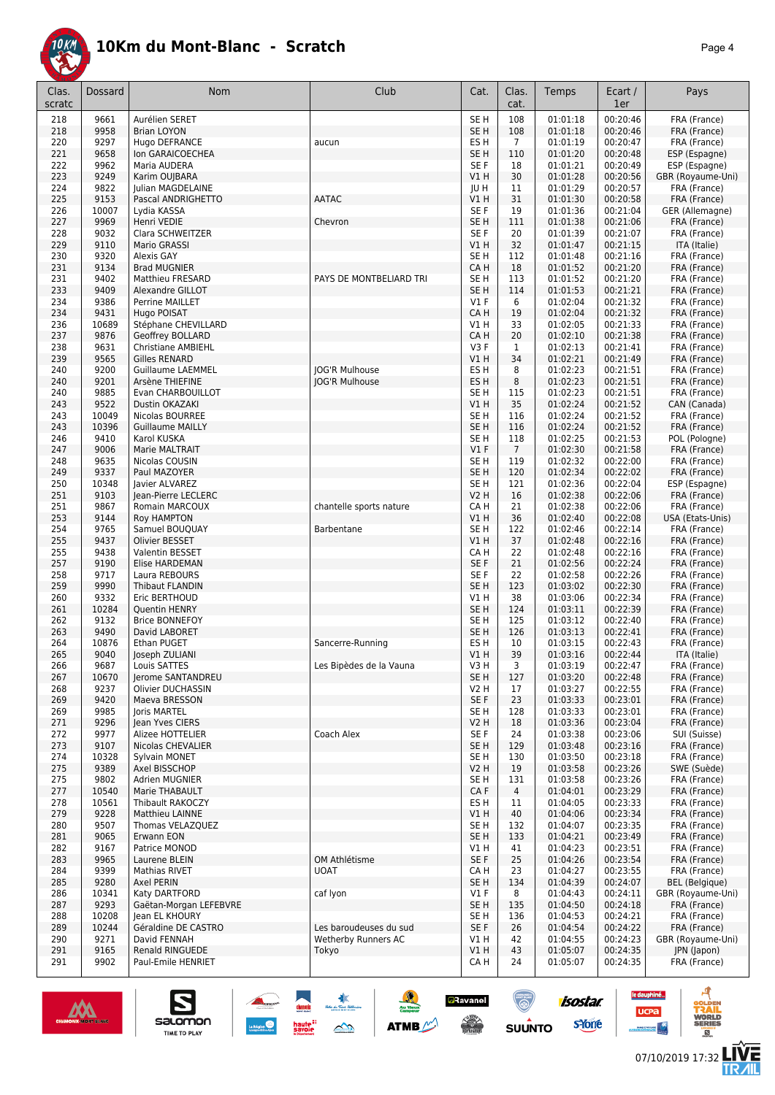

| Clas.<br>scratc | Dossard       | Nom                                         | Club                         | Cat.                           | Clas.<br>cat.  | Temps                | Ecart /<br>1er       | Pays                               |
|-----------------|---------------|---------------------------------------------|------------------------------|--------------------------------|----------------|----------------------|----------------------|------------------------------------|
| 218             | 9661          | Aurélien SERET                              |                              | SE <sub>H</sub>                | 108            | 01:01:18             | 00:20:46             | FRA (France)                       |
| 218             | 9958          | <b>Brian LOYON</b>                          |                              | SE <sub>H</sub>                | 108            | 01:01:18             | 00:20:46             | FRA (France)                       |
| 220             | 9297          | Hugo DEFRANCE                               | aucun                        | ES H                           | $\overline{7}$ | 01:01:19             | 00:20:47             | FRA (France)                       |
| 221             | 9658          | Ion GARAICOECHEA                            |                              | SE <sub>H</sub>                | 110            | 01:01:20             | 00:20:48             | ESP (Espagne)                      |
| 222             | 9962<br>9249  | Maria AUDERA                                |                              | SE F                           | 18<br>30       | 01:01:21             | 00:20:49             | ESP (Espagne)<br>GBR (Royaume-Uni) |
| 223<br>224      | 9822          | Karim OUJBARA<br>Julian MAGDELAINE          |                              | V1H<br>JU H                    | 11             | 01:01:28<br>01:01:29 | 00:20:56<br>00:20:57 | FRA (France)                       |
| 225             | 9153          | Pascal ANDRIGHETTO                          | <b>AATAC</b>                 | V1H                            | 31             | 01:01:30             | 00:20:58             | FRA (France)                       |
| 226             | 10007         | Lydia KASSA                                 |                              | SE F                           | 19             | 01:01:36             | 00:21:04             | GER (Allemagne)                    |
| 227             | 9969          | Henri VEDIE                                 | Chevron                      | SE <sub>H</sub>                | 111            | 01:01:38             | 00:21:06             | FRA (France)                       |
| 228             | 9032          | Clara SCHWEITZER                            |                              | SE F                           | 20             | 01:01:39             | 00:21:07             | FRA (France)                       |
| 229             | 9110          | Mario GRASSI                                |                              | V1H                            | 32             | 01:01:47             | 00:21:15             | ITA (Italie)                       |
| 230             | 9320          | Alexis GAY                                  |                              | SE <sub>H</sub>                | 112            | 01:01:48             | 00:21:16             | FRA (France)                       |
| 231             | 9134          | <b>Brad MUGNIER</b>                         |                              | CA H                           | 18             | 01:01:52             | 00:21:20             | FRA (France)                       |
| 231<br>233      | 9402<br>9409  | <b>Matthieu FRESARD</b><br>Alexandre GILLOT | PAYS DE MONTBELIARD TRI      | SE H<br>SE <sub>H</sub>        | 113<br>114     | 01:01:52<br>01:01:53 | 00:21:20<br>00:21:21 | FRA (France)<br>FRA (France)       |
| 234             | 9386          | Perrine MAILLET                             |                              | $VI$ F                         | 6              | 01:02:04             | 00:21:32             | FRA (France)                       |
| 234             | 9431          | Hugo POISAT                                 |                              | CA H                           | 19             | 01:02:04             | 00:21:32             | FRA (France)                       |
| 236             | 10689         | Stéphane CHEVILLARD                         |                              | V1 H                           | 33             | 01:02:05             | 00:21:33             | FRA (France)                       |
| 237             | 9876          | Geoffrey BOLLARD                            |                              | CA H                           | 20             | 01:02:10             | 00:21:38             | FRA (France)                       |
| 238             | 9631          | <b>Christiane AMBIEHL</b>                   |                              | V3F                            | $\mathbf{1}$   | 01:02:13             | 00:21:41             | FRA (France)                       |
| 239             | 9565          | <b>Gilles RENARD</b>                        |                              | V1H                            | 34             | 01:02:21             | 00:21:49             | FRA (France)                       |
| 240             | 9200          | <b>Guillaume LAEMMEL</b>                    | <b>JOG'R Mulhouse</b>        | ES H                           | 8              | 01:02:23             | 00:21:51             | FRA (France)                       |
| 240<br>240      | 9201<br>9885  | Arsène THIEFINE<br>Evan CHARBOUILLOT        | JOG'R Mulhouse               | ES H<br>SE <sub>H</sub>        | 8<br>115       | 01:02:23             | 00:21:51<br>00:21:51 | FRA (France)                       |
| 243             | 9522          | Dustin OKAZAKI                              |                              | V1H                            | 35             | 01:02:23<br>01:02:24 | 00:21:52             | FRA (France)<br>CAN (Canada)       |
| 243             | 10049         | Nicolas BOURREE                             |                              | SE <sub>H</sub>                | 116            | 01:02:24             | 00:21:52             | FRA (France)                       |
| 243             | 10396         | <b>Guillaume MAILLY</b>                     |                              | SE <sub>H</sub>                | 116            | 01:02:24             | 00:21:52             | FRA (France)                       |
| 246             | 9410          | Karol KUSKA                                 |                              | SE H                           | 118            | 01:02:25             | 00:21:53             | POL (Pologne)                      |
| 247             | 9006          | Marie MALTRAIT                              |                              | $VI$ F                         | $\overline{7}$ | 01:02:30             | 00:21:58             | FRA (France)                       |
| 248             | 9635          | Nicolas COUSIN                              |                              | SE H                           | 119            | 01:02:32             | 00:22:00             | FRA (France)                       |
| 249             | 9337          | Paul MAZOYER                                |                              | SE <sub>H</sub>                | 120            | 01:02:34             | 00:22:02             | FRA (France)                       |
| 250<br>251      | 10348<br>9103 | Javier ALVAREZ<br>Jean-Pierre LECLERC       |                              | SE <sub>H</sub><br><b>V2 H</b> | 121<br>16      | 01:02:36<br>01:02:38 | 00:22:04<br>00:22:06 | ESP (Espagne)<br>FRA (France)      |
| 251             | 9867          | Romain MARCOUX                              | chantelle sports nature      | CA H                           | 21             | 01:02:38             | 00:22:06             | FRA (France)                       |
| 253             | 9144          | <b>Roy HAMPTON</b>                          |                              | VIH                            | 36             | 01:02:40             | 00:22:08             | USA (Etats-Unis)                   |
| 254             | 9765          | Samuel BOUQUAY                              | Barbentane                   | SE <sub>H</sub>                | 122            | 01:02:46             | 00:22:14             | FRA (France)                       |
| 255             | 9437          | Olivier BESSET                              |                              | V1H                            | 37             | 01:02:48             | 00:22:16             | FRA (France)                       |
| 255             | 9438          | Valentin BESSET                             |                              | CA H                           | 22             | 01:02:48             | 00:22:16             | FRA (France)                       |
| 257             | 9190          | Elise HARDEMAN                              |                              | SE F                           | 21             | 01:02:56             | 00:22:24             | FRA (France)                       |
| 258             | 9717          | Laura REBOURS                               |                              | SE F                           | 22             | 01:02:58             | 00:22:26             | FRA (France)                       |
| 259<br>260      | 9990<br>9332  | <b>Thibaut FLANDIN</b><br>Eric BERTHOUD     |                              | SE <sub>H</sub><br>V1 H        | 123<br>38      | 01:03:02<br>01:03:06 | 00:22:30<br>00:22:34 | FRA (France)<br>FRA (France)       |
| 261             | 10284         | Quentin HENRY                               |                              | SE <sub>H</sub>                | 124            | 01:03:11             | 00:22:39             | FRA (France)                       |
| 262             | 9132          | <b>Brice BONNEFOY</b>                       |                              | SE <sub>H</sub>                | 125            | 01:03:12             | 00:22:40             | FRA (France)                       |
| 263             | 9490          | David LABORET                               |                              | SE <sub>H</sub>                | 126            | 01:03:13             | 00:22:41             | FRA (France)                       |
| 264             | 10876         | Ethan PUGET                                 | Sancerre-Running             | ES H                           | 10             | 01:03:15             | 00:22:43             | FRA (France)                       |
| 265             | 9040          | Joseph ZULIANI                              |                              | VIH                            | 39             | 01:03:16             | 00:22:44             | ITA (Italie)                       |
| 266             | 9687          | Louis SATTES                                | Les Bipèdes de la Vauna      | V3 H                           | 3              | 01:03:19<br>01:03:20 | 00:22:47             | FRA (France)                       |
| 267<br>268      | 10670<br>9237 | Jerome SANTANDREU<br>Olivier DUCHASSIN      |                              | SE <sub>H</sub><br>V2 H        | 127<br>17      | 01:03:27             | 00:22:48<br>00:22:55 | FRA (France)<br>FRA (France)       |
| 269             | 9420          | Maeva BRESSON                               |                              | SE F                           | 23             | 01:03:33             | 00:23:01             | FRA (France)                       |
| 269             | 9985          | Joris MARTEL                                |                              | SE H                           | 128            | 01:03:33             | 00:23:01             | FRA (France)                       |
| 271             | 9296          | lean Yves CIERS                             |                              | <b>V2 H</b>                    | 18             | 01:03:36             | 00:23:04             | FRA (France)                       |
| 272             | 9977          | Alizee HOTTELIER                            | Coach Alex                   | SE F                           | 24             | 01:03:38             | 00:23:06             | SUI (Suisse)                       |
| 273             | 9107          | Nicolas CHEVALIER                           |                              | SE <sub>H</sub>                | 129            | 01:03:48             | 00:23:16             | FRA (France)                       |
| 274<br>275      | 10328<br>9389 | Sylvain MONET                               |                              | SE <sub>H</sub><br><b>V2 H</b> | 130<br>19      | 01:03:50             | 00:23:18<br>00:23:26 | FRA (France)<br>SWE (Suède)        |
| 275             | 9802          | Axel BISSCHOP<br>Adrien MUGNIER             |                              | SE <sub>H</sub>                | 131            | 01:03:58<br>01:03:58 | 00:23:26             | FRA (France)                       |
| 277             | 10540         | Marie THABAULT                              |                              | CA F                           | $\overline{4}$ | 01:04:01             | 00:23:29             | FRA (France)                       |
| 278             | 10561         | Thibault RAKOCZY                            |                              | ES H                           | 11             | 01:04:05             | 00:23:33             | FRA (France)                       |
| 279             | 9228          | Matthieu LAINNE                             |                              | V1H                            | 40             | 01:04:06             | 00:23:34             | FRA (France)                       |
| 280             | 9507          | Thomas VELAZQUEZ                            |                              | SE <sub>H</sub>                | 132            | 01:04:07             | 00:23:35             | FRA (France)                       |
| 281             | 9065          | Erwann EON                                  |                              | SE <sub>H</sub>                | 133            | 01:04:21             | 00:23:49             | FRA (France)                       |
| 282             | 9167          | Patrice MONOD                               |                              | V1 H                           | 41             | 01:04:23             | 00:23:51             | FRA (France)                       |
| 283<br>284      | 9965<br>9399  | Laurene BLEIN                               | OM Athlétisme<br><b>UOAT</b> | SE F<br>CA H                   | 25             | 01:04:26             | 00:23:54<br>00:23:55 | FRA (France)<br>FRA (France)       |
| 285             | 9280          | Mathias RIVET<br>Axel PERIN                 |                              | SE <sub>H</sub>                | 23<br>134      | 01:04:27<br>01:04:39 | 00:24:07             | <b>BEL</b> (Belgique)              |
| 286             | 10341         | Katy DARTFORD                               | caf lyon                     | $VI$ F                         | 8              | 01:04:43             | 00:24:11             | GBR (Royaume-Uni)                  |
| 287             | 9293          | Gaëtan-Morgan LEFEBVRE                      |                              | SE <sub>H</sub>                | 135            | 01:04:50             | 00:24:18             | FRA (France)                       |
| 288             | 10208         | Jean EL KHOURY                              |                              | SE <sub>H</sub>                | 136            | 01:04:53             | 00:24:21             | FRA (France)                       |
| 289             | 10244         | Géraldine DE CASTRO                         | Les baroudeuses du sud       | SE F                           | 26             | 01:04:54             | 00:24:22             | FRA (France)                       |
| 290             | 9271          | David FENNAH                                | Wetherby Runners AC          | V1 H                           | 42             | 01:04:55             | 00:24:23             | GBR (Royaume-Uni)                  |
| 291<br>291      | 9165<br>9902  | Renald RINGUEDE<br>Paul-Emile HENRIET       | Tokyo                        | V1H<br>CA H                    | 43<br>24       | 01:05:07<br>01:05:07 | 00:24:35<br>00:24:35 | JPN (Japon)<br>FRA (France)        |
|                 |               |                                             |                              |                                |                |                      |                      |                                    |

忽

 $\rightarrow$ 

ATMB

 $\bigcirc$ 

 $su\overset{\bullet}{\mathsf{unro}}$ 

**a**Ravanel

 $\frac{1}{\sqrt{2}}$ 

isostar.

**s**Yone



S

Salomon

G

le dauphiné...

**UCPa** 

ه

**VORLD**<br>ERIES

**LIVE<br>TR***A***IL**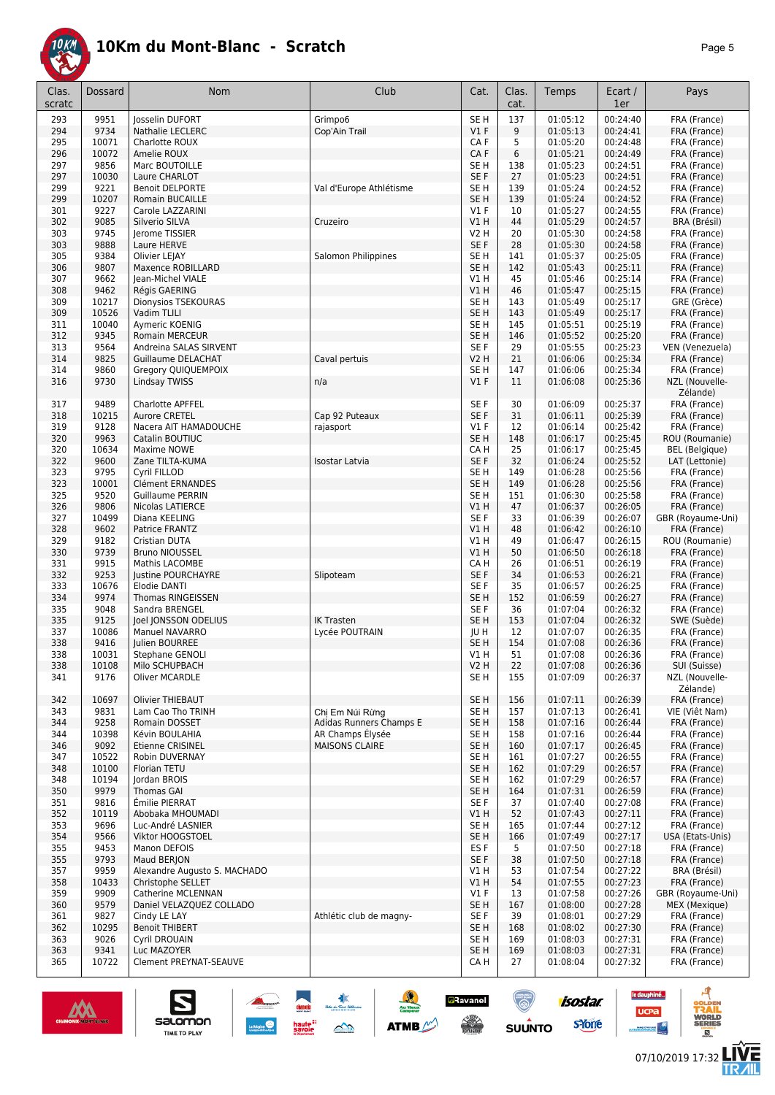

| Clas.<br>scratc | Dossard       | Nom                                       | Club                                        | Cat.                    | Clas.<br>cat. | Temps                | Ecart /<br>1er       | Pays                           |
|-----------------|---------------|-------------------------------------------|---------------------------------------------|-------------------------|---------------|----------------------|----------------------|--------------------------------|
| 293             | 9951          | <b>Josselin DUFORT</b>                    | Grimpo6                                     | SE <sub>H</sub>         | 137           | 01:05:12             | 00:24:40             | FRA (France)                   |
| 294             | 9734          | <b>Nathalie LECLERC</b>                   | Cop'Ain Trail                               | $VI$ F                  | 9             | 01:05:13             | 00:24:41             | FRA (France)                   |
| 295             | 10071         | Charlotte ROUX                            |                                             | CA F                    | 5             | 01:05:20             | 00:24:48             | FRA (France)                   |
| 296             | 10072         | Amelie ROUX                               |                                             | CA F                    | 6             | 01:05:21             | 00:24:49             | FRA (France)                   |
| 297<br>297      | 9856<br>10030 | Marc BOUTOILLE<br>Laure CHARLOT           |                                             | SE <sub>H</sub><br>SE F | 138<br>27     | 01:05:23<br>01:05:23 | 00:24:51<br>00:24:51 | FRA (France)<br>FRA (France)   |
| 299             | 9221          | <b>Benoit DELPORTE</b>                    | Val d'Europe Athlétisme                     | SE <sub>H</sub>         | 139           | 01:05:24             | 00:24:52             | FRA (France)                   |
| 299             | 10207         | <b>Romain BUCAILLE</b>                    |                                             | SE H                    | 139           | 01:05:24             | 00:24:52             | FRA (France)                   |
| 301             | 9227          | Carole LAZZARINI                          |                                             | $VI$ F                  | 10            | 01:05:27             | 00:24:55             | FRA (France)                   |
| 302             | 9085          | Silverio SILVA                            | Cruzeiro                                    | VIH                     | 44            | 01:05:29             | 00:24:57             | BRA (Brésil)                   |
| 303             | 9745          | Jerome TISSIER                            |                                             | <b>V2 H</b>             | 20            | 01:05:30             | 00:24:58             | FRA (France)                   |
| 303             | 9888          | Laure HERVE                               |                                             | SE F                    | 28            | 01:05:30             | 00:24:58             | FRA (France)                   |
| 305             | 9384<br>9807  | <b>Olivier LEIAY</b><br>Maxence ROBILLARD | Salomon Philippines                         | SE <sub>H</sub>         | 141           | 01:05:37             | 00:25:05             | FRA (France)                   |
| 306<br>307      | 9662          | Jean-Michel VIALE                         |                                             | SE <sub>H</sub><br>V1H  | 142<br>45     | 01:05:43<br>01:05:46 | 00:25:11<br>00:25:14 | FRA (France)<br>FRA (France)   |
| 308             | 9462          | Régis GAERING                             |                                             | VIH                     | 46            | 01:05:47             | 00:25:15             | FRA (France)                   |
| 309             | 10217         | Dionysios TSEKOURAS                       |                                             | SE <sub>H</sub>         | 143           | 01:05:49             | 00:25:17             | GRE (Grèce)                    |
| 309             | 10526         | Vadim TLILI                               |                                             | SE <sub>H</sub>         | 143           | 01:05:49             | 00:25:17             | FRA (France)                   |
| 311             | 10040         | Aymeric KOENIG                            |                                             | SE <sub>H</sub>         | 145           | 01:05:51             | 00:25:19             | FRA (France)                   |
| 312             | 9345          | <b>Romain MERCEUR</b>                     |                                             | SE H                    | 146           | 01:05:52             | 00:25:20             | FRA (France)                   |
| 313             | 9564          | Andreina SALAS SIRVENT                    |                                             | SE F                    | 29            | 01:05:55             | 00:25:23             | VEN (Venezuela)                |
| 314             | 9825          | <b>Guillaume DELACHAT</b>                 | Caval pertuis                               | V2 H                    | 21            | 01:06:06             | 00:25:34             | FRA (France)                   |
| 314<br>316      | 9860<br>9730  | Gregory QUIQUEMPOIX<br>Lindsay TWISS      | n/a                                         | SE H<br>$VI$ F          | 147<br>11     | 01:06:06<br>01:06:08 | 00:25:34<br>00:25:36 | FRA (France)<br>NZL (Nouvelle- |
|                 |               |                                           |                                             |                         |               |                      |                      | Zélande)                       |
| 317             | 9489          | Charlotte APFFEL                          |                                             | SE <sub>F</sub>         | 30            | 01:06:09             | 00:25:37             | FRA (France)                   |
| 318             | 10215         | Aurore CRETEL                             | Cap 92 Puteaux                              | SE F                    | 31            | 01:06:11             | 00:25:39             | FRA (France)                   |
| 319             | 9128          | Nacera AIT HAMADOUCHE                     | rajasport                                   | $VI$ F                  | 12            | 01:06:14             | 00:25:42             | FRA (France)                   |
| 320             | 9963          | Catalin BOUTIUC                           |                                             | SE <sub>H</sub>         | 148           | 01:06:17             | 00:25:45             | ROU (Roumanie)                 |
| 320             | 10634         | Maxime NOWE                               |                                             | CA H                    | 25            | 01:06:17             | 00:25:45             | <b>BEL</b> (Belgique)          |
| 322<br>323      | 9600<br>9795  | Zane TILTA-KUMA<br>Cyril FILLOD           | <b>Isostar Latvia</b>                       | SE F<br>SE H            | 32<br>149     | 01:06:24<br>01:06:28 | 00:25:52<br>00:25:56 | LAT (Lettonie)<br>FRA (France) |
| 323             | 10001         | <b>Clément ERNANDES</b>                   |                                             | SE H                    | 149           | 01:06:28             | 00:25:56             | FRA (France)                   |
| 325             | 9520          | <b>Guillaume PERRIN</b>                   |                                             | SE H                    | 151           | 01:06:30             | 00:25:58             | FRA (France)                   |
| 326             | 9806          | Nicolas LATIERCE                          |                                             | VIH                     | 47            | 01:06:37             | 00:26:05             | FRA (France)                   |
| 327             | 10499         | Diana KEELING                             |                                             | SE F                    | 33            | 01:06:39             | 00:26:07             | GBR (Royaume-Uni)              |
| 328             | 9602          | Patrice FRANTZ                            |                                             | VIH                     | 48            | 01:06:42             | 00:26:10             | FRA (France)                   |
| 329             | 9182          | Cristian DUTA                             |                                             | V1 H                    | 49            | 01:06:47             | 00:26:15             | ROU (Roumanie)                 |
| 330             | 9739          | <b>Bruno NIOUSSEL</b>                     |                                             | VIH                     | 50            | 01:06:50             | 00:26:18             | FRA (France)                   |
| 331<br>332      | 9915<br>9253  | Mathis LACOMBE<br>Justine POURCHAYRE      | Slipoteam                                   | CA H<br>SE F            | 26<br>34      | 01:06:51<br>01:06:53 | 00:26:19<br>00:26:21 | FRA (France)<br>FRA (France)   |
| 333             | 10676         | Elodie DANTI                              |                                             | SE F                    | 35            | 01:06:57             | 00:26:25             | FRA (France)                   |
| 334             | 9974          | <b>Thomas RINGEISSEN</b>                  |                                             | SE <sub>H</sub>         | 152           | 01:06:59             | 00:26:27             | FRA (France)                   |
| 335             | 9048          | Sandra BRENGEL                            |                                             | SE F                    | 36            | 01:07:04             | 00:26:32             | FRA (France)                   |
| 335             | 9125          | Joel JONSSON ODELIUS                      | <b>IK Trasten</b>                           | SE H                    | 153           | 01:07:04             | 00:26:32             | SWE (Suède)                    |
| 337             | 10086         | <b>Manuel NAVARRO</b>                     | Lycée POUTRAIN                              | JU H                    | 12            | 01:07:07             | 00:26:35             | FRA (France)                   |
| 338<br>338      | 9416<br>10031 | Julien BOURREE<br>Stephane GENOLI         |                                             | SE H<br>V1 H            | 154<br>51     | 01:07:08<br>01:07:08 | 00:26:36<br>00:26:36 | FRA (France)<br>FRA (France)   |
| 338             | 10108         | MIIO SCHUPBACH                            |                                             | V2 H                    | 22            | 01:07:08             | 00:26:36             | SUI (Suisse)                   |
| 341             | 9176          | Oliver MCARDLE                            |                                             | SE H                    | 155           | 01:07:09             | 00:26:37             | NZL (Nouvelle-                 |
|                 |               |                                           |                                             |                         |               |                      |                      | Zélande)                       |
| 342             | 10697         | Olivier THIEBAUT                          |                                             | SE <sub>H</sub>         | 156           | 01:07:11             | 00:26:39             | FRA (France)                   |
| 343             | 9831          | Lam Cao Tho TRINH                         | Chi Em Núi Rừng                             | SE <sub>H</sub>         | 157           | 01:07:13             | 00:26:41             | VIE (Việt Nam)                 |
| 344<br>344      | 9258<br>10398 | Romain DOSSET<br>Kévin BOULAHIA           | Adidas Runners Champs E<br>AR Champs Élysée | SE <sub>H</sub><br>SE H | 158<br>158    | 01:07:16<br>01:07:16 | 00:26:44<br>00:26:44 | FRA (France)                   |
| 346             | 9092          | Etienne CRISINEL                          | <b>MAISONS CLAIRE</b>                       | SE H                    | 160           | 01:07:17             | 00:26:45             | FRA (France)<br>FRA (France)   |
| 347             | 10522         | Robin DUVERNAY                            |                                             | SE H                    | 161           | 01:07:27             | 00:26:55             | FRA (France)                   |
| 348             | 10100         | Florian TETU                              |                                             | SE H                    | 162           | 01:07:29             | 00:26:57             | FRA (France)                   |
| 348             | 10194         | Jordan BROIS                              |                                             | SE H                    | 162           | 01:07:29             | 00:26:57             | FRA (France)                   |
| 350             | 9979          | <b>Thomas GAI</b>                         |                                             | SE <sub>H</sub>         | 164           | 01:07:31             | 00:26:59             | FRA (France)                   |
| 351             | 9816          | Émilie PIERRAT                            |                                             | SE F                    | 37            | 01:07:40             | 00:27:08             | FRA (France)                   |
| 352<br>353      | 10119<br>9696 | Abobaka MHOUMADI<br>Luc-André LASNIER     |                                             | V1H<br>SE <sub>H</sub>  | 52<br>165     | 01:07:43<br>01:07:44 | 00:27:11<br>00:27:12 | FRA (France)<br>FRA (France)   |
| 354             | 9566          | Viktor HOOGSTOEL                          |                                             | SE <sub>H</sub>         | 166           | 01:07:49             | 00:27:17             | USA (Etats-Unis)               |
| 355             | 9453          | Manon DEFOIS                              |                                             | ES F                    | 5             | 01:07:50             | 00:27:18             | FRA (France)                   |
| 355             | 9793          | Maud BERJON                               |                                             | SE F                    | 38            | 01:07:50             | 00:27:18             | FRA (France)                   |
| 357             | 9959          | Alexandre Augusto S. MACHADO              |                                             | V1 H                    | 53            | 01:07:54             | 00:27:22             | BRA (Brésil)                   |
| 358             | 10433         | Christophe SELLET                         |                                             | V1 H                    | 54            | 01:07:55             | 00:27:23             | FRA (France)                   |
| 359             | 9909          | Catherine MCLENNAN                        |                                             | $VI$ F                  | 13            | 01:07:58             | 00:27:26             | GBR (Royaume-Uni)              |
| 360<br>361      | 9579<br>9827  | Daniel VELAZQUEZ COLLADO<br>Cindy LE LAY  | Athlétic club de magny-                     | SE H<br>SE F            | 167<br>39     | 01:08:00<br>01:08:01 | 00:27:28<br>00:27:29 | MEX (Mexique)<br>FRA (France)  |
| 362             | 10295         | <b>Benoit THIBERT</b>                     |                                             | SE H                    | 168           | 01:08:02             | 00:27:30             | FRA (France)                   |
| 363             | 9026          | Cyril DROUAIN                             |                                             | SE <sub>H</sub>         | 169           | 01:08:03             | 00:27:31             | FRA (France)                   |
| 363             | 9341          | Luc MAZOYER                               |                                             | SE <sub>H</sub>         | 169           | 01:08:03             | 00:27:31             | FRA (France)                   |
| 365             | 10722         | Clement PREYNAT-SEAUVE                    |                                             | CA H                    | 27            | 01:08:04             | 00:27:32             | FRA (France)                   |

春

 $\rightarrow$ 

**ATMB** 

**a**Ravanel

 $\frac{1}{\sqrt{2}}$ 



S

salomon

TIME TO PLAY

le dauphiné...

**UCPa** 

G

isostar.

**s**Yone

 $\overline{\circ}$ 

 $su\overset{\bullet}{\mathsf{unro}}$ 

д

**VORLD**<br>ERIES

 $<sup>B</sup>$ </sup>

**LIVE<br>TR***A***IL**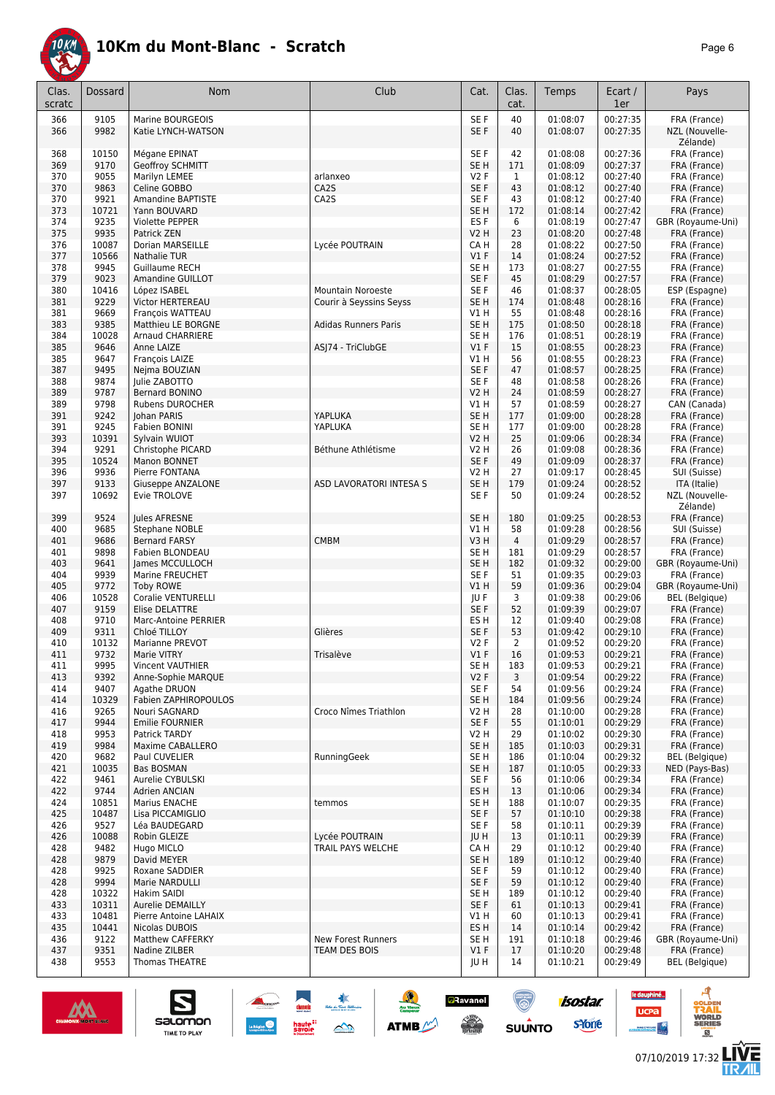

| Clas.<br>scratc | Dossard | <b>Nom</b>                | Club                        | Cat.             | Clas.<br>cat.  | Temps    | Ecart /<br>1er       | Pays                         |
|-----------------|---------|---------------------------|-----------------------------|------------------|----------------|----------|----------------------|------------------------------|
| 366             | 9105    | Marine BOURGEOIS          |                             | SE F             | 40             | 01:08:07 | 00:27:35             | FRA (France)                 |
| 366             | 9982    | Katie LYNCH-WATSON        |                             | SE F             | 40             | 01:08:07 | 00:27:35             | NZL (Nouvelle-<br>Zélande)   |
| 368             | 10150   | Mégane EPINAT             |                             | SE F             | 42             | 01:08:08 | 00:27:36             | FRA (France)                 |
| 369             | 9170    | <b>Geoffroy SCHMITT</b>   |                             | SE H             | 171            | 01:08:09 | 00:27:37             | FRA (France)                 |
| 370             | 9055    | <b>Marilvn LEMEE</b>      | arlanxeo                    | V2F              | $\mathbf{1}$   | 01:08:12 | 00:27:40             | FRA (France)                 |
| 370             | 9863    | Celine GOBBO              | CA <sub>2</sub> S           | SE <sub>F</sub>  | 43             | 01:08:12 | 00:27:40             | FRA (France)                 |
| 370             | 9921    | <b>Amandine BAPTISTE</b>  | CA2S                        | SE F             | 43             | 01:08:12 | 00:27:40             | FRA (France)                 |
| 373             | 10721   | Yann BOUVARD              |                             | SE <sub>H</sub>  | 172            | 01:08:14 | 00:27:42             | FRA (France)                 |
| 374             | 9235    | <b>Violette PEPPER</b>    |                             | ES F             | 6              | 01:08:19 | 00:27:47             | GBR (Royaume-Uni)            |
| 375             | 9935    | Patrick ZEN               |                             | V2 H             | 23             | 01:08:20 | 00:27:48             |                              |
|                 | 10087   |                           |                             |                  |                |          | 00:27:50             | FRA (France)<br>FRA (France) |
| 376             |         | Dorian MARSEILLE          | Lycée POUTRAIN              | CA H             | 28             | 01:08:22 |                      |                              |
| 377             | 10566   | <b>Nathalie TUR</b>       |                             | $VI$ F           | 14             | 01:08:24 | 00:27:52             | FRA (France)                 |
| 378             | 9945    | Guillaume RECH            |                             | SE H             | 173            | 01:08:27 | 00:27:55             | FRA (France)                 |
| 379             | 9023    | Amandine GUILLOT          |                             | SE F             | 45             | 01:08:29 | 00:27:57             | FRA (France)                 |
| 380             | 10416   | López ISABEL              | <b>Mountain Noroeste</b>    | SE F             | 46             | 01:08:37 | 00:28:05             | ESP (Espagne)                |
| 381             | 9229    | Victor HERTEREAU          | Courir à Seyssins Seyss     | SE H             | 174            | 01:08:48 | 00:28:16             | FRA (France)                 |
| 381             | 9669    | François WATTEAU          |                             | V1 H             | 55             | 01:08:48 | 00:28:16             | FRA (France)                 |
| 383             | 9385    | Matthieu LE BORGNE        | <b>Adidas Runners Paris</b> | SE <sub>H</sub>  | 175            | 01:08:50 | 00:28:18             | FRA (France)                 |
| 384             | 10028   | <b>Arnaud CHARRIERE</b>   |                             | SE H             | 176            | 01:08:51 | 00:28:19             | FRA (France)                 |
| 385             | 9646    | Anne LAIZE                | ASJ74 - TriClubGE           | $VI$ F           | 15             | 01:08:55 | 00:28:23             | FRA (France)                 |
| 385             | 9647    | François LAIZE            |                             | V1 H             | 56             | 01:08:55 | 00:28:23             | FRA (France)                 |
| 387             | 9495    | Nejma BOUZIAN             |                             | SE F             | 47             | 01:08:57 | 00:28:25             | FRA (France)                 |
| 388             | 9874    | Julie ZABOTTO             |                             | SE F             | 48             | 01:08:58 | 00:28:26             | FRA (France)                 |
| 389             | 9787    | Bernard BONINO            |                             | V2 H             | 24             | 01:08:59 | 00:28:27             | FRA (France)                 |
| 389             | 9798    | <b>Rubens DUROCHER</b>    |                             | V1 H             | 57             | 01:08:59 | 00:28:27             | CAN (Canada)                 |
| 391             | 9242    | Johan PARIS               | YAPLUKA                     | SE H             | 177            | 01:09:00 | 00:28:28             | FRA (France)                 |
| 391             | 9245    | <b>Fabien BONINI</b>      | YAPLUKA                     | SE H             | 177            | 01:09:00 | 00:28:28             | FRA (France)                 |
| 393             | 10391   | Sylvain WUIOT             |                             | V2 H             | 25             | 01:09:06 | 00:28:34             | FRA (France)                 |
| 394             | 9291    | Christophe PICARD         | Béthune Athlétisme          | V2 H             | 26             | 01:09:08 | 00:28:36             | FRA (France)                 |
| 395             | 10524   | Manon BONNET              |                             | SE F             | 49             | 01:09:09 | 00:28:37             | FRA (France)                 |
| 396             | 9936    | Pierre FONTANA            |                             | V2 H             | 27             | 01:09:17 | 00:28:45             | SUI (Suisse)                 |
| 397             | 9133    | Giuseppe ANZALONE         | ASD LAVORATORI INTESA S     | SE <sub>H</sub>  | 179            | 01:09:24 | 00:28:52             | ITA (Italie)                 |
| 397             | 10692   | Evie TROLOVE              |                             | SE F             | 50             | 01:09:24 | 00:28:52             | NZL (Nouvelle-               |
|                 |         |                           |                             |                  |                |          |                      | Zélande)                     |
| 399             | 9524    | Jules AFRESNE             |                             | SE <sub>H</sub>  | 180            | 01:09:25 | 00:28:53             | FRA (France)                 |
| 400             | 9685    | Stephane NOBLE            |                             | V1 H             | 58             | 01:09:28 | 00:28:56             | SUI (Suisse)                 |
|                 | 9686    |                           |                             |                  |                |          |                      |                              |
| 401             |         | <b>Bernard FARSY</b>      | <b>CMBM</b>                 | V3H              | 4              | 01:09:29 | 00:28:57             | FRA (France)                 |
| 401             | 9898    | Fabien BLONDEAU           |                             | SE H             | 181            | 01:09:29 | 00:28:57             | FRA (France)                 |
| 403             | 9641    | James MCCULLOCH           |                             | SE H             | 182            | 01:09:32 | 00:29:00             | GBR (Royaume-Uni)            |
| 404             | 9939    | Marine FREUCHET           |                             | SE F             | 51             | 01:09:35 | 00:29:03             | FRA (France)                 |
| 405             | 9772    | <b>Toby ROWE</b>          |                             | $VI$ H           | 59             | 01:09:36 | 00:29:04             | GBR (Royaume-Uni)            |
| 406             | 10528   | <b>Coralie VENTURELLI</b> |                             | JU F             | 3              | 01:09:38 | 00:29:06             | <b>BEL</b> (Belgique)        |
| 407             | 9159    | <b>Elise DELATTRE</b>     |                             | SE F             | 52             | 01:09:39 | 00:29:07             | FRA (France)                 |
| 408             | 9710    | Marc-Antoine PERRIER      |                             | ES H             | 12             | 01:09:40 | 00:29:08             | FRA (France)                 |
| 409             | 9311    | Chloé TILLOY              | Glières                     | SE F             | 53             | 01:09:42 | 00:29:10             | FRA (France)                 |
| 410             | 10132   | Marianne PREVOT           |                             | V2F              | $\overline{2}$ | 01:09:52 | 00:29:20             | FRA (France)                 |
| 411             | 9732    | Marie VITRY               | Trisalève                   | $VI$ F           | 16             | 01:09:53 | 00:29:21             | FRA (France)                 |
| 411             | 9995    | Vincent VAUTHIER          |                             | SE H             | 183            | 01:09:53 | 00:29:21             | FRA (France)                 |
| 413             | 9392    | Anne-Sophie MARQUE        |                             | V <sub>2</sub> F | 3              | 01:09:54 | 00:29:22             | FRA (France)                 |
| 414             | 9407    | Agathe DRUON              |                             | SE F             | 54             | 01:09:56 | 00:29:24             | FRA (France)                 |
| 414             | 10329   | Fabien ZAPHIROPOULOS      |                             | SE H             | 184            | 01:09:56 | 00:29:24             | FRA (France)                 |
| 416             | 9265    | Nouri SAGNARD             | Croco Nîmes Triathlon       | V <sub>2</sub> H | 28             | 01:10:00 | 00:29:28             | FRA (France)                 |
| 417             | 9944    | <b>Emilie FOURNIER</b>    |                             | SE F             | 55             | 01:10:01 | 00:29:29             | FRA (France)                 |
| 418             | 9953    | Patrick TARDY             |                             | V2 H             | 29             | 01:10:02 | 00:29:30             | FRA (France)                 |
| 419             | 9984    | Maxime CABALLERO          |                             | SE <sub>H</sub>  | 185            | 01:10:03 | 00:29:31             | FRA (France)                 |
| 420             | 9682    | Paul CUVELIER             | RunningGeek                 | SE H             | 186            | 01:10:04 | 00:29:32             | <b>BEL</b> (Belgique)        |
| 421             | 10035   | Bas BOSMAN                |                             | SE H             | 187            | 01:10:05 | 00:29:33             | NED (Pays-Bas)               |
| 422             | 9461    | Aurelie CYBULSKI          |                             | SE F             | 56             | 01:10:06 | 00:29:34             | FRA (France)                 |
| 422             | 9744    | Adrien ANCIAN             |                             | ES H             | 13             | 01:10:06 | 00:29:34             | FRA (France)                 |
| 424             | 10851   | Marius ENACHE             | temmos                      | SE H             | 188            | 01:10:07 | 00:29:35             | FRA (France)                 |
| 425             | 10487   | Lisa PICCAMIGLIO          |                             | SE F             | 57             | 01:10:10 | 00:29:38             | FRA (France)                 |
| 426             | 9527    | Léa BAUDEGARD             |                             | SE F             | 58             | 01:10:11 | 00:29:39             | FRA (France)                 |
| 426             | 10088   | Robin GLEIZE              | Lycée POUTRAIN              | JU H             | 13             | 01:10:11 | 00:29:39             | FRA (France)                 |
| 428             | 9482    | Hugo MICLO                | TRAIL PAYS WELCHE           | CA H             | 29             | 01:10:12 | 00:29:40             | FRA (France)                 |
| 428             | 9879    | David MEYER               |                             | SE H             | 189            | 01:10:12 | 00:29:40             | FRA (France)                 |
| 428             | 9925    | Roxane SADDIER            |                             | SE F             | 59             | 01:10:12 | 00:29:40             | FRA (France)                 |
| 428             | 9994    | Marie NARDULLI            |                             | SE F             | 59             | 01:10:12 | 00:29:40             | FRA (France)                 |
| 428             | 10322   | Hakim SAIDI               |                             | SE H             | 189            | 01:10:12 | 00:29:40             | FRA (France)                 |
| 433             | 10311   | Aurelie DEMAILLY          |                             | SE F             | 61             | 01:10:13 | 00:29:41             | FRA (France)                 |
|                 | 10481   | Pierre Antoine LAHAIX     |                             |                  |                |          |                      | FRA (France)                 |
| 433             |         |                           |                             | V1 H             | 60             | 01:10:13 | 00:29:41<br>00:29:42 |                              |
| 435             | 10441   | Nicolas DUBOIS            | <b>New Forest Runners</b>   | ES H<br>SE H     | 14             | 01:10:14 |                      | FRA (France)                 |
| 436             | 9122    | Matthew CAFFERKY          |                             |                  | 191            | 01:10:18 | 00:29:46             | GBR (Royaume-Uni)            |
| 437             | 9351    | Nadine ZILBER             | TEAM DES BOIS               | $VI$ F           | 17             | 01:10:20 | 00:29:48             | FRA (France)                 |
| 438             | 9553    | Thomas THEATRE            |                             | JU H             | 14             | 01:10:21 | 00:29:49             | <b>BEL</b> (Belgique)        |

大學

 $\rightarrow$ 

ATMB

**aRavanel** 

**SERVICE** 

 $\bigcirc$ 

 $su\overset{\bullet}{\mathsf{unro}}$ 



S

salomon

TIME TO PLAY

le dauphiné...

**UCPa** 

*<u>ANGLE</u>RENCE</u>* 

isostar.

sYone

A

**VORLD**<br>ERIES

 $<sup>B</sup>$ </sup>

**LIVE<br>TR***A***IL**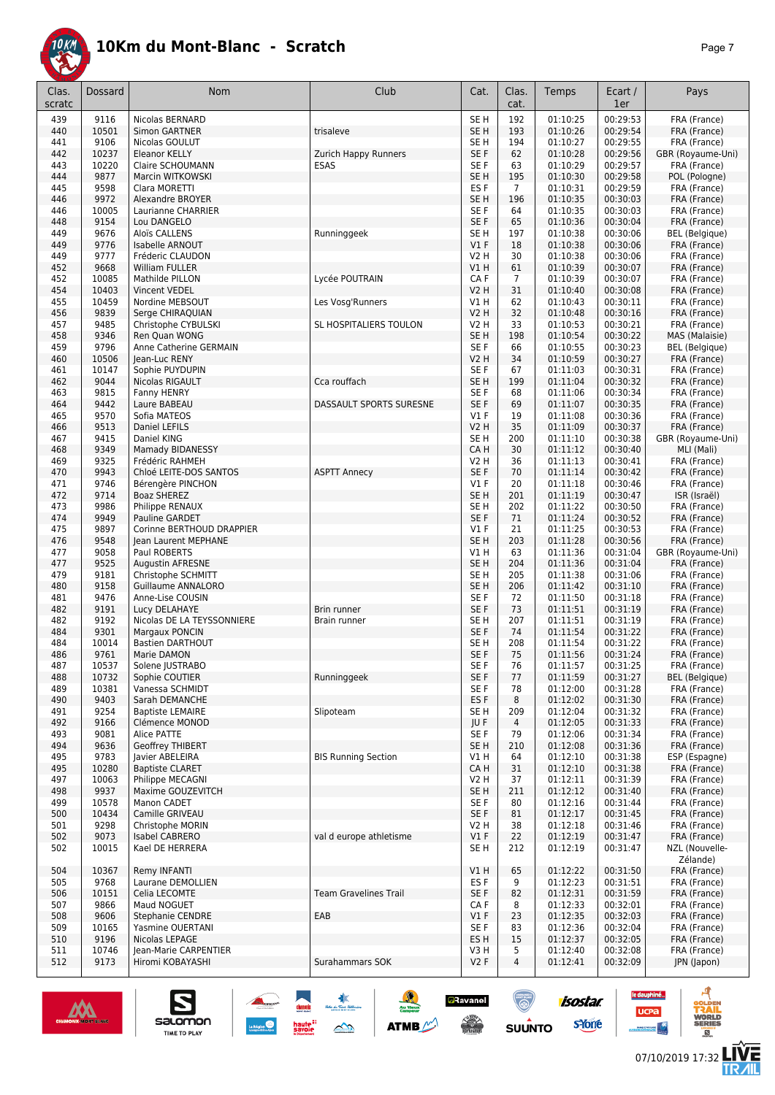

| Clas.<br>scratc | Dossard       | <b>Nom</b>                                  | Club                         | Cat.                               | Clas.<br>cat.         | Temps                | Ecart /<br>1er       | Pays                                  |
|-----------------|---------------|---------------------------------------------|------------------------------|------------------------------------|-----------------------|----------------------|----------------------|---------------------------------------|
| 439             | 9116          | Nicolas BERNARD                             |                              | SE <sub>H</sub>                    | 192                   | 01:10:25             | 00:29:53             | FRA (France)                          |
| 440             | 10501         | <b>Simon GARTNER</b>                        | trisaleve                    | SE <sub>H</sub>                    | 193                   | 01:10:26             | 00:29:54             | FRA (France)                          |
| 441             | 9106          | Nicolas GOULUT                              |                              | SE <sub>H</sub>                    | 194                   | 01:10:27             | 00:29:55             | FRA (France)                          |
| 442             | 10237         | Eleanor KELLY                               | Zurich Happy Runners         | SE F                               | 62                    | 01:10:28             | 00:29:56             | GBR (Royaume-Uni)                     |
| 443             | 10220         | <b>Claire SCHOUMANN</b>                     | <b>ESAS</b>                  | SE F                               | 63                    | 01:10:29             | 00:29:57             | FRA (France)                          |
| 444             | 9877          | Marcin WITKOWSKI                            |                              | SE <sub>H</sub>                    | 195                   | 01:10:30             | 00:29:58             | POL (Pologne)                         |
| 445<br>446      | 9598<br>9972  | Clara MORETTI<br>Alexandre BROYER           |                              | ES <sub>F</sub><br>SE <sub>H</sub> | $\overline{7}$<br>196 | 01:10:31<br>01:10:35 | 00:29:59<br>00:30:03 | FRA (France)<br>FRA (France)          |
| 446             | 10005         | Laurianne CHARRIER                          |                              | SE F                               | 64                    | 01:10:35             | 00:30:03             | FRA (France)                          |
| 448             | 9154          | Lou DANGELO                                 |                              | SE F                               | 65                    | 01:10:36             | 00:30:04             | FRA (France)                          |
| 449             | 9676          | Aloïs CALLENS                               | Runninggeek                  | SE H                               | 197                   | 01:10:38             | 00:30:06             | <b>BEL</b> (Belgique)                 |
| 449             | 9776          | <b>Isabelle ARNOUT</b>                      |                              | $VI$ F                             | 18                    | 01:10:38             | 00:30:06             | FRA (France)                          |
| 449             | 9777          | Fréderic CLAUDON                            |                              | <b>V2 H</b>                        | 30                    | 01:10:38             | 00:30:06             | FRA (France)                          |
| 452             | 9668          | <b>William FULLER</b>                       |                              | <b>V1 H</b>                        | 61                    | 01:10:39             | 00:30:07             | FRA (France)                          |
| 452             | 10085         | Mathilde PILLON                             | Lycée POUTRAIN               | CA F                               | $\overline{7}$        | 01:10:39             | 00:30:07             | FRA (France)                          |
| 454             | 10403         | Vincent VEDEL                               |                              | <b>V2 H</b>                        | 31                    | 01:10:40             | 00:30:08             | FRA (France)                          |
| 455             | 10459         | Nordine MEBSOUT                             | Les Vosg'Runners             | V1 H                               | 62                    | 01:10:43             | 00:30:11             | FRA (France)                          |
| 456             | 9839          | Serge CHIRAQUIAN                            |                              | <b>V2 H</b>                        | 32                    | 01:10:48             | 00:30:16             | FRA (France)                          |
| 457             | 9485          | Christophe CYBULSKI                         | SL HOSPITALIERS TOULON       | V2 H                               | 33                    | 01:10:53             | 00:30:21             | FRA (France)                          |
| 458<br>459      | 9346<br>9796  | Ren Quan WONG<br>Anne Catherine GERMAIN     |                              | SE <sub>H</sub><br>SE F            | 198<br>66             | 01:10:54<br>01:10:55 | 00:30:22<br>00:30:23 | MAS (Malaisie)                        |
| 460             | 10506         | Jean-Luc RENY                               |                              | V2 H                               | 34                    | 01:10:59             | 00:30:27             | <b>BEL</b> (Belgique)<br>FRA (France) |
| 461             | 10147         | Sophie PUYDUPIN                             |                              | SE F                               | 67                    | 01:11:03             | 00:30:31             | FRA (France)                          |
| 462             | 9044          | Nicolas RIGAULT                             | Cca rouffach                 | SE H                               | 199                   | 01:11:04             | 00:30:32             | FRA (France)                          |
| 463             | 9815          | Fanny HENRY                                 |                              | SE F                               | 68                    | 01:11:06             | 00:30:34             | FRA (France)                          |
| 464             | 9442          | Laure BABEAU                                | DASSAULT SPORTS SURESNE      | SE F                               | 69                    | 01:11:07             | 00:30:35             | FRA (France)                          |
| 465             | 9570          | Sofia MATEOS                                |                              | $VI$ F                             | 19                    | 01:11:08             | 00:30:36             | FRA (France)                          |
| 466             | 9513          | Daniel LEFILS                               |                              | <b>V2 H</b>                        | 35                    | 01:11:09             | 00:30:37             | FRA (France)                          |
| 467             | 9415          | Daniel KING                                 |                              | SE <sub>H</sub>                    | 200                   | 01:11:10             | 00:30:38             | GBR (Royaume-Uni)                     |
| 468             | 9349          | Mamady BIDANESSY                            |                              | CA H                               | 30                    | 01:11:12             | 00:30:40             | MLI (Mali)                            |
| 469             | 9325          | Frédéric RAHMEH                             |                              | V2 H                               | 36                    | 01:11:13             | 00:30:41             | FRA (France)                          |
| 470             | 9943          | Chloé LEITE-DOS SANTOS                      | <b>ASPTT Annecy</b>          | SE F                               | 70                    | 01:11:14             | 00:30:42             | FRA (France)                          |
| 471             | 9746          | Bérengère PINCHON                           |                              | $VI$ F                             | 20                    | 01:11:18             | 00:30:46             | FRA (France)                          |
| 472<br>473      | 9714<br>9986  | <b>Boaz SHEREZ</b><br>Philippe RENAUX       |                              | SE <sub>H</sub><br>SE <sub>H</sub> | 201<br>202            | 01:11:19<br>01:11:22 | 00:30:47<br>00:30:50 | ISR (Israël)<br>FRA (France)          |
| 474             | 9949          | Pauline GARDET                              |                              | SE F                               | 71                    | 01:11:24             | 00:30:52             | FRA (France)                          |
| 475             | 9897          | Corinne BERTHOUD DRAPPIER                   |                              | $VI$ F                             | 21                    | 01:11:25             | 00:30:53             | FRA (France)                          |
| 476             | 9548          | Jean Laurent MEPHANE                        |                              | SE <sub>H</sub>                    | 203                   | 01:11:28             | 00:30:56             | FRA (France)                          |
| 477             | 9058          | Paul ROBERTS                                |                              | V1H                                | 63                    | 01:11:36             | 00:31:04             | GBR (Royaume-Uni)                     |
| 477             | 9525          | Augustin AFRESNE                            |                              | SE <sub>H</sub>                    | 204                   | 01:11:36             | 00:31:04             | FRA (France)                          |
| 479             | 9181          | Christophe SCHMITT                          |                              | SE H                               | 205                   | 01:11:38             | 00:31:06             | FRA (France)                          |
| 480             | 9158          | <b>Guillaume ANNALORO</b>                   |                              | SE <sub>H</sub>                    | 206                   | 01:11:42             | 00:31:10             | FRA (France)                          |
| 481             | 9476          | Anne-Lise COUSIN                            |                              | SE F                               | 72                    | 01:11:50             | 00:31:18             | FRA (France)                          |
| 482             | 9191          | Lucy DELAHAYE                               | Brin runner                  | SE F                               | 73                    | 01:11:51             | 00:31:19             | FRA (France)                          |
| 482<br>484      | 9192<br>9301  | Nicolas DE LA TEYSSONNIERE                  | Brain runner                 | SE <sub>H</sub><br>SE F            | 207<br>74             | 01:11:51<br>01:11:54 | 00:31:19<br>00:31:22 | FRA (France)                          |
| 484             | 10014         | Margaux PONCIN<br><b>Bastien DARTHOUT</b>   |                              | SE H                               | 208                   | 01:11:54             | 00:31:22             | FRA (France)<br>FRA (France)          |
| 486             | 9761          | Marie DAMON                                 |                              | SE F                               | 75                    | 01:11:56             | 00:31:24             | FRA (France)                          |
| 487             | 10537         | Solene JUSTRABO                             |                              | SE F                               | 76                    | 01:11:57             | 00:31:25             | FRA (France)                          |
| 488             | 10732         | Sophie COUTIER                              | Runninggeek                  | SE F                               | 77                    | 01:11:59             | 00:31:27             | BEL (Belgique)                        |
| 489             | 10381         | Vanessa SCHMIDT                             |                              | SE F                               | 78                    | 01:12:00             | 00:31:28             | FRA (France)                          |
| 490             | 9403          | Sarah DEMANCHE                              |                              | ES <sub>F</sub>                    | 8                     | 01:12:02             | 00:31:30             | FRA (France)                          |
| 491             | 9254          | <b>Baptiste LEMAIRE</b>                     | Slipoteam                    | SE H                               | 209                   | 01:12:04             | 00:31:32             | FRA (France)                          |
| 492             | 9166          | Clémence MONOD                              |                              | JU F                               | 4                     | 01:12:05             | 00:31:33             | FRA (France)                          |
| 493             | 9081          | Alice PATTE                                 |                              | SE F                               | 79                    | 01:12:06             | 00:31:34             | FRA (France)                          |
| 494             | 9636<br>9783  | Geoffrey THIBERT<br>Javier ABELEIRA         | <b>BIS Running Section</b>   | SE <sub>H</sub><br>V1H             | 210<br>64             | 01:12:08<br>01:12:10 | 00:31:36<br>00:31:38 | FRA (France)                          |
| 495<br>495      | 10280         | <b>Baptiste CLARET</b>                      |                              | CA H                               | 31                    | 01:12:10             | 00:31:38             | ESP (Espagne)<br>FRA (France)         |
| 497             | 10063         | Philippe MECAGNI                            |                              | V2 H                               | 37                    | 01:12:11             | 00:31:39             | FRA (France)                          |
| 498             | 9937          | Maxime GOUZEVITCH                           |                              | SE <sub>H</sub>                    | 211                   | 01:12:12             | 00:31:40             | FRA (France)                          |
| 499             | 10578         | Manon CADET                                 |                              | SE F                               | 80                    | 01:12:16             | 00:31:44             | FRA (France)                          |
| 500             | 10434         | Camille GRIVEAU                             |                              | SE F                               | 81                    | 01:12:17             | 00:31:45             | FRA (France)                          |
| 501             | 9298          | Christophe MORIN                            |                              | V2 H                               | 38                    | 01:12:18             | 00:31:46             | FRA (France)                          |
| 502             | 9073          | Isabel CABRERO                              | val d europe athletisme      | V1F                                | 22                    | 01:12:19             | 00:31:47             | FRA (France)                          |
| 502             | 10015         | Kael DE HERRERA                             |                              | SE H                               | 212                   | 01:12:19             | 00:31:47             | NZL (Nouvelle-<br>Zélande)            |
| 504             | 10367         | Remy INFANTI                                |                              | V1 H                               | 65                    | 01:12:22             | 00:31:50             | FRA (France)                          |
| 505             | 9768          | Laurane DEMOLLIEN                           |                              | ES <sub>F</sub>                    | 9                     | 01:12:23             | 00:31:51             | FRA (France)                          |
| 506             | 10151         | Celia LECOMTE                               | <b>Team Gravelines Trail</b> | SE F                               | 82                    | 01:12:31             | 00:31:59             | FRA (France)                          |
| 507             | 9866          | Maud NOGUET                                 |                              | CA F                               | 8                     | 01:12:33             | 00:32:01             | FRA (France)                          |
| 508<br>509      | 9606<br>10165 | <b>Stephanie CENDRE</b><br>Yasmine OUERTANI | EAB                          | $VI$ F<br>SE F                     | 23<br>83              | 01:12:35<br>01:12:36 | 00:32:03<br>00:32:04 | FRA (France)<br>FRA (France)          |
| 510             | 9196          | Nicolas LEPAGE                              |                              | ES H                               | 15                    | 01:12:37             | 00:32:05             | FRA (France)                          |
| 511             | 10746         | Jean-Marie CARPENTIER                       |                              | V3 H                               | 5                     | 01:12:40             | 00:32:08             | FRA (France)                          |
| 512             | 9173          | Hiromi KOBAYASHI                            | Surahammars SOK              | V2F                                | $\overline{4}$        | 01:12:41             | 00:32:09             | JPN (Japon)                           |
|                 |               |                                             |                              |                                    |                       |                      |                      |                                       |

大家

 $\rightarrow$ 

**ATMB** 

**a**Ravanel

 $\frac{1}{\sqrt{2}}$ 

 $\bigcirc$ 

 $su\overset{\bullet}{\mathsf{unro}}$ 



 $\sum_{\text{SALOMOM}}$ 

- 4

le dauphiné...

**UCPa** 

isostar.

**s**Yone

A

**VORLD**<br>ERIES

**LIVE<br>TR***A***IL**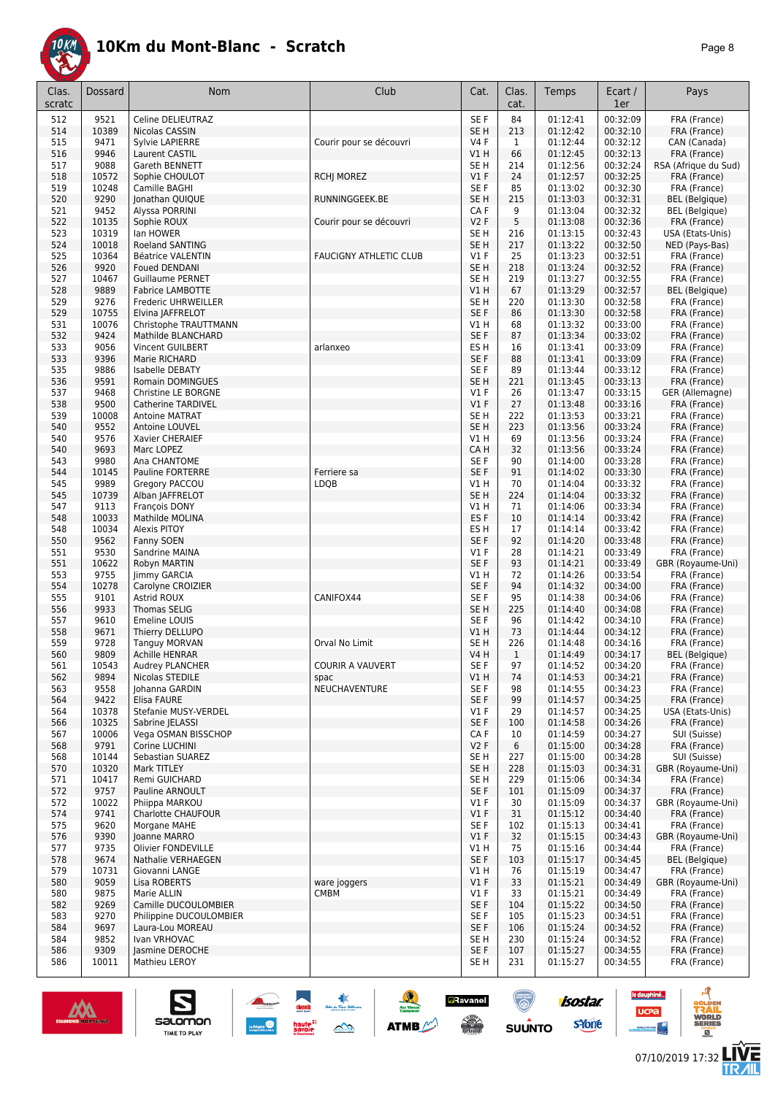

| Clas.<br>scratc | Dossard        | <b>Nom</b>                                     | Club                          | Cat.                    | Clas.<br>cat. | Temps                | Ecart /<br>1er       | Pays                                  |
|-----------------|----------------|------------------------------------------------|-------------------------------|-------------------------|---------------|----------------------|----------------------|---------------------------------------|
| 512             | 9521           | Celine DELIEUTRAZ                              |                               | SE F                    | 84            | 01:12:41             | 00:32:09             | FRA (France)                          |
| 514             | 10389          | Nicolas CASSIN                                 |                               | SE <sub>H</sub>         | 213           | 01:12:42             | 00:32:10             | FRA (France)                          |
| 515             | 9471           | Sylvie LAPIERRE                                | Courir pour se découvri       | <b>V4F</b>              | $\mathbf{1}$  | 01:12:44<br>01:12:45 | 00:32:12             | CAN (Canada)                          |
| 516<br>517      | 9946<br>9088   | Laurent CASTIL<br>Gareth BENNETT               |                               | VIH<br>SE <sub>H</sub>  | 66<br>214     | 01:12:56             | 00:32:13<br>00:32:24 | FRA (France)<br>RSA (Afrique du Sud)  |
| 518             | 10572          | Sophie CHOULOT                                 | <b>RCHJ MOREZ</b>             | V1F                     | 24            | 01:12:57             | 00:32:25             | FRA (France)                          |
| 519             | 10248          | Camille BAGHI                                  |                               | SE F                    | 85            | 01:13:02             | 00:32:30             | FRA (France)                          |
| 520             | 9290           | Jonathan QUIQUE                                | RUNNINGGEEK.BE                | SE <sub>H</sub>         | 215           | 01:13:03             | 00:32:31             | <b>BEL</b> (Belgique)                 |
| 521             | 9452           | Alyssa PORRINI                                 |                               | CA F                    | 9             | 01:13:04             | 00:32:32<br>00:32:36 | <b>BEL</b> (Belgique)                 |
| 522<br>523      | 10135<br>10319 | Sophie ROUX<br>lan HOWER                       | Courir pour se découvri       | V2F<br>SE <sub>H</sub>  | 5<br>216      | 01:13:08<br>01:13:15 | 00:32:43             | FRA (France)<br>USA (Etats-Unis)      |
| 524             | 10018          | <b>Roeland SANTING</b>                         |                               | SE <sub>H</sub>         | 217           | 01:13:22             | 00:32:50             | NED (Pays-Bas)                        |
| 525             | 10364          | Béatrice VALENTIN                              | <b>FAUCIGNY ATHLETIC CLUB</b> | $VI$ F                  | 25            | 01:13:23             | 00:32:51             | FRA (France)                          |
| 526             | 9920           | <b>Foued DENDANI</b>                           |                               | SE <sub>H</sub>         | 218           | 01:13:24             | 00:32:52             | FRA (France)                          |
| 527             | 10467          | <b>Guillaume PERNET</b>                        |                               | SE H                    | 219           | 01:13:27             | 00:32:55             | FRA (France)                          |
| 528<br>529      | 9889<br>9276   | <b>Fabrice LAMBOTTE</b><br>Frederic UHRWEILLER |                               | VIH<br>SE <sub>H</sub>  | 67<br>220     | 01:13:29<br>01:13:30 | 00:32:57<br>00:32:58 | <b>BEL</b> (Belgique)<br>FRA (France) |
| 529             | 10755          | Elvina JAFFRELOT                               |                               | SE F                    | 86            | 01:13:30             | 00:32:58             | FRA (France)                          |
| 531             | 10076          | Christophe TRAUTTMANN                          |                               | V1H                     | 68            | 01:13:32             | 00:33:00             | FRA (France)                          |
| 532             | 9424           | Mathilde BLANCHARD                             |                               | SE F                    | 87            | 01:13:34             | 00:33:02             | FRA (France)                          |
| 533             | 9056           | <b>Vincent GUILBERT</b>                        | arlanxeo                      | ES <sub>H</sub>         | 16            | 01:13:41             | 00:33:09             | FRA (France)                          |
| 533<br>535      | 9396<br>9886   | Marie RICHARD<br><b>Isabelle DEBATY</b>        |                               | SE F<br>SE F            | 88<br>89      | 01:13:41<br>01:13:44 | 00:33:09<br>00:33:12 | FRA (France)<br>FRA (France)          |
| 536             | 9591           | Romain DOMINGUES                               |                               | SE <sub>H</sub>         | 221           | 01:13:45             | 00:33:13             | FRA (France)                          |
| 537             | 9468           | Christine LE BORGNE                            |                               | $VI$ F                  | 26            | 01:13:47             | 00:33:15             | GER (Allemagne)                       |
| 538             | 9500           | <b>Catherine TARDIVEL</b>                      |                               | $VI$ F                  | 27            | 01:13:48             | 00:33:16             | FRA (France)                          |
| 539             | 10008          | <b>Antoine MATRAT</b>                          |                               | SE H                    | 222           | 01:13:53             | 00:33:21             | FRA (France)                          |
| 540<br>540      | 9552<br>9576   | Antoine LOUVEL<br>Xavier CHERAIEF              |                               | SE <sub>H</sub><br>V1 H | 223<br>69     | 01:13:56<br>01:13:56 | 00:33:24<br>00:33:24 | FRA (France)<br>FRA (France)          |
| 540             | 9693           | Marc LOPEZ                                     |                               | CA H                    | 32            | 01:13:56             | 00:33:24             | FRA (France)                          |
| 543             | 9980           | Ana CHANTOME                                   |                               | SE F                    | 90            | 01:14:00             | 00:33:28             | FRA (France)                          |
| 544             | 10145          | Pauline FORTERRE                               | Ferriere sa                   | SE F                    | 91            | 01:14:02             | 00:33:30             | FRA (France)                          |
| 545             | 9989           | Gregory PACCOU                                 | LDQB                          | V1H                     | 70            | 01:14:04             | 00:33:32             | FRA (France)                          |
| 545<br>547      | 10739<br>9113  | Alban JAFFRELOT<br>François DONY               |                               | SE <sub>H</sub><br>V1H  | 224<br>71     | 01:14:04<br>01:14:06 | 00:33:32<br>00:33:34 | FRA (France)<br>FRA (France)          |
| 548             | 10033          | Mathilde MOLINA                                |                               | ES <sub>F</sub>         | 10            | 01:14:14             | 00:33:42             | FRA (France)                          |
| 548             | 10034          | <b>Alexis PITOY</b>                            |                               | ES <sub>H</sub>         | 17            | 01:14:14             | 00:33:42             | FRA (France)                          |
| 550             | 9562           | Fanny SOEN                                     |                               | SE F                    | 92            | 01:14:20             | 00:33:48             | FRA (France)                          |
| 551             | 9530           | Sandrine MAINA                                 |                               | $VI$ F                  | 28            | 01:14:21             | 00:33:49             | FRA (France)                          |
| 551<br>553      | 10622<br>9755  | Robyn MARTIN<br>Jimmy GARCIA                   |                               | SE F<br>V1 H            | 93<br>72      | 01:14:21<br>01:14:26 | 00:33:49<br>00:33:54 | GBR (Royaume-Uni)<br>FRA (France)     |
| 554             | 10278          | Carolyne CROIZIER                              |                               | SE F                    | 94            | 01:14:32             | 00:34:00             | FRA (France)                          |
| 555             | 9101           | Astrid ROUX                                    | CANIFOX44                     | SE <sub>F</sub>         | 95            | 01:14:38             | 00:34:06             | FRA (France)                          |
| 556             | 9933           | <b>Thomas SELIG</b>                            |                               | SE <sub>H</sub>         | 225           | 01:14:40             | 00:34:08             | FRA (France)                          |
| 557<br>558      | 9610<br>9671   | Emeline LOUIS<br>Thierry DELLUPO               |                               | SE F<br>V1H             | 96<br>73      | 01:14:42<br>01:14:44 | 00:34:10<br>00:34:12 | FRA (France)<br>FRA (France)          |
| 559             | 9728           | <b>Tanguy MORVAN</b>                           | Orval No Limit                | SE <sub>H</sub>         | 226           | 01:14:48             | 00:34:16             | FRA (France)                          |
| 560             | 9809           | <b>Achille HENRAR</b>                          |                               | V4 H                    | $\mathbf 1$   | 01:14:49             | 00:34:17             | <b>BEL</b> (Belgique)                 |
| 561             | 10543          | Audrey PLANCHER                                | COURIR A VAUVERT              | SE F                    | 97            | 01:14:52             | 00:34:20             | FRA (France)                          |
| 562             | 9894           | Nicolas STEDILE                                | spac                          | V1H                     | 74            | 01:14:53             | 00:34:21             | FRA (France)                          |
| 563<br>564      | 9558<br>9422   | Iohanna GARDIN<br>Elisa FAURE                  | <b>NEUCHAVENTURE</b>          | SE F<br>SE F            | 98<br>99      | 01:14:55<br>01:14:57 | 00:34:23<br>00:34:25 | FRA (France)<br>FRA (France)          |
| 564             | 10378          | Stefanie MUSY-VERDEL                           |                               | $VI$ F                  | 29            | 01:14:57             | 00:34:25             | USA (Etats-Unis)                      |
| 566             | 10325          | Sabrine   ELASSI                               |                               | SE F                    | 100           | 01:14:58             | 00:34:26             | FRA (France)                          |
| 567             | 10006          | Vega OSMAN BISSCHOP                            |                               | CAF                     | 10            | 01:14:59             | 00:34:27             | SUI (Suisse)                          |
| 568             | 9791<br>10144  | Corine LUCHINI                                 |                               | V2F<br>SE <sub>H</sub>  | 6             | 01:15:00             | 00:34:28<br>00:34:28 | FRA (France)                          |
| 568<br>570      | 10320          | Sebastian SUAREZ<br>Mark TITLEY                |                               | SE <sub>H</sub>         | 227<br>228    | 01:15:00<br>01:15:03 | 00:34:31             | SUI (Suisse)<br>GBR (Royaume-Uni)     |
| 571             | 10417          | Remi GUICHARD                                  |                               | SE <sub>H</sub>         | 229           | 01:15:06             | 00:34:34             | FRA (France)                          |
| 572             | 9757           | Pauline ARNOULT                                |                               | SE F                    | 101           | 01:15:09             | 00:34:37             | FRA (France)                          |
| 572             | 10022          | Phiippa MARKOU                                 |                               | $VI$ F                  | 30            | 01:15:09             | 00:34:37             | GBR (Royaume-Uni)                     |
| 574             | 9741<br>9620   | Charlotte CHAUFOUR                             |                               | $VI$ F<br>SE F          | 31            | 01:15:12<br>01:15:13 | 00:34:40<br>00:34:41 | FRA (France)<br>FRA (France)          |
| 575<br>576      | 9390           | Morgane MAHE<br>Joanne MARRO                   |                               | $VI$ F                  | 102<br>32     | 01:15:15             | 00:34:43             | GBR (Royaume-Uni)                     |
| 577             | 9735           | Olivier FONDEVILLE                             |                               | V1 H                    | 75            | 01:15:16             | 00:34:44             | FRA (France)                          |
| 578             | 9674           | Nathalie VERHAEGEN                             |                               | SE F                    | 103           | 01:15:17             | 00:34:45             | BEL (Belgique)                        |
| 579             | 10731          | Giovanni LANGE                                 |                               | V1H                     | 76            | 01:15:19             | 00:34:47             | FRA (France)                          |
| 580<br>580      | 9059<br>9875   | Lisa ROBERTS<br>Marie ALLIN                    | ware joggers<br><b>CMBM</b>   | V1F<br>$VI$ F           | 33<br>33      | 01:15:21<br>01:15:21 | 00:34:49<br>00:34:49 | GBR (Royaume-Uni)<br>FRA (France)     |
| 582             | 9269           | Camille DUCOULOMBIER                           |                               | SE F                    | 104           | 01:15:22             | 00:34:50             | FRA (France)                          |
| 583             | 9270           | Philippine DUCOULOMBIER                        |                               | SE F                    | 105           | 01:15:23             | 00:34:51             | FRA (France)                          |
| 584             | 9697           | Laura-Lou MOREAU                               |                               | SE F                    | 106           | 01:15:24             | 00:34:52             | FRA (France)                          |
| 584             | 9852           | Ivan VRHOVAC                                   |                               | SE H                    | 230           | 01:15:24             | 00:34:52             | FRA (France)                          |
| 586<br>586      | 9309<br>10011  | Jasmine DEROCHE<br>Mathieu LEROY               |                               | SE F<br>SE H            | 107<br>231    | 01:15:27<br>01:15:27 | 00:34:55<br>00:34:55 | FRA (France)<br>FRA (France)          |
|                 |                |                                                |                               |                         |               |                      |                      |                                       |

春

 $\rightarrow$ 

 $\frac{\sqrt{2}}{2}$ 

**ATMB** 

**a**Ravanel

 $\frac{1}{\sqrt{2}}$ 



S

salomon

TIME TO PLAY

G

le dauphiné...

**UCPa** 

isostar.

**s**Yone

 $\overline{\circ}$ 

 $su\overset{\bullet}{\mathsf{unro}}$ 

A

**VORLD**<br>ERIES

 $<sup>B</sup>$ </sup>

**LIVE<br>TR***A***IL**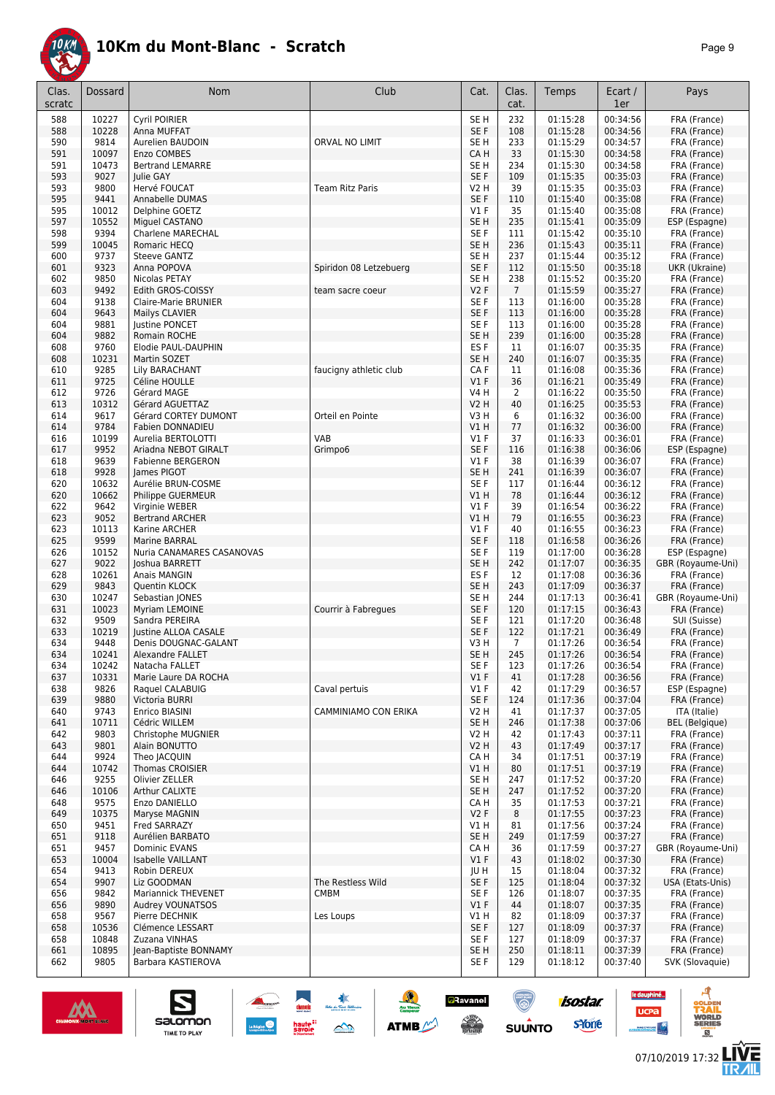

| Clas.      | Dossard        | <b>Nom</b>                                       | Club                             | Cat.                               | Clas.          | Temps                | Ecart /              | Pays                             |
|------------|----------------|--------------------------------------------------|----------------------------------|------------------------------------|----------------|----------------------|----------------------|----------------------------------|
| scratc     |                |                                                  |                                  |                                    | cat.           |                      | 1er                  |                                  |
| 588        | 10227          | Cyril POIRIER                                    |                                  | SE <sub>H</sub>                    | 232            | 01:15:28             | 00:34:56             | FRA (France)                     |
| 588        | 10228          | Anna MUFFAT                                      |                                  | SE F                               | 108            | 01:15:28             | 00:34:56             | FRA (France)                     |
| 590        | 9814           | Aurelien BAUDOIN                                 | ORVAL NO LIMIT                   | SE H                               | 233            | 01:15:29             | 00:34:57             | FRA (France)                     |
| 591<br>591 | 10097<br>10473 | Enzo COMBES<br><b>Bertrand LEMARRE</b>           |                                  | CA H<br>SE H                       | 33<br>234      | 01:15:30<br>01:15:30 | 00:34:58<br>00:34:58 | FRA (France)<br>FRA (France)     |
| 593        | 9027           | Julie GAY                                        |                                  | SE F                               | 109            | 01:15:35             | 00:35:03             | FRA (France)                     |
| 593        | 9800           | Hervé FOUCAT                                     | <b>Team Ritz Paris</b>           | V2 H                               | 39             | 01:15:35             | 00:35:03             | FRA (France)                     |
| 595        | 9441           | Annabelle DUMAS                                  |                                  | SE F                               | 110            | 01:15:40             | 00:35:08             | FRA (France)                     |
| 595        | 10012          | Delphine GOETZ                                   |                                  | $VI$ F                             | 35             | 01:15:40             | 00:35:08             | FRA (France)                     |
| 597        | 10552          | Miguel CASTANO                                   |                                  | SE <sub>H</sub>                    | 235            | 01:15:41             | 00:35:09             | ESP (Espagne)                    |
| 598        | 9394           | <b>Charlene MARECHAL</b>                         |                                  | SE F                               | 111            | 01:15:42             | 00:35:10             | FRA (France)                     |
| 599        | 10045          | Romaric HECQ                                     |                                  | SE <sub>H</sub>                    | 236            | 01:15:43             | 00:35:11             | FRA (France)                     |
| 600<br>601 | 9737<br>9323   | <b>Steeve GANTZ</b><br>Anna POPOVA               | Spiridon 08 Letzebuerg           | SE H<br>SE F                       | 237<br>112     | 01:15:44<br>01:15:50 | 00:35:12<br>00:35:18 | FRA (France)<br>UKR (Ukraine)    |
| 602        | 9850           | Nicolas PETAY                                    |                                  | SE H                               | 238            | 01:15:52             | 00:35:20             | FRA (France)                     |
| 603        | 9492           | Edith GROS-COISSY                                | team sacre coeur                 | <b>V2F</b>                         | $\overline{7}$ | 01:15:59             | 00:35:27             | FRA (France)                     |
| 604        | 9138           | Claire-Marie BRUNIER                             |                                  | SE <sub>F</sub>                    | 113            | 01:16:00             | 00:35:28             | FRA (France)                     |
| 604        | 9643           | Mailys CLAVIER                                   |                                  | SE F                               | 113            | 01:16:00             | 00:35:28             | FRA (France)                     |
| 604        | 9881           | <b>Justine PONCET</b>                            |                                  | SE <sub>F</sub>                    | 113            | 01:16:00             | 00:35:28             | FRA (France)                     |
| 604        | 9882           | Romain ROCHE                                     |                                  | SE <sub>H</sub>                    | 239            | 01:16:00             | 00:35:28             | FRA (France)                     |
| 608<br>608 | 9760<br>10231  | Elodie PAUL-DAUPHIN<br>Martin SOZET              |                                  | ES <sub>F</sub><br>SE <sub>H</sub> | 11<br>240      | 01:16:07<br>01:16:07 | 00:35:35<br>00:35:35 | FRA (France)<br>FRA (France)     |
| 610        | 9285           | Lily BARACHANT                                   | faucigny athletic club           | CA F                               | 11             | 01:16:08             | 00:35:36             | FRA (France)                     |
| 611        | 9725           | Céline HOULLE                                    |                                  | $VI$ F                             | 36             | 01:16:21             | 00:35:49             | FRA (France)                     |
| 612        | 9726           | Gérard MAGE                                      |                                  | V4 H                               | 2              | 01:16:22             | 00:35:50             | FRA (France)                     |
| 613        | 10312          | Gérard AGUETTAZ                                  |                                  | V2 H                               | 40             | 01:16:25             | 00:35:53             | FRA (France)                     |
| 614        | 9617           | Gérard CORTEY DUMONT                             | Orteil en Pointe                 | V3 H                               | 6              | 01:16:32             | 00:36:00             | FRA (France)                     |
| 614        | 9784           | Fabien DONNADIEU                                 |                                  | V1 H                               | 77             | 01:16:32             | 00:36:00             | FRA (France)                     |
| 616        | 10199<br>9952  | Aurelia BERTOLOTTI                               | VAB                              | $VI$ F<br>SE F                     | 37<br>116      | 01:16:33<br>01:16:38 | 00:36:01             | FRA (France)                     |
| 617<br>618 | 9639           | Ariadna NEBOT GIRALT<br><b>Fabienne BERGERON</b> | Grimpo6                          | $VI$ F                             | 38             | 01:16:39             | 00:36:06<br>00:36:07 | ESP (Espagne)<br>FRA (France)    |
| 618        | 9928           | James PIGOT                                      |                                  | SE <sub>H</sub>                    | 241            | 01:16:39             | 00:36:07             | FRA (France)                     |
| 620        | 10632          | Aurélie BRUN-COSME                               |                                  | SE <sub>F</sub>                    | 117            | 01:16:44             | 00:36:12             | FRA (France)                     |
| 620        | 10662          | Philippe GUERMEUR                                |                                  | V1 H                               | 78             | 01:16:44             | 00:36:12             | FRA (France)                     |
| 622        | 9642           | Virginie WEBER                                   |                                  | $VI$ F                             | 39             | 01:16:54             | 00:36:22             | FRA (France)                     |
| 623        | 9052           | <b>Bertrand ARCHER</b>                           |                                  | V1 H                               | 79             | 01:16:55             | 00:36:23             | FRA (France)                     |
| 623<br>625 | 10113<br>9599  | Karine ARCHER<br>Marine BARRAL                   |                                  | $VI$ F<br>SE F                     | 40<br>118      | 01:16:55<br>01:16:58 | 00:36:23<br>00:36:26 | FRA (France)<br>FRA (France)     |
| 626        | 10152          | Nuria CANAMARES CASANOVAS                        |                                  | SE F                               | 119            | 01:17:00             | 00:36:28             | ESP (Espagne)                    |
| 627        | 9022           | Joshua BARRETT                                   |                                  | SE <sub>H</sub>                    | 242            | 01:17:07             | 00:36:35             | GBR (Royaume-Uni)                |
| 628        | 10261          | Anais MANGIN                                     |                                  | ES <sub>F</sub>                    | 12             | 01:17:08             | 00:36:36             | FRA (France)                     |
| 629        | 9843           | Quentin KLOCK                                    |                                  | SE <sub>H</sub>                    | 243            | 01:17:09             | 00:36:37             | FRA (France)                     |
| 630        | 10247          | Sebastian JONES                                  |                                  | SE H                               | 244            | 01:17:13             | 00:36:41             | GBR (Royaume-Uni)                |
| 631<br>632 | 10023<br>9509  | Myriam LEMOINE<br>Sandra PEREIRA                 | Courrir à Fabregues              | SE F<br>SE <sub>F</sub>            | 120<br>121     | 01:17:15<br>01:17:20 | 00:36:43<br>00:36:48 | FRA (France)<br>SUI (Suisse)     |
| 633        | 10219          | Justine ALLOA CASALE                             |                                  | SE F                               | 122            | 01:17:21             | 00:36:49             | FRA (France)                     |
| 634        | 9448           | Denis DOUGNAC-GALANT                             |                                  | V3 H                               | 7              | 01:17:26             | 00:36:54             | FRA (France)                     |
| 634        | 10241          | Alexandre FALLET                                 |                                  | SE <sub>H</sub>                    | 245            | 01:17:26             | 00:36:54             | FRA (France)                     |
| 634        | 10242          | Natacha FALLET                                   |                                  | SE F                               | 123            | 01:17:26             | 00:36:54             | FRA (France)                     |
| 637        | 10331          | Marie Laure DA ROCHA                             |                                  | $VI$ F                             | 41             | 01:17:28             | 00:36:56             | FRA (France)                     |
| 638        | 9826           | Raquel CALABUIG                                  | Caval pertuis                    | $VI$ F                             | 42             | 01:17:29             | 00:36:57             | ESP (Espagne)                    |
| 639<br>640 | 9880<br>9743   | Victoria BURRI<br>Enrico BIASINI                 | CAMMINIAMO CON ERIKA             | SE F<br>V2 H                       | 124<br>41      | 01:17:36<br>01:17:37 | 00:37:04<br>00:37:05 | FRA (France)<br>ITA (Italie)     |
| 641        | 10711          | Cédric WILLEM                                    |                                  | SE <sub>H</sub>                    | 246            | 01:17:38             | 00:37:06             | <b>BEL</b> (Belgique)            |
| 642        | 9803           | Christophe MUGNIER                               |                                  | V2 H                               | 42             | 01:17:43             | 00:37:11             | FRA (France)                     |
| 643        | 9801           | Alain BONUTTO                                    |                                  | V2 H                               | 43             | 01:17:49             | 00:37:17             | FRA (France)                     |
| 644        | 9924           | Theo JACQUIN                                     |                                  | CA H                               | 34             | 01:17:51             | 00:37:19             | FRA (France)                     |
| 644        | 10742          | Thomas CROISIER                                  |                                  | V1 H                               | 80             | 01:17:51             | 00:37:19             | FRA (France)                     |
| 646        | 9255           | Olivier ZELLER                                   |                                  | SE H                               | 247            | 01:17:52             | 00:37:20             | FRA (France)                     |
| 646<br>648 | 10106<br>9575  | Arthur CALIXTE<br>Enzo DANIELLO                  |                                  | SE H<br>CA H                       | 247<br>35      | 01:17:52<br>01:17:53 | 00:37:20<br>00:37:21 | FRA (France)<br>FRA (France)     |
| 649        | 10375          | Maryse MAGNIN                                    |                                  | V2F                                | 8              | 01:17:55             | 00:37:23             | FRA (France)                     |
| 650        | 9451           | Fred SARRAZY                                     |                                  | V1 H                               | 81             | 01:17:56             | 00:37:24             | FRA (France)                     |
| 651        | 9118           | Aurélien BARBATO                                 |                                  | SE H                               | 249            | 01:17:59             | 00:37:27             | FRA (France)                     |
| 651        | 9457           | Dominic EVANS                                    |                                  | CA H                               | 36             | 01:17:59             | 00:37:27             | GBR (Royaume-Uni)                |
| 653        | 10004          | Isabelle VAILLANT                                |                                  | $VI$ F                             | 43             | 01:18:02             | 00:37:30             | FRA (France)                     |
| 654        | 9413<br>9907   | Robin DEREUX                                     |                                  | JU H                               | 15             | 01:18:04             | 00:37:32             | FRA (France)                     |
| 654<br>656 | 9842           | Liz GOODMAN<br>Mariannick THEVENET               | The Restless Wild<br><b>CMBM</b> | SE F<br>SE F                       | 125<br>126     | 01:18:04<br>01:18:07 | 00:37:32<br>00:37:35 | USA (Etats-Unis)<br>FRA (France) |
| 656        | 9890           | Audrey VOUNATSOS                                 |                                  | $VI$ F                             | 44             | 01:18:07             | 00:37:35             | FRA (France)                     |
| 658        | 9567           | Pierre DECHNIK                                   | Les Loups                        | V1 H                               | 82             | 01:18:09             | 00:37:37             | FRA (France)                     |
| 658        | 10536          | Clémence LESSART                                 |                                  | SE F                               | 127            | 01:18:09             | 00:37:37             | FRA (France)                     |
| 658        | 10848          | Zuzana VINHAS                                    |                                  | SE F                               | 127            | 01:18:09             | 00:37:37             | FRA (France)                     |
| 661        | 10895          | Jean-Baptiste BONNAMY                            |                                  | SE H                               | 250            | 01:18:11             | 00:37:39             | FRA (France)                     |
| 662        | 9805           | Barbara KASTIEROVA                               |                                  | SE F                               | 129            | 01:18:12             | 00:37:40             | SVK (Slovaquie)                  |

大學

 $\rightarrow$ 

ATMB

**a**Ravanel

**SERVICE** 

 $\bigcirc$ 



S

Salomon

**isostar** 

sYone

A

**VORLD**<br>ERIES

**LIVE<br>TR***A***IL** 

le dauphiné...

**UCPa** 

**Excession Contract**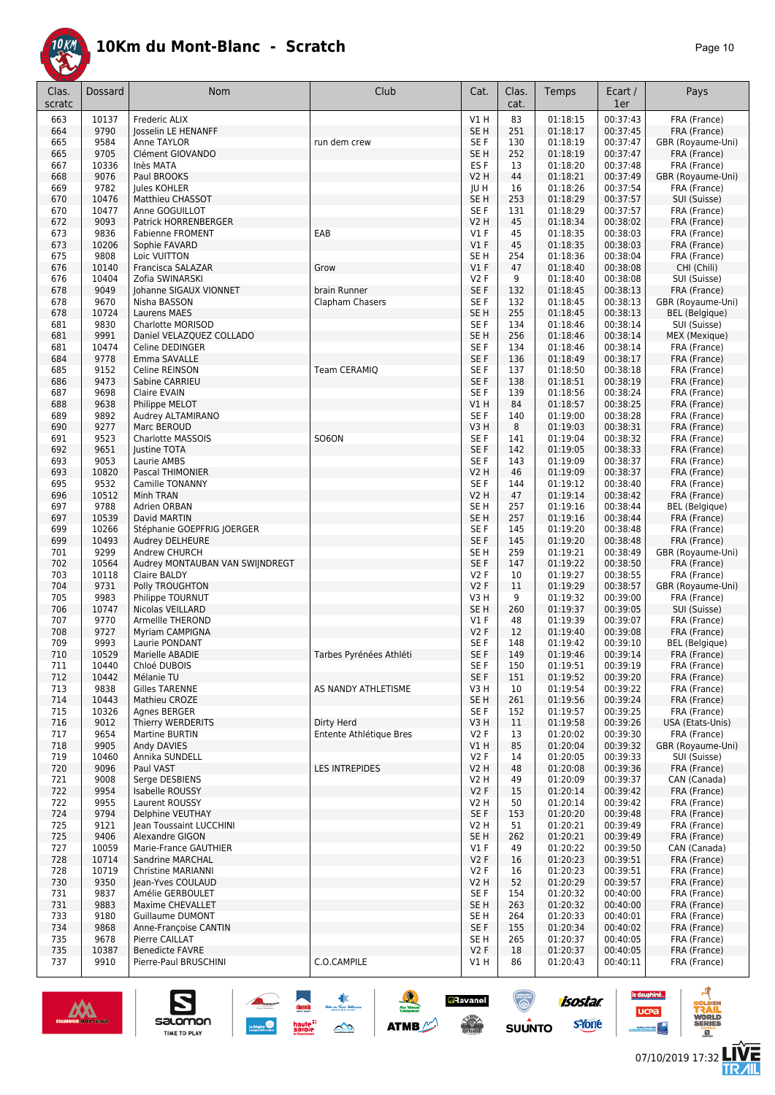

| Clas.<br>scratc | Dossard        | Nom                                           | Club                    | Cat.                               | Clas.<br>cat. | Temps                | Ecart /<br>1er       | Pays                                  |
|-----------------|----------------|-----------------------------------------------|-------------------------|------------------------------------|---------------|----------------------|----------------------|---------------------------------------|
| 663             | 10137          | Frederic ALIX                                 |                         | V1H                                | 83            | 01:18:15             | 00:37:43             | FRA (France)                          |
| 664             | 9790           | Josselin LE HENANFF                           |                         | SE <sub>H</sub>                    | 251           | 01:18:17             | 00:37:45             | FRA (France)                          |
| 665             | 9584           | Anne TAYLOR                                   | run dem crew            | SE F                               | 130           | 01:18:19             | 00:37:47             | GBR (Royaume-Uni)                     |
| 665             | 9705<br>10336  | Clément GIOVANDO<br>Inès MATA                 |                         | SE <sub>H</sub><br>ES <sub>F</sub> | 252           | 01:18:19<br>01:18:20 | 00:37:47<br>00:37:48 | FRA (France)                          |
| 667<br>668      | 9076           | Paul BROOKS                                   |                         | <b>V2 H</b>                        | 13<br>44      | 01:18:21             | 00:37:49             | FRA (France)<br>GBR (Royaume-Uni)     |
| 669             | 9782           | Jules KOHLER                                  |                         | JU H                               | 16            | 01:18:26             | 00:37:54             | FRA (France)                          |
| 670             | 10476          | Matthieu CHASSOT                              |                         | SE <sub>H</sub>                    | 253           | 01:18:29             | 00:37:57             | SUI (Suisse)                          |
| 670             | 10477          | Anne GOGUILLOT                                |                         | SE <sub>F</sub>                    | 131           | 01:18:29             | 00:37:57             | FRA (France)                          |
| 672             | 9093           | <b>Patrick HORRENBERGER</b>                   |                         | V2 H                               | 45            | 01:18:34             | 00:38:02             | FRA (France)                          |
| 673             | 9836           | <b>Fabienne FROMENT</b>                       | EAB                     | <b>V1 F</b>                        | 45            | 01:18:35             | 00:38:03             | FRA (France)                          |
| 673             | 10206          | Sophie FAVARD                                 |                         | $VI$ F                             | 45            | 01:18:35             | 00:38:03             | FRA (France)                          |
| 675             | 9808           | Loic VUITTON                                  |                         | SE <sub>H</sub>                    | 254           | 01:18:36             | 00:38:04             | FRA (France)                          |
| 676             | 10140          | Francisca SALAZAR                             | Grow                    | V1F                                | 47            | 01:18:40             | 00:38:08             | CHI (Chili)                           |
| 676<br>678      | 10404<br>9049  | Zofia SWINARSKI<br>Johanne SIGAUX VIONNET     | brain Runner            | <b>V2F</b><br>SE F                 | 9<br>132      | 01:18:40<br>01:18:45 | 00:38:08<br>00:38:13 | SUI (Suisse)<br>FRA (France)          |
| 678             | 9670           | Nisha BASSON                                  | Clapham Chasers         | SE <sub>F</sub>                    | 132           | 01:18:45             | 00:38:13             | GBR (Royaume-Uni)                     |
| 678             | 10724          | <b>Laurens MAES</b>                           |                         | SE <sub>H</sub>                    | 255           | 01:18:45             | 00:38:13             | <b>BEL</b> (Belgique)                 |
| 681             | 9830           | Charlotte MORISOD                             |                         | SE <sub>F</sub>                    | 134           | 01:18:46             | 00:38:14             | SUI (Suisse)                          |
| 681             | 9991           | Daniel VELAZQUEZ COLLADO                      |                         | SE <sub>H</sub>                    | 256           | 01:18:46             | 00:38:14             | MEX (Mexique)                         |
| 681             | 10474          | Celine DEDINGER                               |                         | SE F                               | 134           | 01:18:46             | 00:38:14             | FRA (France)                          |
| 684             | 9778           | Emma SAVALLE                                  |                         | SE <sub>F</sub>                    | 136           | 01:18:49             | 00:38:17             | FRA (France)                          |
| 685             | 9152           | Celine REINSON                                | Team CERAMIQ            | SE F                               | 137           | 01:18:50             | 00:38:18             | FRA (France)                          |
| 686             | 9473           | Sabine CARRIEU                                |                         | SE F                               | 138           | 01:18:51             | 00:38:19             | FRA (France)                          |
| 687             | 9698<br>9638   | Claire EVAIN                                  |                         | SE <sub>F</sub><br>V1H             | 139<br>84     | 01:18:56<br>01:18:57 | 00:38:24<br>00:38:25 | FRA (France)                          |
| 688<br>689      | 9892           | Philippe MELOT<br>Audrey ALTAMIRANO           |                         | SE F                               | 140           | 01:19:00             | 00:38:28             | FRA (France)<br>FRA (France)          |
| 690             | 9277           | Marc BEROUD                                   |                         | V3H                                | 8             | 01:19:03             | 00:38:31             | FRA (France)                          |
| 691             | 9523           | <b>Charlotte MASSOIS</b>                      | <b>SO6ON</b>            | SE <sub>F</sub>                    | 141           | 01:19:04             | 00:38:32             | FRA (France)                          |
| 692             | 9651           | Justine TOTA                                  |                         | SE <sub>F</sub>                    | 142           | 01:19:05             | 00:38:33             | FRA (France)                          |
| 693             | 9053           | Laurie AMBS                                   |                         | SE <sub>F</sub>                    | 143           | 01:19:09             | 00:38:37             | FRA (France)                          |
| 693             | 10820          | Pascal THIMONIER                              |                         | <b>V2 H</b>                        | 46            | 01:19:09             | 00:38:37             | FRA (France)                          |
| 695             | 9532           | <b>Camille TONANNY</b>                        |                         | SE <sub>F</sub>                    | 144           | 01:19:12             | 00:38:40             | FRA (France)                          |
| 696             | 10512          | Minh TRAN                                     |                         | V2 H                               | 47            | 01:19:14             | 00:38:42             | FRA (France)                          |
| 697             | 9788           | Adrien ORBAN                                  |                         | SE <sub>H</sub>                    | 257           | 01:19:16             | 00:38:44             | BEL (Belgique)                        |
| 697<br>699      | 10539<br>10266 | David MARTIN                                  |                         | SE <sub>H</sub><br>SE <sub>F</sub> | 257<br>145    | 01:19:16<br>01:19:20 | 00:38:44<br>00:38:48 | FRA (France)                          |
| 699             | 10493          | Stéphanie GOEPFRIG JOERGER<br>Audrey DELHEURE |                         | SE F                               | 145           | 01:19:20             | 00:38:48             | FRA (France)<br>FRA (France)          |
| 701             | 9299           | Andrew CHURCH                                 |                         | SE <sub>H</sub>                    | 259           | 01:19:21             | 00:38:49             | GBR (Royaume-Uni)                     |
| 702             | 10564          | Audrey MONTAUBAN VAN SWIJNDREGT               |                         | SE <sub>F</sub>                    | 147           | 01:19:22             | 00:38:50             | FRA (France)                          |
| 703             | 10118          | Claire BALDY                                  |                         | <b>V2F</b>                         | 10            | 01:19:27             | 00:38:55             | FRA (France)                          |
| 704             | 9731           | Polly TROUGHTON                               |                         | <b>V2F</b>                         | 11            | 01:19:29             | 00:38:57             | GBR (Royaume-Uni)                     |
| 705             | 9983           | Philippe TOURNUT                              |                         | V3H                                | 9             | 01:19:32             | 00:39:00             | FRA (France)                          |
| 706             | 10747          | Nicolas VEILLARD                              |                         | SE <sub>H</sub>                    | 260           | 01:19:37             | 00:39:05             | SUI (Suisse)                          |
| 707             | 9770           | Armellle THEROND                              |                         | <b>V1 F</b>                        | 48            | 01:19:39             | 00:39:07             | FRA (France)                          |
| 708<br>709      | 9727<br>9993   | <b>Myriam CAMPIGNA</b><br>Laurie PONDANT      |                         | <b>V2F</b><br>SE F                 | 12<br>148     | 01:19:40<br>01:19:42 | 00:39:08<br>00:39:10 | FRA (France)<br><b>BEL</b> (Belgique) |
| 710             | 10529          | Marielle ABADIE                               | Tarbes Pyrénées Athléti | SE F                               | 149           | 01:19:46             | 00:39:14             | FRA (France)                          |
| 711             | 10440          | Chloé DUBOIS                                  |                         | SE F                               | 150           | 01:19:51             | 00:39:19             | FRA (France)                          |
| 712             | 10442          | Mélanie TU                                    |                         | SE F                               | 151           | 01:19:52             | 00:39:20             | FRA (France)                          |
| 713             | 9838           | Gilles TARENNE                                | AS NANDY ATHLETISME     | V3 H                               | 10            | 01:19:54             | 00:39:22             | FRA (France)                          |
| 714             | 10443          | Mathieu CROZE                                 |                         | SE <sub>H</sub>                    | 261           | 01:19:56             | 00:39:24             | FRA (France)                          |
| 715             | 10326          | Agnes BERGER                                  |                         | SE F                               | 152           | 01:19:57             | 00:39:25             | FRA (France)                          |
| 716             | 9012           | Thierry WERDERITS                             | Dirty Herd              | V3H                                | 11            | 01:19:58             | 00:39:26             | USA (Etats-Unis)                      |
| 717<br>718      | 9654<br>9905   | <b>Martine BURTIN</b><br>Andy DAVIES          | Entente Athlétique Bres | V <sub>2</sub> F<br>V1 H           | 13<br>85      | 01:20:02<br>01:20:04 | 00:39:30<br>00:39:32 | FRA (France)<br>GBR (Royaume-Uni)     |
| 719             | 10460          | Annika SUNDELL                                |                         | V2F                                | 14            | 01:20:05             | 00:39:33             | SUI (Suisse)                          |
| 720             | 9096           | Paul VAST                                     | <b>LES INTREPIDES</b>   | V2 H                               | 48            | 01:20:08             | 00:39:36             | FRA (France)                          |
| 721             | 9008           | Serge DESBIENS                                |                         | V2 H                               | 49            | 01:20:09             | 00:39:37             | CAN (Canada)                          |
| 722             | 9954           | Isabelle ROUSSY                               |                         | V2F                                | 15            | 01:20:14             | 00:39:42             | FRA (France)                          |
| 722             | 9955           | Laurent ROUSSY                                |                         | V2 H                               | 50            | 01:20:14             | 00:39:42             | FRA (France)                          |
| 724             | 9794           | Delphine VEUTHAY                              |                         | SE F                               | 153           | 01:20:20             | 00:39:48             | FRA (France)                          |
| 725             | 9121           | Jean Toussaint LUCCHINI                       |                         | V2 H                               | 51            | 01:20:21             | 00:39:49             | FRA (France)                          |
| 725             | 9406           | Alexandre GIGON                               |                         | SE <sub>H</sub>                    | 262           | 01:20:21             | 00:39:49             | FRA (France)                          |
| 727             | 10059          | Marie-France GAUTHIER                         |                         | $VI$ F                             | 49            | 01:20:22             | 00:39:50             | CAN (Canada)                          |
| 728<br>728      | 10714<br>10719 | Sandrine MARCHAL<br><b>Christine MARIANNI</b> |                         | V2F<br><b>V2F</b>                  | 16<br>16      | 01:20:23<br>01:20:23 | 00:39:51<br>00:39:51 | FRA (France)<br>FRA (France)          |
| 730             | 9350           | Jean-Yves COULAUD                             |                         | <b>V2 H</b>                        | 52            | 01:20:29             | 00:39:57             | FRA (France)                          |
| 731             | 9837           | Amélie GERBOULET                              |                         | SE F                               | 154           | 01:20:32             | 00:40:00             | FRA (France)                          |
| 731             | 9883           | Maxime CHEVALLET                              |                         | SE H                               | 263           | 01:20:32             | 00:40:00             | FRA (France)                          |
| 733             | 9180           | Guillaume DUMONT                              |                         | SE H                               | 264           | 01:20:33             | 00:40:01             | FRA (France)                          |
| 734             | 9868           | Anne-Françoise CANTIN                         |                         | SE F                               | 155           | 01:20:34             | 00:40:02             | FRA (France)                          |
| 735             | 9678           | Pierre CAILLAT                                |                         | SE H                               | 265           | 01:20:37             | 00:40:05             | FRA (France)                          |
| 735             | 10387          | <b>Benedicte FAVRE</b>                        |                         | <b>V2F</b>                         | 18            | 01:20:37             | 00:40:05             | FRA (France)                          |
| 737             | 9910           | Pierre-Paul BRUSCHINI                         | C.O.CAMPILE             | V1 H                               | 86            | 01:20:43             | 00:40:11             | FRA (France)                          |

惠

 $\triangle$ 



 $SOLUTION \n $\sum_{\text{EMERORAN}}$$ 



ø

**LIVE<br>TR***A***IL** 

ucpa

isostar.

sYone

 $su\overset{\bullet}{\mathsf{unro}}$ 

**a**Ravanel

 $\frac{1}{\sqrt{2}}$ 

**ATMB**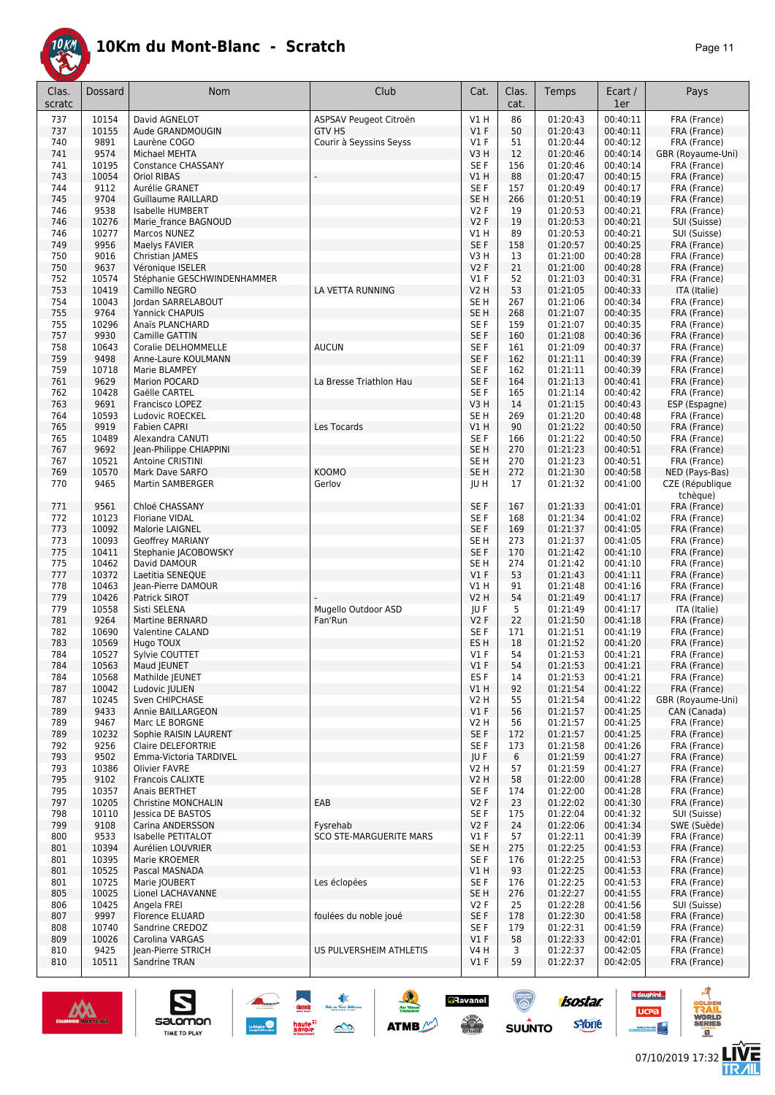

| Clas.<br>scratc | Dossard        | Nom                                             | Club                           | Cat.                      | Clas.<br>cat. | Temps                | Ecart /<br>1er       | Pays                              |
|-----------------|----------------|-------------------------------------------------|--------------------------------|---------------------------|---------------|----------------------|----------------------|-----------------------------------|
| 737             | 10154          | David AGNELOT                                   | ASPSAV Peugeot Citroën         | V1H                       | 86            | 01:20:43             | 00:40:11             | FRA (France)                      |
| 737             | 10155          | Aude GRANDMOUGIN                                | <b>GTV HS</b>                  | $VI$ F                    | 50            | 01:20:43             | 00:40:11             | FRA (France)                      |
| 740             | 9891           | Laurène COGO                                    | Courir à Seyssins Seyss        | $VI$ F                    | 51            | 01:20:44             | 00:40:12             | FRA (France)                      |
| 741             | 9574<br>10195  | Michael MEHTA                                   |                                | V3H<br>SE F               | 12<br>156     | 01:20:46<br>01:20:46 | 00:40:14<br>00:40:14 | GBR (Royaume-Uni)                 |
| 741<br>743      | 10054          | Constance CHASSANY<br><b>Oriol RIBAS</b>        |                                | V1 H                      | 88            | 01:20:47             | 00:40:15             | FRA (France)<br>FRA (France)      |
| 744             | 9112           | Aurélie GRANET                                  |                                | SE F                      | 157           | 01:20:49             | 00:40:17             | FRA (France)                      |
| 745             | 9704           | <b>Guillaume RAILLARD</b>                       |                                | SE <sub>H</sub>           | 266           | 01:20:51             | 00:40:19             | FRA (France)                      |
| 746             | 9538           | <b>Isabelle HUMBERT</b>                         |                                | V2F                       | 19            | 01:20:53             | 00:40:21             | FRA (France)                      |
| 746             | 10276          | Marie france BAGNOUD                            |                                | V2F                       | 19            | 01:20:53             | 00:40:21             | SUI (Suisse)                      |
| 746             | 10277          | Marcos NUNEZ                                    |                                | V1H                       | 89            | 01:20:53             | 00:40:21             | SUI (Suisse)                      |
| 749             | 9956           | Maelys FAVIER                                   |                                | SE F                      | 158           | 01:20:57             | 00:40:25             | FRA (France)                      |
| 750             | 9016<br>9637   | Christian JAMES                                 |                                | V3H                       | 13            | 01:21:00             | 00:40:28             | FRA (France)                      |
| 750<br>752      | 10574          | Véronique ISELER<br>Stéphanie GESCHWINDENHAMMER |                                | <b>V2F</b><br>$VI$ F      | 21<br>52      | 01:21:00<br>01:21:03 | 00:40:28<br>00:40:31 | FRA (France)<br>FRA (France)      |
| 753             | 10419          | Camillo NEGRO                                   | LA VETTA RUNNING               | V <sub>2</sub> H          | 53            | 01:21:05             | 00:40:33             | ITA (Italie)                      |
| 754             | 10043          | Jordan SARRELABOUT                              |                                | SE <sub>H</sub>           | 267           | 01:21:06             | 00:40:34             | FRA (France)                      |
| 755             | 9764           | Yannick CHAPUIS                                 |                                | SE <sub>H</sub>           | 268           | 01:21:07             | 00:40:35             | FRA (France)                      |
| 755             | 10296          | Anaïs PLANCHARD                                 |                                | SE <sub>F</sub>           | 159           | 01:21:07             | 00:40:35             | FRA (France)                      |
| 757             | 9930           | Camille GATTIN                                  |                                | SE F                      | 160           | 01:21:08             | 00:40:36             | FRA (France)                      |
| 758             | 10643          | Coralie DELHOMMELLE                             | <b>AUCUN</b>                   | SE F                      | 161           | 01:21:09             | 00:40:37             | FRA (France)                      |
| 759<br>759      | 9498<br>10718  | Anne-Laure KOULMANN<br>Marie BLAMPEY            |                                | SE F<br>SE F              | 162<br>162    | 01:21:11             | 00:40:39<br>00:40:39 | FRA (France)                      |
| 761             | 9629           | Marion POCARD                                   | La Bresse Triathlon Hau        | SE F                      | 164           | 01:21:11<br>01:21:13 | 00:40:41             | FRA (France)<br>FRA (France)      |
| 762             | 10428          | Gaëlle CARTEL                                   |                                | SE <sub>F</sub>           | 165           | 01:21:14             | 00:40:42             | FRA (France)                      |
| 763             | 9691           | Francisco LOPEZ                                 |                                | V3H                       | 14            | 01:21:15             | 00:40:43             | ESP (Espagne)                     |
| 764             | 10593          | Ludovic ROECKEL                                 |                                | SE <sub>H</sub>           | 269           | 01:21:20             | 00:40:48             | FRA (France)                      |
| 765             | 9919           | <b>Fabien CAPRI</b>                             | Les Tocards                    | V1H                       | 90            | 01:21:22             | 00:40:50             | FRA (France)                      |
| 765             | 10489          | Alexandra CANUTI                                |                                | SE <sub>F</sub>           | 166           | 01:21:22             | 00:40:50             | FRA (France)                      |
| 767             | 9692           | Jean-Philippe CHIAPPINI                         |                                | SE <sub>H</sub>           | 270           | 01:21:23             | 00:40:51             | FRA (France)                      |
| 767             | 10521          | Antoine CRISTINI                                |                                | SE <sub>H</sub>           | 270           | 01:21:23             | 00:40:51             | FRA (France)                      |
| 769<br>770      | 10570<br>9465  | Mark Dave SARFO<br>Martin SAMBERGER             | <b>KOOMO</b><br>Gerlov         | SE <sub>H</sub><br>JU H   | 272<br>17     | 01:21:30<br>01:21:32 | 00:40:58<br>00:41:00 | NED (Pays-Bas)<br>CZE (République |
|                 |                |                                                 |                                |                           |               |                      |                      | tchèque)                          |
| 771             | 9561           | Chloé CHASSANY                                  |                                | SE F                      | 167           | 01:21:33             | 00:41:01             | FRA (France)                      |
| 772             | 10123          | <b>Floriane VIDAL</b>                           |                                | SE <sub>F</sub>           | 168           | 01:21:34             | 00:41:02             | FRA (France)                      |
| 773             | 10092          | Malorie LAIGNEL                                 |                                | SE F                      | 169           | 01:21:37             | 00:41:05             | FRA (France)                      |
| 773             | 10093          | Geoffrey MARIANY                                |                                | SE <sub>H</sub>           | 273           | 01:21:37             | 00:41:05             | FRA (France)                      |
| 775             | 10411          | Stephanie JACOBOWSKY                            |                                | SE F                      | 170           | 01:21:42             | 00:41:10             | FRA (France)                      |
| 775<br>777      | 10462<br>10372 | David DAMOUR<br>Laetitia SENEQUE                |                                | SE <sub>H</sub><br>$VI$ F | 274<br>53     | 01:21:42<br>01:21:43 | 00:41:10<br>00:41:11 | FRA (France)<br>FRA (France)      |
| 778             | 10463          | Jean-Pierre DAMOUR                              |                                | V1H                       | 91            | 01:21:48             | 00:41:16             | FRA (France)                      |
| 779             | 10426          | Patrick SIROT                                   |                                | <b>V2 H</b>               | 54            | 01:21:49             | 00:41:17             | FRA (France)                      |
| 779             | 10558          | Sisti SELENA                                    | Mugello Outdoor ASD            | JU F                      | 5             | 01:21:49             | 00:41:17             | ITA (Italie)                      |
| 781             | 9264           | <b>Martine BERNARD</b>                          | Fan'Run                        | <b>V2F</b>                | 22            | 01:21:50             | 00:41:18             | FRA (France)                      |
| 782             | 10690          | Valentine CALAND                                |                                | SE <sub>F</sub>           | 171           | 01:21:51             | 00:41:19             | FRA (France)                      |
| 783             | 10569          | Hugo TOUX                                       |                                | ES H                      | 18            | 01:21:52             | 00:41:20             | FRA (France)                      |
| 784             | 10527          | Sylvie COUTTET                                  |                                | <b>V1 F</b>               | 54            | 01:21:53             | 00:41:21             | FRA (France)                      |
| 784<br>784      | 10563<br>10568 | Maud JEUNET<br>Mathilde JEUNET                  |                                | V1 F<br>ES <sub>F</sub>   | 54<br>14      | 01:21:53<br>01:21:53 | 00:41:21<br>00:41:21 | FRA (France)<br>FRA (France)      |
| 787             | 10042          | Ludovic  ULIEN                                  |                                | V1H                       | 92            | 01:21:54             | 00:41:22             | FRA (France)                      |
| 787             | 10245          | Sven CHIPCHASE                                  |                                | V2 H                      | 55            | 01:21:54             | 00:41:22             | GBR (Royaume-Uni)                 |
| 789             | 9433           | Annie BAILLARGEON                               |                                | $VI$ F                    | 56            | 01:21:57             | 00:41:25             | CAN (Canada)                      |
| 789             | 9467           | Marc LE BORGNE                                  |                                | V2 H                      | 56            | 01:21:57             | 00:41:25             | FRA (France)                      |
| 789             | 10232          | Sophie RAISIN LAURENT                           |                                | SE F                      | 172           | 01:21:57             | 00:41:25             | FRA (France)                      |
| 792<br>793      | 9256<br>9502   | Claire DELEFORTRIE<br>Emma-Victoria TARDIVEL    |                                | SE F<br>JU F              | 173<br>6      | 01:21:58<br>01:21:59 | 00:41:26<br>00:41:27 | FRA (France)<br>FRA (France)      |
| 793             | 10386          | Olivier FAVRE                                   |                                | V2 H                      | 57            | 01:21:59             | 00:41:27             | FRA (France)                      |
| 795             | 9102           | Francois CALIXTE                                |                                | <b>V2 H</b>               | 58            | 01:22:00             | 00:41:28             | FRA (France)                      |
| 795             | 10357          | Anais BERTHET                                   |                                | SE F                      | 174           | 01:22:00             | 00:41:28             | FRA (France)                      |
| 797             | 10205          | <b>Christine MONCHALIN</b>                      | EAB                            | V2F                       | 23            | 01:22:02             | 00:41:30             | FRA (France)                      |
| 798             | 10110          | lessica DE BASTOS                               |                                | SE F                      | 175           | 01:22:04             | 00:41:32             | SUI (Suisse)                      |
| 799             | 9108           | Carina ANDERSSON                                | Fysrehab                       | V2F                       | 24            | 01:22:06             | 00:41:34             | SWE (Suède)                       |
| 800             | 9533           | Isabelle PETITALOT                              | <b>SCO STE-MARGUERITE MARS</b> | $VI$ F                    | 57            | 01:22:11             | 00:41:39             | FRA (France)                      |
| 801<br>801      | 10394<br>10395 | Aurélien LOUVRIER<br>Marie KROEMER              |                                | SE <sub>H</sub><br>SE F   | 275<br>176    | 01:22:25<br>01:22:25 | 00:41:53<br>00:41:53 | FRA (France)<br>FRA (France)      |
| 801             | 10525          | Pascal MASNADA                                  |                                | V1 H                      | 93            | 01:22:25             | 00:41:53             | FRA (France)                      |
| 801             | 10725          | Marie   OUBERT                                  | Les éclopées                   | SE F                      | 176           | 01:22:25             | 00:41:53             | FRA (France)                      |
| 805             | 10025          | Lionel LACHAVANNE                               |                                | SE H                      | 276           | 01:22:27             | 00:41:55             | FRA (France)                      |
| 806             | 10425          | Angela FREI                                     |                                | V2F                       | 25            | 01:22:28             | 00:41:56             | SUI (Suisse)                      |
| 807             | 9997           | <b>Florence ELUARD</b>                          | foulées du noble joué          | SE F                      | 178           | 01:22:30             | 00:41:58             | FRA (France)                      |
| 808             | 10740          | Sandrine CREDOZ                                 |                                | SE F                      | 179           | 01:22:31             | 00:41:59             | FRA (France)                      |
| 809<br>810      | 10026<br>9425  | Carolina VARGAS<br>Jean-Pierre STRICH           | US PULVERSHEIM ATHLETIS        | V1F<br><b>V4 H</b>        | 58<br>3       | 01:22:33<br>01:22:37 | 00:42:01<br>00:42:05 | FRA (France)<br>FRA (France)      |
| 810             | 10511          | Sandrine TRAN                                   |                                | $VI$ F                    | 59            | 01:22:37             | 00:42:05             | FRA (France)                      |
|                 |                |                                                 |                                |                           |               |                      |                      |                                   |

大學

 $\rightarrow$ 

ATMB

**a**Ravanel

 $\bigcirc$ 



S

Salomon

**isostar** 

**s**Yone



A

**VORLD**<br>ERIES

le dauphiné...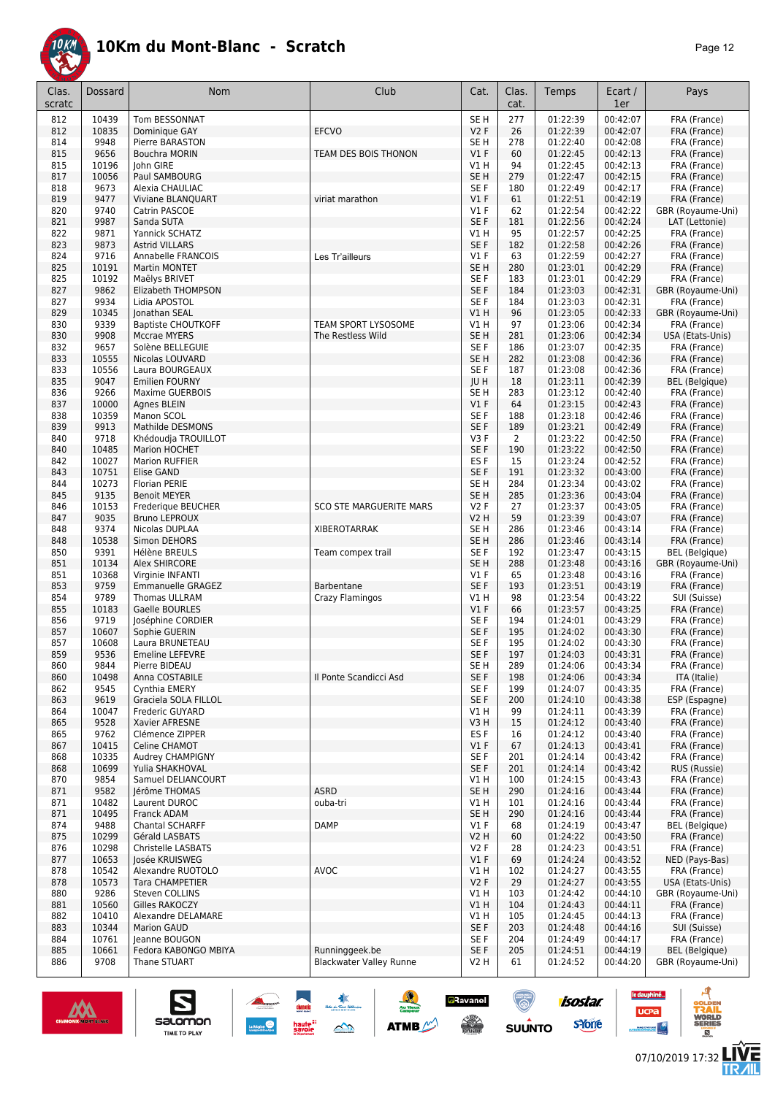

| Clas.<br>scratc | Dossard        | Nom                                       | Club                                             | Cat.                               | Clas.<br>cat.  | Temps                | Ecart /<br>1er       | Pays                                       |
|-----------------|----------------|-------------------------------------------|--------------------------------------------------|------------------------------------|----------------|----------------------|----------------------|--------------------------------------------|
| 812             | 10439          | Tom BESSONNAT                             |                                                  | SE <sub>H</sub>                    | 277            | 01:22:39             | 00:42:07             | FRA (France)                               |
| 812             | 10835          | Dominique GAY                             | <b>EFCVO</b>                                     | V2F                                | 26             | 01:22:39             | 00:42:07             | FRA (France)                               |
| 814<br>815      | 9948<br>9656   | Pierre BARASTON<br><b>Bouchra MORIN</b>   | TEAM DES BOIS THONON                             | SE <sub>H</sub><br>$VI$ F          | 278<br>60      | 01:22:40<br>01:22:45 | 00:42:08<br>00:42:13 | FRA (France)<br>FRA (France)               |
| 815             | 10196          | John GIRE                                 |                                                  | V1H                                | 94             | 01:22:45             | 00:42:13             | FRA (France)                               |
| 817             | 10056          | Paul SAMBOURG                             |                                                  | SE <sub>H</sub>                    | 279            | 01:22:47             | 00:42:15             | FRA (France)                               |
| 818             | 9673           | Alexia CHAULIAC                           |                                                  | SE <sub>F</sub>                    | 180            | 01:22:49             | 00:42:17             | FRA (France)                               |
| 819             | 9477           | Viviane BLANQUART                         | viriat marathon                                  | V1F                                | 61             | 01:22:51             | 00:42:19             | FRA (France)                               |
| 820<br>821      | 9740<br>9987   | Catrin PASCOE                             |                                                  | $VI$ F<br>SE F                     | 62<br>181      | 01:22:54<br>01:22:56 | 00:42:22<br>00:42:24 | GBR (Royaume-Uni)<br>LAT (Lettonie)        |
| 822             | 9871           | Sanda SUTA<br>Yannick SCHATZ              |                                                  | V1H                                | 95             | 01:22:57             | 00:42:25             | FRA (France)                               |
| 823             | 9873           | <b>Astrid VILLARS</b>                     |                                                  | SE F                               | 182            | 01:22:58             | 00:42:26             | FRA (France)                               |
| 824             | 9716           | <b>Annabelle FRANCOIS</b>                 | Les Tr'ailleurs                                  | $VI$ F                             | 63             | 01:22:59             | 00:42:27             | FRA (France)                               |
| 825             | 10191          | <b>Martin MONTET</b>                      |                                                  | SE <sub>H</sub>                    | 280            | 01:23:01             | 00:42:29             | FRA (France)                               |
| 825<br>827      | 10192<br>9862  | Maëlys BRIVET<br>Elizabeth THOMPSON       |                                                  | SE <sub>F</sub><br>SE F            | 183<br>184     | 01:23:01<br>01:23:03 | 00:42:29<br>00:42:31 | FRA (France)                               |
| 827             | 9934           | Lidia APOSTOL                             |                                                  | SE <sub>F</sub>                    | 184            | 01:23:03             | 00:42:31             | GBR (Royaume-Uni)<br>FRA (France)          |
| 829             | 10345          | Jonathan SEAL                             |                                                  | V1H                                | 96             | 01:23:05             | 00:42:33             | GBR (Royaume-Uni)                          |
| 830             | 9339           | <b>Baptiste CHOUTKOFF</b>                 | TEAM SPORT LYSOSOME                              | V1H                                | 97             | 01:23:06             | 00:42:34             | FRA (France)                               |
| 830             | 9908           | <b>Mccrae MYERS</b>                       | The Restless Wild                                | SE <sub>H</sub>                    | 281            | 01:23:06             | 00:42:34             | USA (Etats-Unis)                           |
| 832             | 9657           | Solène BELLEGUIE                          |                                                  | SE F                               | 186            | 01:23:07             | 00:42:35             | FRA (France)                               |
| 833<br>833      | 10555<br>10556 | Nicolas LOUVARD<br>Laura BOURGEAUX        |                                                  | SE <sub>H</sub><br>SE F            | 282<br>187     | 01:23:08<br>01:23:08 | 00:42:36<br>00:42:36 | FRA (France)<br>FRA (France)               |
| 835             | 9047           | <b>Emilien FOURNY</b>                     |                                                  | JU H                               | 18             | 01:23:11             | 00:42:39             | <b>BEL</b> (Belgique)                      |
| 836             | 9266           | Maxime GUERBOIS                           |                                                  | SE <sub>H</sub>                    | 283            | 01:23:12             | 00:42:40             | FRA (France)                               |
| 837             | 10000          | Agnes BLEIN                               |                                                  | $VI$ F                             | 64             | 01:23:15             | 00:42:43             | FRA (France)                               |
| 838             | 10359<br>9913  | Manon SCOL<br>Mathilde DESMONS            |                                                  | SE F<br>SE F                       | 188<br>189     | 01:23:18<br>01:23:21 | 00:42:46<br>00:42:49 | FRA (France)<br>FRA (France)               |
| 839<br>840      | 9718           | Khédoudja TROUILLOT                       |                                                  | V3F                                | $\overline{2}$ | 01:23:22             | 00:42:50             | FRA (France)                               |
| 840             | 10485          | <b>Marion HOCHET</b>                      |                                                  | SE F                               | 190            | 01:23:22             | 00:42:50             | FRA (France)                               |
| 842             | 10027          | <b>Marion RUFFIER</b>                     |                                                  | ES <sub>F</sub>                    | 15             | 01:23:24             | 00:42:52             | FRA (France)                               |
| 843             | 10751          | Elise GAND                                |                                                  | SE <sub>F</sub>                    | 191            | 01:23:32             | 00:43:00             | FRA (France)                               |
| 844             | 10273          | <b>Florian PERIE</b>                      |                                                  | SE <sub>H</sub>                    | 284            | 01:23:34             | 00:43:02             | FRA (France)                               |
| 845<br>846      | 9135<br>10153  | <b>Benoit MEYER</b><br>Frederique BEUCHER | <b>SCO STE MARGUERITE MARS</b>                   | SE <sub>H</sub><br>V2F             | 285<br>27      | 01:23:36<br>01:23:37 | 00:43:04<br>00:43:05 | FRA (France)<br>FRA (France)               |
| 847             | 9035           | <b>Bruno LEPROUX</b>                      |                                                  | <b>V2 H</b>                        | 59             | 01:23:39             | 00:43:07             | FRA (France)                               |
| 848             | 9374           | Nicolas DUPLAA                            | <b>XIBEROTARRAK</b>                              | SE <sub>H</sub>                    | 286            | 01:23:46             | 00:43:14             | FRA (France)                               |
| 848             | 10538          | Simon DEHORS                              |                                                  | SE <sub>H</sub>                    | 286            | 01:23:46             | 00:43:14             | FRA (France)                               |
| 850<br>851      | 9391<br>10134  | Hélène BREULS<br>Alex SHIRCORE            | Team compex trail                                | SE <sub>F</sub><br>SE <sub>H</sub> | 192<br>288     | 01:23:47<br>01:23:48 | 00:43:15<br>00:43:16 | <b>BEL</b> (Belgique)<br>GBR (Royaume-Uni) |
| 851             | 10368          | Virginie INFANTI                          |                                                  | $VI$ F                             | 65             | 01:23:48             | 00:43:16             | FRA (France)                               |
| 853             | 9759           | <b>Emmanuelle GRAGEZ</b>                  | Barbentane                                       | SE F                               | 193            | 01:23:51             | 00:43:19             | FRA (France)                               |
| 854             | 9789           | Thomas ULLRAM                             | Crazy Flamingos                                  | V1 H                               | 98             | 01:23:54             | 00:43:22             | SUI (Suisse)                               |
| 855             | 10183          | Gaelle BOURLES                            |                                                  | V1F                                | 66             | 01:23:57             | 00:43:25             | FRA (France)                               |
| 856<br>857      | 9719<br>10607  | Joséphine CORDIER<br>Sophie GUERIN        |                                                  | SE <sub>F</sub><br>SE F            | 194<br>195     | 01:24:01<br>01:24:02 | 00:43:29<br>00:43:30 | FRA (France)<br>FRA (France)               |
| 857             | 10608          | Laura BRUNETEAU                           |                                                  | SE F                               | 195            | 01:24:02             | 00:43:30             | FRA (France)                               |
| 859             | 9536           | <b>Emeline LEFEVRE</b>                    |                                                  | SE F                               | 197            | 01:24:03             | 00:43:31             | FRA (France)                               |
| 860             | 9844           | Pierre BIDEAU                             |                                                  | SE H                               | 289            | 01:24:06             | 00:43:34             | FRA (France)                               |
| 860             | 10498          | Anna COSTABILE                            | Il Ponte Scandicci Asd                           | SE F                               | 198            | 01:24:06             | 00:43:34             | ITA (Italie)                               |
| 862<br>863      | 9545<br>9619   | Cynthia EMERY<br>Graciela SOLA FILLOL     |                                                  | SE F<br>SE <sub>F</sub>            | 199<br>200     | 01:24:07<br>01:24:10 | 00:43:35<br>00:43:38 | FRA (France)<br>ESP (Espagne)              |
| 864             | 10047          | Frederic GUYARD                           |                                                  | VIH                                | 99             | 01:24:11             | 00:43:39             | FRA (France)                               |
| 865             | 9528           | Xavier AFRESNE                            |                                                  | V3H                                | 15             | 01:24:12             | 00:43:40             | FRA (France)                               |
| 865             | 9762           | Clémence ZIPPER                           |                                                  | ES <sub>F</sub>                    | 16             | 01:24:12             | 00:43:40             | FRA (France)                               |
| 867             | 10415          | Celine CHAMOT                             |                                                  | V1F                                | 67             | 01:24:13             | 00:43:41             | FRA (France)                               |
| 868<br>868      | 10335<br>10699 | Audrey CHAMPIGNY<br>Yulia SHAKHOVAL       |                                                  | SE F<br>SE F                       | 201<br>201     | 01:24:14<br>01:24:14 | 00:43:42<br>00:43:42 | FRA (France)<br>RUS (Russie)               |
| 870             | 9854           | Samuel DELIANCOURT                        |                                                  | V1H                                | 100            | 01:24:15             | 00:43:43             | FRA (France)                               |
| 871             | 9582           | lérôme THOMAS                             | <b>ASRD</b>                                      | SE <sub>H</sub>                    | 290            | 01:24:16             | 00:43:44             | FRA (France)                               |
| 871             | 10482          | Laurent DUROC                             | ouba-tri                                         | V1H                                | 101            | 01:24:16             | 00:43:44             | FRA (France)                               |
| 871<br>874      | 10495<br>9488  | Franck ADAM<br>Chantal SCHARFF            | <b>DAMP</b>                                      | SE <sub>H</sub><br>$VI$ F          | 290<br>68      | 01:24:16<br>01:24:19 | 00:43:44<br>00:43:47 | FRA (France)<br><b>BEL</b> (Belgique)      |
| 875             | 10299          | Gérald LASBATS                            |                                                  | <b>V2 H</b>                        | 60             | 01:24:22             | 00:43:50             | FRA (France)                               |
| 876             | 10298          | Christelle LASBATS                        |                                                  | V2F                                | 28             | 01:24:23             | 00:43:51             | FRA (France)                               |
| 877             | 10653          | Josée KRUISWEG                            |                                                  | $VI$ F                             | 69             | 01:24:24             | 00:43:52             | NED (Pays-Bas)                             |
| 878             | 10542          | Alexandre RUOTOLO                         | AVOC                                             | V1H                                | 102            | 01:24:27             | 00:43:55             | FRA (France)                               |
| 878<br>880      | 10573<br>9286  | Tara CHAMPETIER<br>Steven COLLINS         |                                                  | V2F<br>V1H                         | 29<br>103      | 01:24:27<br>01:24:42 | 00:43:55<br>00:44:10 | USA (Etats-Unis)<br>GBR (Royaume-Uni)      |
| 881             | 10560          | Gilles RAKOCZY                            |                                                  | V1H                                | 104            | 01:24:43             | 00:44:11             | FRA (France)                               |
| 882             | 10410          | Alexandre DELAMARE                        |                                                  | V1 H                               | 105            | 01:24:45             | 00:44:13             | FRA (France)                               |
| 883             | 10344          | <b>Marion GAUD</b>                        |                                                  | SE F                               | 203            | 01:24:48             | 00:44:16             | SUI (Suisse)                               |
| 884             | 10761          | Jeanne BOUGON                             |                                                  | SE F                               | 204            | 01:24:49             | 00:44:17             | FRA (France)                               |
| 885<br>886      | 10661<br>9708  | Fedora KABONGO MBIYA<br>Thane STUART      | Runninggeek.be<br><b>Blackwater Valley Runne</b> | SE F<br>V <sub>2</sub> H           | 205<br>61      | 01:24:51<br>01:24:52 | 00:44:19<br>00:44:20 | <b>BEL</b> (Belgique)<br>GBR (Royaume-Uni) |
|                 |                |                                           |                                                  |                                    |                |                      |                      |                                            |

春

 $\rightarrow$ 

 $\frac{1}{2}$ 

**ATMB** 

**a**Ravanel

**SERVICE** 



S

salomon

TIME TO PLAY

le dauphiné...

**UCPa** 

**Excession Contract** 

isostar.

**s**Yone

 $\overline{\circ}$ 

 $su\overset{\bullet}{\mathsf{unro}}$ 

ه

**VORLD**<br>ERIES

怎

 $\overline{a}$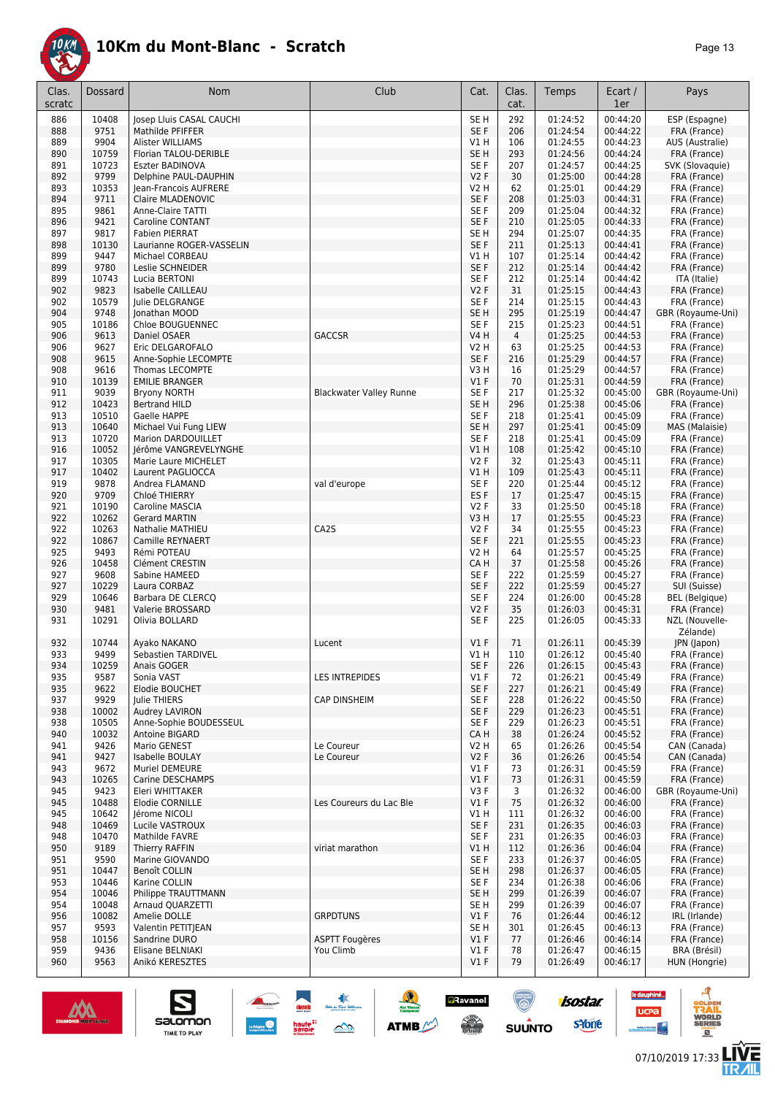

| Clas.<br>scratc | Dossard        | Nom                                           | Club                           | Cat.                          | Clas.<br>cat.  | Temps                | Ecart /<br>1er       | Pays                              |
|-----------------|----------------|-----------------------------------------------|--------------------------------|-------------------------------|----------------|----------------------|----------------------|-----------------------------------|
| 886             | 10408          | Josep Lluis CASAL CAUCHI                      |                                | SE <sub>H</sub>               | 292            | 01:24:52             | 00:44:20             | ESP (Espagne)                     |
| 888             | 9751           | Mathilde PFIFFER                              |                                | SE F                          | 206            | 01:24:54             | 00:44:22             | FRA (France)                      |
| 889             | 9904           | Alister WILLIAMS                              |                                | V1 H                          | 106            | 01:24:55             | 00:44:23             | AUS (Australie)                   |
| 890             | 10759          | Florian TALOU-DERIBLE                         |                                | SE <sub>H</sub>               | 293            | 01:24:56             | 00:44:24             | FRA (France)                      |
| 891             | 10723          | Eszter BADINOVA                               |                                | SE F                          | 207            | 01:24:57             | 00:44:25             | SVK (Slovaquie)                   |
| 892             | 9799           | Delphine PAUL-DAUPHIN                         |                                | V2F                           | 30             | 01:25:00             | 00:44:28             | FRA (France)                      |
| 893             | 10353          | Jean-Francois AUFRERE                         |                                | <b>V2 H</b>                   | 62             | 01:25:01             | 00:44:29             | FRA (France)                      |
| 894<br>895      | 9711<br>9861   | Claire MLADENOVIC<br><b>Anne-Claire TATTI</b> |                                | SE F<br>SE F                  | 208<br>209     | 01:25:03<br>01:25:04 | 00:44:31<br>00:44:32 | FRA (France)<br>FRA (France)      |
| 896             | 9421           | <b>Caroline CONTANT</b>                       |                                | SE <sub>F</sub>               | 210            | 01:25:05             | 00:44:33             | FRA (France)                      |
| 897             | 9817           | <b>Fabien PIERRAT</b>                         |                                | SE <sub>H</sub>               | 294            | 01:25:07             | 00:44:35             | FRA (France)                      |
| 898             | 10130          | Laurianne ROGER-VASSELIN                      |                                | SE F                          | 211            | 01:25:13             | 00:44:41             | FRA (France)                      |
| 899             | 9447           | Michael CORBEAU                               |                                | V1H                           | 107            | 01:25:14             | 00:44:42             | FRA (France)                      |
| 899             | 9780           | Leslie SCHNEIDER                              |                                | SE <sub>F</sub>               | 212            | 01:25:14             | 00:44:42             | FRA (France)                      |
| 899             | 10743          | Lucia BERTONI                                 |                                | SE F                          | 212            | 01:25:14             | 00:44:42             | ITA (Italie)                      |
| 902             | 9823           | Isabelle CAILLEAU                             |                                | <b>V2F</b>                    | 31             | 01:25:15             | 00:44:43             | FRA (France)                      |
| 902<br>904      | 10579<br>9748  | Julie DELGRANGE<br>Jonathan MOOD              |                                | SE F<br>SE <sub>H</sub>       | 214<br>295     | 01:25:15<br>01:25:19 | 00:44:43<br>00:44:47 | FRA (France)                      |
| 905             | 10186          | Chloe BOUGUENNEC                              |                                | SE <sub>F</sub>               | 215            | 01:25:23             | 00:44:51             | GBR (Royaume-Uni)<br>FRA (France) |
| 906             | 9613           | Daniel OSAER                                  | <b>GACCSR</b>                  | V4 H                          | $\overline{4}$ | 01:25:25             | 00:44:53             | FRA (France)                      |
| 906             | 9627           | Eric DELGAROFALO                              |                                | <b>V2 H</b>                   | 63             | 01:25:25             | 00:44:53             | FRA (France)                      |
| 908             | 9615           | Anne-Sophie LECOMPTE                          |                                | SE F                          | 216            | 01:25:29             | 00:44:57             | FRA (France)                      |
| 908             | 9616           | <b>Thomas LECOMPTE</b>                        |                                | V3H                           | 16             | 01:25:29             | 00:44:57             | FRA (France)                      |
| 910             | 10139          | <b>EMILIE BRANGER</b>                         |                                | V1F                           | 70             | 01:25:31             | 00:44:59             | FRA (France)                      |
| 911             | 9039           | <b>Bryony NORTH</b>                           | <b>Blackwater Valley Runne</b> | SE <sub>F</sub>               | 217            | 01:25:32             | 00:45:00             | GBR (Royaume-Uni)                 |
| 912             | 10423          | <b>Bertrand HILD</b>                          |                                | SE <sub>H</sub>               | 296            | 01:25:38             | 00:45:06             | FRA (France)                      |
| 913<br>913      | 10510<br>10640 | Gaelle HAPPE<br>Michael Vui Fung LIEW         |                                | SE F<br>SE <sub>H</sub>       | 218<br>297     | 01:25:41<br>01:25:41 | 00:45:09<br>00:45:09 | FRA (France)<br>MAS (Malaisie)    |
| 913             | 10720          | Marion DARDOUILLET                            |                                | SE <sub>F</sub>               | 218            | 01:25:41             | 00:45:09             | FRA (France)                      |
| 916             | 10052          | Jérôme VANGREVELYNGHE                         |                                | V1 H                          | 108            | 01:25:42             | 00:45:10             | FRA (France)                      |
| 917             | 10305          | Marie Laure MICHELET                          |                                | V2F                           | 32             | 01:25:43             | 00:45:11             | FRA (France)                      |
| 917             | 10402          | Laurent PAGLIOCCA                             |                                | V1H                           | 109            | 01:25:43             | 00:45:11             | FRA (France)                      |
| 919             | 9878           | Andrea FLAMAND                                | val d'europe                   | SE <sub>F</sub>               | 220            | 01:25:44             | 00:45:12             | FRA (France)                      |
| 920             | 9709           | Chloé THIERRY                                 |                                | ES <sub>F</sub>               | 17             | 01:25:47             | 00:45:15             | FRA (France)                      |
| 921             | 10190          | Caroline MASCIA                               |                                | <b>V2F</b>                    | 33             | 01:25:50             | 00:45:18             | FRA (France)                      |
| 922<br>922      | 10262<br>10263 | <b>Gerard MARTIN</b><br>Nathalie MATHIEU      | CA2S                           | V3H<br><b>V2F</b>             | 17<br>34       | 01:25:55<br>01:25:55 | 00:45:23<br>00:45:23 | FRA (France)<br>FRA (France)      |
| 922             | 10867          | Camille REYNAERT                              |                                | SE F                          | 221            | 01:25:55             | 00:45:23             | FRA (France)                      |
| 925             | 9493           | Rémi POTEAU                                   |                                | <b>V2 H</b>                   | 64             | 01:25:57             | 00:45:25             | FRA (France)                      |
| 926             | 10458          | Clément CRESTIN                               |                                | CA H                          | 37             | 01:25:58             | 00:45:26             | FRA (France)                      |
| 927             | 9608           | Sabine HAMEED                                 |                                | SE F                          | 222            | 01:25:59             | 00:45:27             | FRA (France)                      |
| 927             | 10229          | Laura CORBAZ                                  |                                | SE F                          | 222            | 01:25:59             | 00:45:27             | SUI (Suisse)                      |
| 929             | 10646          | Barbara DE CLERCQ                             |                                | SE F                          | 224            | 01:26:00             | 00:45:28             | BEL (Belgique)                    |
| 930<br>931      | 9481<br>10291  | Valerie BROSSARD<br>Olivia BOLLARD            |                                | <b>V2F</b><br>SE <sub>F</sub> | 35<br>225      | 01:26:03<br>01:26:05 | 00:45:31<br>00:45:33 | FRA (France)<br>NZL (Nouvelle-    |
|                 |                |                                               |                                |                               |                |                      |                      | Zélande)                          |
| 932             | 10744          | Ayako NAKANO                                  | Lucent                         | V1F                           | 71             | 01:26:11             | 00:45:39             | JPN (Japon)                       |
| 933             | 9499           | Sebastien TARDIVEL                            |                                | V1 H                          | 110            | 01:26:12             | 00:45:40             | FRA (France)                      |
| 934             | 10259          | Anais GOGER                                   |                                | SE F                          | 226            | 01:26:15             | 00:45:43             | FRA (France)                      |
| 935             | 9587           | Sonia VAST                                    | <b>LES INTREPIDES</b>          | $VI$ F                        | 72             | 01:26:21             | 00:45:49             | FRA (France)                      |
| 935<br>937      | 9622<br>9929   | Elodie BOUCHET<br><b>Iulie THIERS</b>         | <b>CAP DINSHEIM</b>            | SE F<br>SE F                  | 227<br>228     | 01:26:21<br>01:26:22 | 00:45:49<br>00:45:50 | FRA (France)<br>FRA (France)      |
| 938             | 10002          | <b>Audrey LAVIRON</b>                         |                                | SE F                          | 229            | 01:26:23             | 00:45:51             | FRA (France)                      |
| 938             | 10505          | Anne-Sophie BOUDESSEUL                        |                                | SE F                          | 229            | 01:26:23             | 00:45:51             | FRA (France)                      |
| 940             | 10032          | Antoine BIGARD                                |                                | CA H                          | 38             | 01:26:24             | 00:45:52             | FRA (France)                      |
| 941             | 9426           | Mario GENEST                                  | Le Coureur                     | V2 H                          | 65             | 01:26:26             | 00:45:54             | CAN (Canada)                      |
| 941             | 9427           | <b>Isabelle BOULAY</b>                        | Le Coureur                     | <b>V2F</b>                    | 36             | 01:26:26             | 00:45:54             | CAN (Canada)                      |
| 943             | 9672           | Muriel DEMEURE                                |                                | $VI$ F                        | 73             | 01:26:31             | 00:45:59             | FRA (France)                      |
| 943             | 10265<br>9423  | Carine DESCHAMPS                              |                                | $VI$ F<br>V3F                 | 73             | 01:26:31             | 00:45:59<br>00:46:00 | FRA (France)                      |
| 945<br>945      | 10488          | Eleri WHITTAKER<br>Elodie CORNILLE            | Les Coureurs du Lac Ble        | $VI$ F                        | 3<br>75        | 01:26:32<br>01:26:32 | 00:46:00             | GBR (Royaume-Uni)<br>FRA (France) |
| 945             | 10642          | Jérome NICOLI                                 |                                | V1H                           | 111            | 01:26:32             | 00:46:00             | FRA (France)                      |
| 948             | 10469          | Lucile VASTROUX                               |                                | SE F                          | 231            | 01:26:35             | 00:46:03             | FRA (France)                      |
| 948             | 10470          | Mathilde FAVRE                                |                                | SE F                          | 231            | 01:26:35             | 00:46:03             | FRA (France)                      |
| 950             | 9189           | Thierry RAFFIN                                | viriat marathon                | V1 H                          | 112            | 01:26:36             | 00:46:04             | FRA (France)                      |
| 951             | 9590           | Marine GIOVANDO                               |                                | SE F                          | 233            | 01:26:37             | 00:46:05             | FRA (France)                      |
| 951             | 10447          | Benoît COLLIN                                 |                                | SE H                          | 298            | 01:26:37             | 00:46:05             | FRA (France)                      |
| 953             | 10446          | Karine COLLIN                                 |                                | SE F                          | 234            | 01:26:38             | 00:46:06             | FRA (France)                      |
| 954<br>954      | 10046<br>10048 | Philippe TRAUTTMANN<br>Arnaud QUARZETTI       |                                | SE H<br>SE H                  | 299<br>299     | 01:26:39<br>01:26:39 | 00:46:07<br>00:46:07 | FRA (France)<br>FRA (France)      |
| 956             | 10082          | Amelie DOLLE                                  | <b>GRPDTUNS</b>                | V1F                           | 76             | 01:26:44             | 00:46:12             | IRL (Irlande)                     |
| 957             | 9593           | Valentin PETITJEAN                            |                                | SE H                          | 301            | 01:26:45             | 00:46:13             | FRA (France)                      |
| 958             | 10156          | Sandrine DURO                                 | <b>ASPTT Fougères</b>          | $VI$ F                        | 77             | 01:26:46             | 00:46:14             | FRA (France)                      |
| 959             | 9436           | Elisane BELNIAKI                              | You Climb                      | $VI$ F                        | 78             | 01:26:47             | 00:46:15             | BRA (Brésil)                      |
| 960             | 9563           | Anikó KERESZTES                               |                                | $VI$ F                        | 79             | 01:26:49             | 00:46:17             | HUN (Hongrie)                     |

大会

 $\rightarrow$ 

ATMB

**a**Ravanel

**SERVICE** 

 $\bigcirc$ 

 $su\overset{\bullet}{\mathsf{unro}}$ 



S

Salomon

**isostar** 

**s**Yone

le dauphiné...

**UCPa** 

**Excession Contract** 



ه

**VORLD**<br>ERIES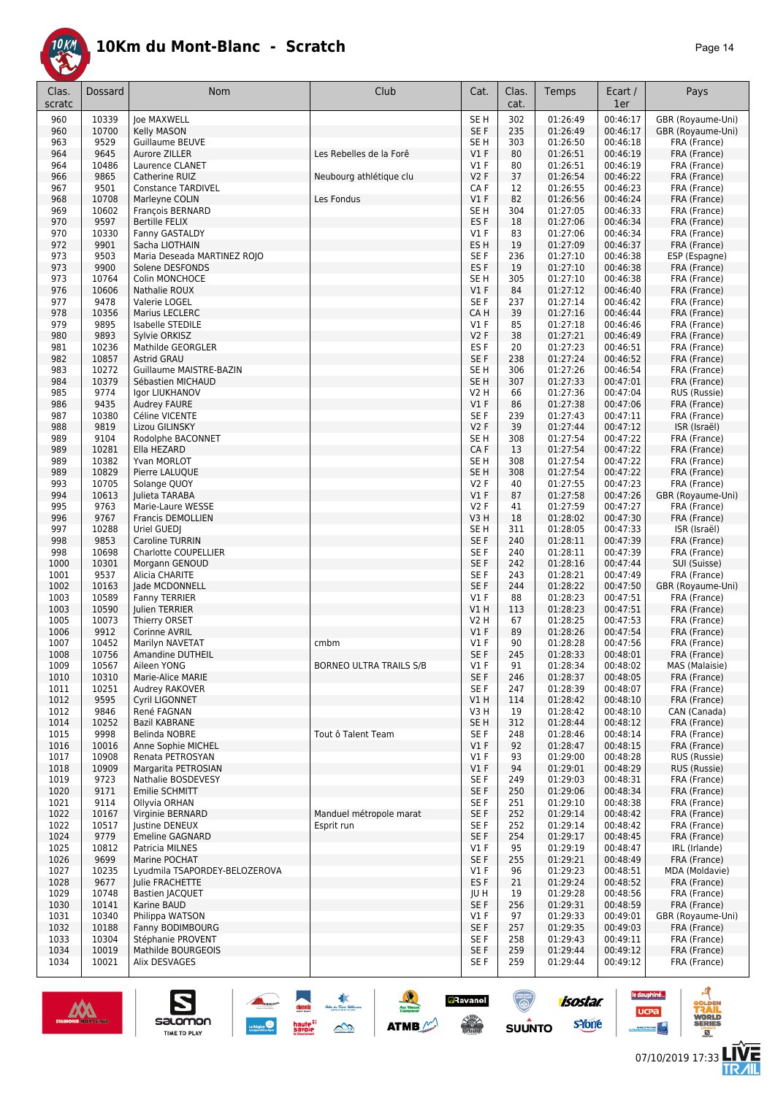

| Clas.<br>scratc | Dossard        | Nom                                            | Club                    | Cat.                      | Clas.<br>cat. | Temps                | Ecart /<br>1er       | Pays                           |
|-----------------|----------------|------------------------------------------------|-------------------------|---------------------------|---------------|----------------------|----------------------|--------------------------------|
| 960             | 10339          | loe MAXWELL                                    |                         | SE <sub>H</sub>           | 302           | 01:26:49             | 00:46:17             | GBR (Royaume-Uni)              |
| 960             | 10700          | Kelly MASON                                    |                         | SE F                      | 235           | 01:26:49             | 00:46:17             | GBR (Royaume-Uni)              |
| 963             | 9529           | Guillaume BEUVE                                |                         | SE <sub>H</sub>           | 303           | 01:26:50             | 00:46:18             | FRA (France)                   |
| 964<br>964      | 9645<br>10486  | Aurore ZILLER<br>Laurence CLANET               | Les Rebelles de la Forê | $VI$ F<br>$VI$ F          | 80<br>80      | 01:26:51<br>01:26:51 | 00:46:19<br>00:46:19 | FRA (France)<br>FRA (France)   |
| 966             | 9865           | Catherine RUIZ                                 | Neubourg athlétique clu | V2F                       | 37            | 01:26:54             | 00:46:22             | FRA (France)                   |
| 967             | 9501           | <b>Constance TARDIVEL</b>                      |                         | CA F                      | 12            | 01:26:55             | 00:46:23             | FRA (France)                   |
| 968             | 10708          | Marleyne COLIN                                 | Les Fondus              | $VI$ F                    | 82            | 01:26:56             | 00:46:24             | FRA (France)                   |
| 969             | 10602          | François BERNARD                               |                         | SE <sub>H</sub>           | 304           | 01:27:05             | 00:46:33             | FRA (France)                   |
| 970             | 9597           | <b>Bertille FELIX</b>                          |                         | ES <sub>F</sub>           | 18            | 01:27:06             | 00:46:34             | FRA (France)                   |
| 970<br>972      | 10330<br>9901  | Fanny GASTALDY<br>Sacha LIOTHAIN               |                         | $VI$ F<br>ES <sub>H</sub> | 83<br>19      | 01:27:06<br>01:27:09 | 00:46:34<br>00:46:37 | FRA (France)<br>FRA (France)   |
| 973             | 9503           | Maria Deseada MARTINEZ ROJO                    |                         | SE F                      | 236           | 01:27:10             | 00:46:38             | ESP (Espagne)                  |
| 973             | 9900           | Solene DESFONDS                                |                         | ES <sub>F</sub>           | 19            | 01:27:10             | 00:46:38             | FRA (France)                   |
| 973             | 10764          | Colin MONCHOCE                                 |                         | SE <sub>H</sub>           | 305           | 01:27:10             | 00:46:38             | FRA (France)                   |
| 976             | 10606          | Nathalie ROUX                                  |                         | $VI$ F                    | 84            | 01:27:12             | 00:46:40             | FRA (France)                   |
| 977<br>978      | 9478<br>10356  | Valerie LOGEL                                  |                         | SE F<br>CA H              | 237<br>39     | 01:27:14<br>01:27:16 | 00:46:42<br>00:46:44 | FRA (France)                   |
| 979             | 9895           | Marius LECLERC<br>Isabelle STEDILE             |                         | $VI$ F                    | 85            | 01:27:18             | 00:46:46             | FRA (France)<br>FRA (France)   |
| 980             | 9893           | Svlvie ORKISZ                                  |                         | V2F                       | 38            | 01:27:21             | 00:46:49             | FRA (France)                   |
| 981             | 10236          | Mathilde GEORGLER                              |                         | ES <sub>F</sub>           | 20            | 01:27:23             | 00:46:51             | FRA (France)                   |
| 982             | 10857          | Astrid GRAU                                    |                         | SE F                      | 238           | 01:27:24             | 00:46:52             | FRA (France)                   |
| 983             | 10272          | Guillaume MAISTRE-BAZIN                        |                         | SE <sub>H</sub>           | 306           | 01:27:26             | 00:46:54             | FRA (France)                   |
| 984             | 10379          | Sébastien MICHAUD                              |                         | SE <sub>H</sub>           | 307<br>66     | 01:27:33             | 00:47:01             | FRA (France)                   |
| 985<br>986      | 9774<br>9435   | Igor LIUKHANOV<br><b>Audrey FAURE</b>          |                         | V2 H<br>$VI$ F            | 86            | 01:27:36<br>01:27:38 | 00:47:04<br>00:47:06 | RUS (Russie)<br>FRA (France)   |
| 987             | 10380          | Céline VICENTE                                 |                         | SE <sub>F</sub>           | 239           | 01:27:43             | 00:47:11             | FRA (France)                   |
| 988             | 9819           | Lizou GILINSKY                                 |                         | <b>V2F</b>                | 39            | 01:27:44             | 00:47:12             | ISR (Israël)                   |
| 989             | 9104           | Rodolphe BACONNET                              |                         | SE <sub>H</sub>           | 308           | 01:27:54             | 00:47:22             | FRA (France)                   |
| 989             | 10281          | Ella HEZARD                                    |                         | CA F                      | 13            | 01:27:54             | 00:47:22             | FRA (France)                   |
| 989             | 10382          | Yvan MORLOT                                    |                         | SE <sub>H</sub>           | 308           | 01:27:54             | 00:47:22             | FRA (France)                   |
| 989<br>993      | 10829<br>10705 | Pierre LALUQUE<br>Solange QUOY                 |                         | SE <sub>H</sub><br>V2F    | 308<br>40     | 01:27:54<br>01:27:55 | 00:47:22<br>00:47:23 | FRA (France)<br>FRA (France)   |
| 994             | 10613          | Julieta TARABA                                 |                         | $VI$ F                    | 87            | 01:27:58             | 00:47:26             | GBR (Royaume-Uni)              |
| 995             | 9763           | Marie-Laure WESSE                              |                         | <b>V2F</b>                | 41            | 01:27:59             | 00:47:27             | FRA (France)                   |
| 996             | 9767           | <b>Francis DEMOLLIEN</b>                       |                         | V3H                       | 18            | 01:28:02             | 00:47:30             | FRA (France)                   |
| 997             | 10288          | Uriel GUEDI                                    |                         | SE <sub>H</sub>           | 311           | 01:28:05             | 00:47:33             | ISR (Israël)                   |
| 998             | 9853           | Caroline TURRIN                                |                         | SE F                      | 240           | 01:28:11             | 00:47:39             | FRA (France)<br>FRA (France)   |
| 998<br>1000     | 10698<br>10301 | Charlotte COUPELLIER<br>Morgann GENOUD         |                         | SE <sub>F</sub><br>SE F   | 240<br>242    | 01:28:11<br>01:28:16 | 00:47:39<br>00:47:44 | SUI (Suisse)                   |
| 1001            | 9537           | Alicia CHARITE                                 |                         | SE <sub>F</sub>           | 243           | 01:28:21             | 00:47:49             | FRA (France)                   |
| 1002            | 10163          | lade MCDONNELL                                 |                         | SE F                      | 244           | 01:28:22             | 00:47:50             | GBR (Royaume-Uni)              |
| 1003            | 10589          | <b>Fanny TERRIER</b>                           |                         | $VI$ F                    | 88            | 01:28:23             | 00:47:51             | FRA (France)                   |
| 1003            | 10590          | Julien TERRIER                                 |                         | V1 H                      | 113           | 01:28:23             | 00:47:51             | FRA (France)                   |
| 1005<br>1006    | 10073<br>9912  | Thierry ORSET                                  |                         | V2 H<br>$VI$ F            | 67<br>89      | 01:28:25<br>01:28:26 | 00:47:53             | FRA (France)                   |
| 1007            | 10452          | Corinne AVRIL<br>Marilyn NAVETAT               | cmbm                    | <b>V1 F</b>               | 90            | 01:28:28             | 00:47:54<br>00:47:56 | FRA (France)<br>FRA (France)   |
| 1008            | 10756          | <b>Amandine DUTHEIL</b>                        |                         | SE F                      | 245           | 01:28:33             | 00:48:01             | FRA (France)                   |
| 1009            | 10567          | Alleen YONG                                    | BORNEO ULTRA TRAILS S/B | V1 F                      | 91            | 01:28:34             | 00:48:02             | MAS (Malaisie)                 |
| 1010            | 10310          | Marie-Alice MARIE                              |                         | SE F                      | 246           | 01:28:37             | 00:48:05             | FRA (France)                   |
| 1011            | 10251          | Audrey RAKOVER                                 |                         | SE F                      | 247           | 01:28:39             | 00:48:07             | FRA (France)                   |
| 1012<br>1012    | 9595<br>9846   | Cyril LIGONNET<br>René FAGNAN                  |                         | V1 H<br>V3 H              | 114<br>19     | 01:28:42<br>01:28:42 | 00:48:10<br>00:48:10 | FRA (France)<br>CAN (Canada)   |
| 1014            | 10252          | Bazil KABRANE                                  |                         | SE <sub>H</sub>           | 312           | 01:28:44             | 00:48:12             | FRA (France)                   |
| 1015            | 9998           | Belinda NOBRE                                  | Tout ô Talent Team      | SE F                      | 248           | 01:28:46             | 00:48:14             | FRA (France)                   |
| 1016            | 10016          | Anne Sophie MICHEL                             |                         | $VI$ F                    | 92            | 01:28:47             | 00:48:15             | FRA (France)                   |
| 1017            | 10908          | Renata PETROSYAN                               |                         | $VI$ F                    | 93            | 01:29:00             | 00:48:28             | RUS (Russie)                   |
| 1018            | 10909          | Margarita PETROSIAN                            |                         | $VI$ F                    | 94            | 01:29:01             | 00:48:29             | RUS (Russie)                   |
| 1019<br>1020    | 9723<br>9171   | Nathalie BOSDEVESY<br>Emilie SCHMITT           |                         | SE F<br>SE F              | 249<br>250    | 01:29:03<br>01:29:06 | 00:48:31<br>00:48:34 | FRA (France)<br>FRA (France)   |
| 1021            | 9114           | Ollyvia ORHAN                                  |                         | SE F                      | 251           | 01:29:10             | 00:48:38             | FRA (France)                   |
| 1022            | 10167          | Virginie BERNARD                               | Manduel métropole marat | SE F                      | 252           | 01:29:14             | 00:48:42             | FRA (France)                   |
| 1022            | 10517          | Justine DENEUX                                 | Esprit run              | SE F                      | 252           | 01:29:14             | 00:48:42             | FRA (France)                   |
| 1024            | 9779           | Emeline GAGNARD                                |                         | SE F                      | 254           | 01:29:17             | 00:48:45             | FRA (France)                   |
| 1025            | 10812          | Patricia MILNES                                |                         | $VI$ F                    | 95            | 01:29:19             | 00:48:47             | IRL (Irlande)                  |
| 1026<br>1027    | 9699<br>10235  | Marine POCHAT<br>Lyudmila TSAPORDEY-BELOZEROVA |                         | SE F<br>$VI$ F            | 255<br>96     | 01:29:21<br>01:29:23 | 00:48:49<br>00:48:51 | FRA (France)<br>MDA (Moldavie) |
| 1028            | 9677           | Julie FRACHETTE                                |                         | ES <sub>F</sub>           | 21            | 01:29:24             | 00:48:52             | FRA (France)                   |
| 1029            | 10748          | <b>Bastien JACQUET</b>                         |                         | JU H                      | 19            | 01:29:28             | 00:48:56             | FRA (France)                   |
| 1030            | 10141          | Karine BAUD                                    |                         | SE F                      | 256           | 01:29:31             | 00:48:59             | FRA (France)                   |
| 1031            | 10340          | Philippa WATSON                                |                         | $VI$ F                    | 97            | 01:29:33             | 00:49:01             | GBR (Royaume-Uni)              |
| 1032            | 10188          | Fanny BODIMBOURG                               |                         | SE F                      | 257           | 01:29:35             | 00:49:03             | FRA (France)                   |
| 1033<br>1034    | 10304<br>10019 | Stéphanie PROVENT<br>Mathilde BOURGEOIS        |                         | SE F<br>SE F              | 258<br>259    | 01:29:43<br>01:29:44 | 00:49:11<br>00:49:12 | FRA (France)<br>FRA (France)   |
| 1034            | 10021          | Alix DESVAGES                                  |                         | SE F                      | 259           | 01:29:44             | 00:49:12             | FRA (France)                   |
|                 |                |                                                |                         |                           |               |                      |                      |                                |

大學

 $\rightarrow$ 

ATMB

**a**Ravanel

**SERVICE** 

 $\bigcirc$ 

**SUUNTO** 



S

Salomon

le dauphiné...

**UCPa** 

**Excession Contract** 

isostar.

**s**Yone

A

**VORLD**<br>ERIES

**LIVE**<br>TR*A*IL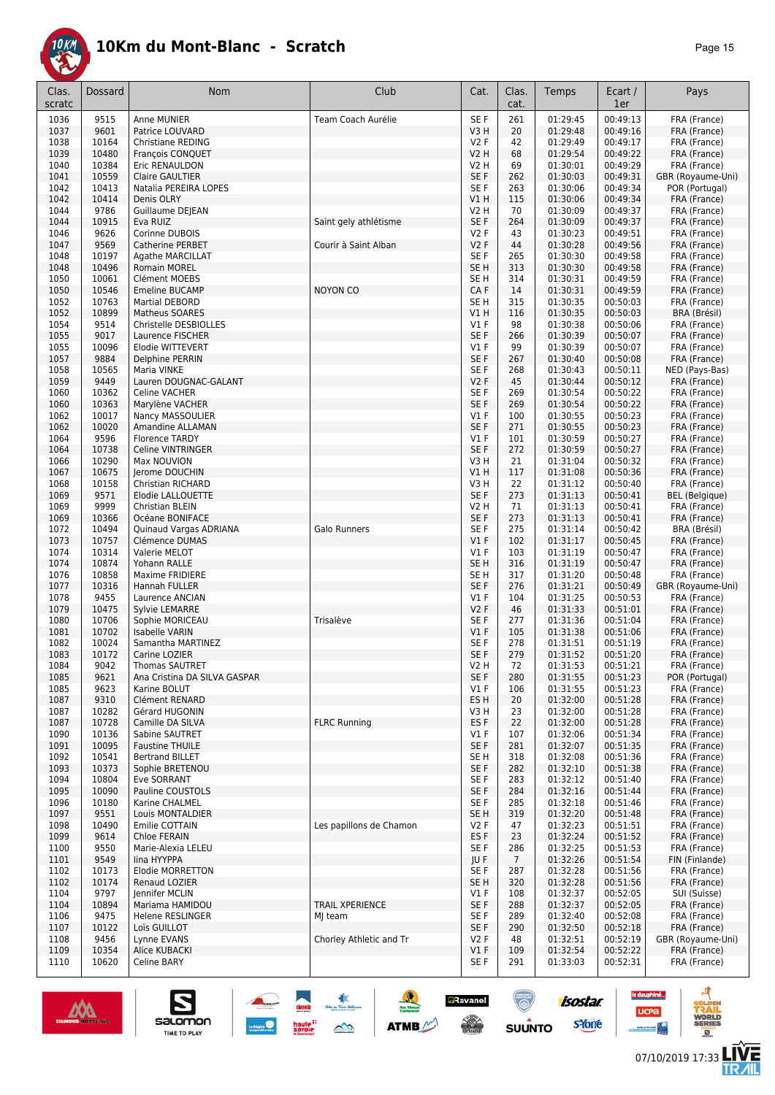

| Clas.<br>scratc | <b>Dossard</b> | Nom                                              | Club                    | Cat.                      | Clas.<br>cat.         | Temps                | Ecart /<br>1er       | Pays                              |
|-----------------|----------------|--------------------------------------------------|-------------------------|---------------------------|-----------------------|----------------------|----------------------|-----------------------------------|
| 1036            | 9515           | Anne MUNIER                                      | Team Coach Aurélie      | SE F                      | 261                   | 01:29:45             | 00:49:13             | FRA (France)                      |
| 1037            | 9601           | Patrice LOUVARD                                  |                         | V3H                       | 20                    | 01:29:48             | 00:49:16             | FRA (France)                      |
| 1038            | 10164          | <b>Christiane REDING</b>                         |                         | V2F                       | 42                    | 01:29:49             | 00:49:17             | FRA (France)                      |
| 1039            | 10480          | François CONQUET                                 |                         | V2 H                      | 68                    | 01:29:54             | 00:49:22             | FRA (France)                      |
| 1040<br>1041    | 10384<br>10559 | Eric RENAULDON<br><b>Claire GAULTIER</b>         |                         | V2 H<br>SE F              | 69<br>262             | 01:30:01<br>01:30:03 | 00:49:29<br>00:49:31 | FRA (France)<br>GBR (Royaume-Uni) |
| 1042            | 10413          | Natalia PEREIRA LOPES                            |                         | SE F                      | 263                   | 01:30:06             | 00:49:34             | POR (Portugal)                    |
| 1042            | 10414          | Denis OLRY                                       |                         | <b>V1 H</b>               | 115                   | 01:30:06             | 00:49:34             | FRA (France)                      |
| 1044            | 9786           | Guillaume DE EAN                                 |                         | <b>V2 H</b>               | 70                    | 01:30:09             | 00:49:37             | FRA (France)                      |
| 1044            | 10915          | Eva RUIZ                                         | Saint gely athlétisme   | SE F                      | 264                   | 01:30:09             | 00:49:37             | FRA (France)                      |
| 1046            | 9626           | Corinne DUBOIS                                   |                         | V2 F                      | 43                    | 01:30:23             | 00:49:51             | FRA (France)                      |
| 1047            | 9569           | Catherine PERBET                                 | Courir à Saint Alban    | <b>V2F</b>                | 44                    | 01:30:28             | 00:49:56             | FRA (France)                      |
| 1048            | 10197          | <b>Agathe MARCILLAT</b>                          |                         | SE <sub>F</sub>           | 265                   | 01:30:30             | 00:49:58             | FRA (France)                      |
| 1048            | 10496          | Romain MOREL                                     |                         | SE <sub>H</sub>           | 313                   | 01:30:30             | 00:49:58             | FRA (France)                      |
| 1050            | 10061<br>10546 | Clément MOEBS                                    |                         | SE <sub>H</sub>           | 314<br>14             | 01:30:31             | 00:49:59             | FRA (France)                      |
| 1050<br>1052    | 10763          | <b>Emeline BUCAMP</b><br>Martial DEBORD          | <b>NOYON CO</b>         | CAF<br>SE <sub>H</sub>    | 315                   | 01:30:31<br>01:30:35 | 00:49:59<br>00:50:03 | FRA (France)<br>FRA (France)      |
| 1052            | 10899          | Matheus SOARES                                   |                         | V1H                       | 116                   | 01:30:35             | 00:50:03             | BRA (Brésil)                      |
| 1054            | 9514           | Christelle DESBIOLLES                            |                         | $VI$ F                    | 98                    | 01:30:38             | 00:50:06             | FRA (France)                      |
| 1055            | 9017           | Laurence FISCHER                                 |                         | SE F                      | 266                   | 01:30:39             | 00:50:07             | FRA (France)                      |
| 1055            | 10096          | Elodie WITTEVERT                                 |                         | V1 F                      | 99                    | 01:30:39             | 00:50:07             | FRA (France)                      |
| 1057            | 9884           | Delphine PERRIN                                  |                         | SE F                      | 267                   | 01:30:40             | 00:50:08             | FRA (France)                      |
| 1058            | 10565          | Maria VINKE                                      |                         | SE F                      | 268                   | 01:30:43             | 00:50:11             | NED (Pays-Bas)                    |
| 1059            | 9449           | Lauren DOUGNAC-GALANT                            |                         | <b>V2F</b>                | 45                    | 01:30:44             | 00:50:12             | FRA (France)                      |
| 1060            | 10362          | <b>Celine VACHER</b>                             |                         | SE F                      | 269                   | 01:30:54             | 00:50:22             | FRA (France)                      |
| 1060<br>1062    | 10363<br>10017 | Marylène VACHER                                  |                         | SE F<br>$VI$ F            | 269<br>100            | 01:30:54<br>01:30:55 | 00:50:22<br>00:50:23 | FRA (France)                      |
| 1062            | 10020          | Nancy MASSOULIER<br>Amandine ALLAMAN             |                         | SE F                      | 271                   | 01:30:55             | 00:50:23             | FRA (France)<br>FRA (France)      |
| 1064            | 9596           | <b>Florence TARDY</b>                            |                         | $VI$ F                    | 101                   | 01:30:59             | 00:50:27             | FRA (France)                      |
| 1064            | 10738          | Celine VINTRINGER                                |                         | SE F                      | 272                   | 01:30:59             | 00:50:27             | FRA (France)                      |
| 1066            | 10290          | Max NOUVION                                      |                         | V3H                       | 21                    | 01:31:04             | 00:50:32             | FRA (France)                      |
| 1067            | 10675          | Jerome DOUCHIN                                   |                         | <b>V1 H</b>               | 117                   | 01:31:08             | 00:50:36             | FRA (France)                      |
| 1068            | 10158          | <b>Christian RICHARD</b>                         |                         | V3H                       | 22                    | 01:31:12             | 00:50:40             | FRA (France)                      |
| 1069            | 9571           | Elodie LALLOUETTE                                |                         | SE F                      | 273                   | 01:31:13             | 00:50:41             | <b>BEL</b> (Belgique)             |
| 1069            | 9999           | Christian BLEIN                                  |                         | <b>V2 H</b>               | 71                    | 01:31:13             | 00:50:41             | FRA (France)                      |
| 1069            | 10366          | Océane BONIFACE                                  |                         | SE F                      | 273                   | 01:31:13             | 00:50:41             | FRA (France)                      |
| 1072<br>1073    | 10494<br>10757 | Quinaud Vargas ADRIANA<br>Clémence DUMAS         | Galo Runners            | SE <sub>F</sub><br>$VI$ F | 275<br>102            | 01:31:14<br>01:31:17 | 00:50:42<br>00:50:45 | BRA (Brésil)<br>FRA (France)      |
| 1074            | 10314          | Valerie MELOT                                    |                         | $VI$ F                    | 103                   | 01:31:19             | 00:50:47             | FRA (France)                      |
| 1074            | 10874          | Yohann RALLE                                     |                         | SE <sub>H</sub>           | 316                   | 01:31:19             | 00:50:47             | FRA (France)                      |
| 1076            | 10858          | Maxime FRIDIERE                                  |                         | SE <sub>H</sub>           | 317                   | 01:31:20             | 00:50:48             | FRA (France)                      |
| 1077            | 10316          | Hannah FULLER                                    |                         | SE F                      | 276                   | 01:31:21             | 00:50:49             | GBR (Royaume-Uni)                 |
| 1078            | 9455           | Laurence ANCIAN                                  |                         | $VI$ F                    | 104                   | 01:31:25             | 00:50:53             | FRA (France)                      |
| 1079            | 10475          | <b>Sylvie LEMARRE</b>                            |                         | <b>V2F</b>                | 46                    | 01:31:33             | 00:51:01             | FRA (France)                      |
| 1080            | 10706          | Sophie MORICEAU                                  | Trisalève               | SE F                      | 277                   | 01:31:36             | 00:51:04             | FRA (France)                      |
| 1081            | 10702          | <b>Isabelle VARIN</b>                            |                         | $VI$ F                    | 105<br>278            | 01:31:38<br>01:31:51 | 00:51:06<br>00:51:19 | FRA (France)                      |
| 1082<br>1083    | 10024<br>10172 | Samantha MARTINEZ<br>Carine LOZIER               |                         | SE F<br>SE F              | 279                   | 01:31:52             | 00:51:20             | FRA (France)<br>FRA (France)      |
| 1084            | 9042           | <b>Thomas SAUTRET</b>                            |                         | V2 H                      | 72                    | 01:31:53             | 00:51:21             | FRA (France)                      |
| 1085            | 9621           | Ana Cristina DA SILVA GASPAR                     |                         | SE F                      | 280                   | 01:31:55             | 00:51:23             | POR (Portugal)                    |
| 1085            | 9623           | Karine BOLUT                                     |                         | $VI$ F                    | 106                   | 01:31:55             | 00:51:23             | FRA (France)                      |
| 1087            | 9310           | Clément RENARD                                   |                         | ES H                      | 20                    | 01:32:00             | 00:51:28             | FRA (France)                      |
| 1087            | 10282          | Gérard HUGONIN                                   |                         | V3H                       | 23                    | 01:32:00             | 00:51:28             | FRA (France)                      |
| 1087            | 10728          | Camille DA SILVA                                 | <b>FLRC Running</b>     | ES F                      | 22                    | 01:32:00             | 00:51:28             | FRA (France)                      |
| 1090            | 10136          | Sabine SAUTRET                                   |                         | V1F<br>SE F               | 107                   | 01:32:06             | 00:51:34<br>00:51:35 | FRA (France)                      |
| 1091<br>1092    | 10095<br>10541 | <b>Faustine THUILE</b><br><b>Bertrand BILLET</b> |                         | SE H                      | 281<br>318            | 01:32:07<br>01:32:08 | 00:51:36             | FRA (France)<br>FRA (France)      |
| 1093            | 10373          | Sophie BRETENOU                                  |                         | SE F                      | 282                   | 01:32:10             | 00:51:38             | FRA (France)                      |
| 1094            | 10804          | Eve SORRANT                                      |                         | SE F                      | 283                   | 01:32:12             | 00:51:40             | FRA (France)                      |
| 1095            | 10090          | Pauline COUSTOLS                                 |                         | SE F                      | 284                   | 01:32:16             | 00:51:44             | FRA (France)                      |
| 1096            | 10180          | Karine CHALMEL                                   |                         | SE F                      | 285                   | 01:32:18             | 00:51:46             | FRA (France)                      |
| 1097            | 9551           | Louis MONTALDIER                                 |                         | SE <sub>H</sub>           | 319                   | 01:32:20             | 00:51:48             | FRA (France)                      |
| 1098            | 10490          | Emilie COTTAIN                                   | Les papillons de Chamon | V2F                       | 47                    | 01:32:23             | 00:51:51             | FRA (France)                      |
| 1099            | 9614           | Chloe FERAIN                                     |                         | ES <sub>F</sub>           | 23                    | 01:32:24             | 00:51:52             | FRA (France)                      |
| 1100            | 9550           | Marie-Alexia LELEU                               |                         | SE F                      | 286                   | 01:32:25             | 00:51:53             | FRA (France)                      |
| 1101<br>1102    | 9549<br>10173  | lina HYYPPA<br>Elodie MORRETTON                  |                         | JU F<br>SE F              | $\overline{7}$<br>287 | 01:32:26<br>01:32:28 | 00:51:54<br>00:51:56 | FIN (Finlande)<br>FRA (France)    |
| 1102            | 10174          | Renaud LOZIER                                    |                         | SE <sub>H</sub>           | 320                   | 01:32:28             | 00:51:56             | FRA (France)                      |
| 1104            | 9797           | Jennifer MCLIN                                   |                         | $VI$ F                    | 108                   | 01:32:37             | 00:52:05             | SUI (Suisse)                      |
| 1104            | 10894          | Mariama HAMIDOU                                  | TRAIL XPERIENCE         | SE F                      | 288                   | 01:32:37             | 00:52:05             | FRA (France)                      |
| 1106            | 9475           | Helene RESLINGER                                 | MJ team                 | SE F                      | 289                   | 01:32:40             | 00:52:08             | FRA (France)                      |
| 1107            | 10122          | Loïs GUILLOT                                     |                         | SE F                      | 290                   | 01:32:50             | 00:52:18             | FRA (France)                      |
| 1108            | 9456           | Lynne EVANS                                      | Chorley Athletic and Tr | V2 F                      | 48                    | 01:32:51             | 00:52:19             | GBR (Royaume-Uni)                 |
| 1109            | 10354          | Alice KUBACKI                                    |                         | V1F                       | 109                   | 01:32:54             | 00:52:22             | FRA (France)                      |
| 1110            | 10620          | Celine BARY                                      |                         | SE F                      | 291                   | 01:33:03             | 00:52:31             | FRA (France)                      |

大会

 $\rightarrow$ 

ATMB

**a**Ravanel

 $\bigcirc$ 



S

Salomon

**isostar** 

ه

**VORLD**<br>ERIES

**LIVE<br>TR***A***IL** 

le dauphiné...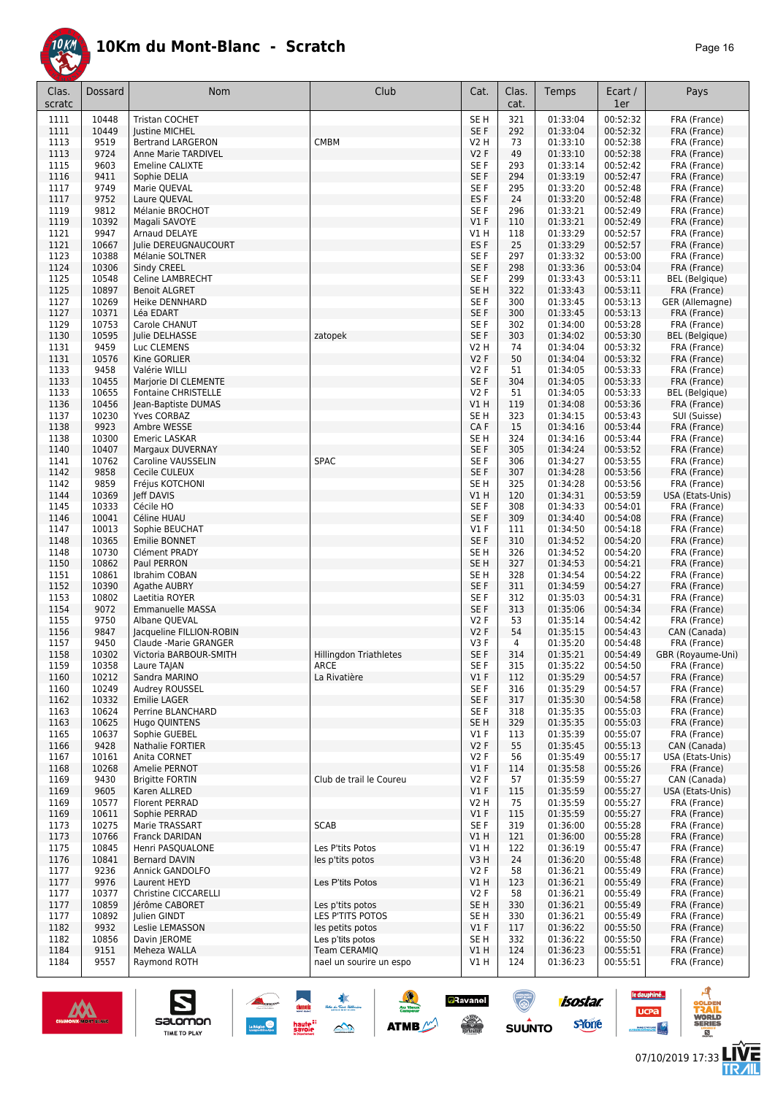

| Clas.<br>scratc | Dossard        | Nom                                     | Club                          | Cat.                    | Clas.<br>cat. | Temps                | Ecart /<br>1er       | Pays                                  |
|-----------------|----------------|-----------------------------------------|-------------------------------|-------------------------|---------------|----------------------|----------------------|---------------------------------------|
| 1111            | 10448          | <b>Tristan COCHET</b>                   |                               | SE <sub>H</sub>         | 321           | 01:33:04             | 00:52:32             | FRA (France)                          |
| 1111            | 10449          | <b>lustine MICHEL</b>                   |                               | SE F                    | 292           | 01:33:04             | 00:52:32             | FRA (France)                          |
| 1113            | 9519           | <b>Bertrand LARGERON</b>                | <b>CMBM</b>                   | V2 H                    | 73            | 01:33:10             | 00:52:38             | FRA (France)                          |
| 1113            | 9724           | Anne Marie TARDIVEL                     |                               | V2F                     | 49            | 01:33:10             | 00:52:38             | FRA (France)                          |
| 1115            | 9603           | <b>Emeline CALIXTE</b>                  |                               | SE F                    | 293           | 01:33:14             | 00:52:42             | FRA (France)                          |
| 1116            | 9411           | Sophie DELIA                            |                               | SE F                    | 294           | 01:33:19             | 00:52:47             | FRA (France)                          |
| 1117            | 9749           | Marie QUEVAL                            |                               | SE F                    | 295           | 01:33:20             | 00:52:48             | FRA (France)                          |
| 1117            | 9752           | Laure QUEVAL                            |                               | ES <sub>F</sub>         | 24            | 01:33:20             | 00:52:48             | FRA (France)                          |
| 1119            | 9812           | Mélanie BROCHOT                         |                               | SE F                    | 296           | 01:33:21             | 00:52:49             | FRA (France)                          |
| 1119            | 10392          | Magali SAVOYE                           |                               | V1F                     | 110           | 01:33:21             | 00:52:49             | FRA (France)                          |
| 1121            | 9947           | Arnaud DELAYE                           |                               | V1 H                    | 118           | 01:33:29             | 00:52:57             | FRA (France)                          |
| 1121            | 10667          | Julie DEREUGNAUCOURT                    |                               | ES <sub>F</sub>         | 25            | 01:33:29             | 00:52:57             | FRA (France)                          |
| 1123            | 10388          | Mélanie SOLTNER                         |                               | SE F                    | 297           | 01:33:32             | 00:53:00             | FRA (France)                          |
| 1124<br>1125    | 10306          | Sindy CREEL<br>Celine LAMBRECHT         |                               | SE F<br>SE F            | 298<br>299    | 01:33:36             | 00:53:04             | FRA (France)                          |
| 1125            | 10548<br>10897 | <b>Benoit ALGRET</b>                    |                               | SE H                    | 322           | 01:33:43<br>01:33:43 | 00:53:11<br>00:53:11 | <b>BEL</b> (Belgique)<br>FRA (France) |
| 1127            | 10269          | <b>Heike DENNHARD</b>                   |                               | SE F                    | 300           | 01:33:45             | 00:53:13             | GER (Allemagne)                       |
| 1127            | 10371          | Léa EDART                               |                               | SE F                    | 300           | 01:33:45             | 00:53:13             | FRA (France)                          |
| 1129            | 10753          | Carole CHANUT                           |                               | SE F                    | 302           | 01:34:00             | 00:53:28             | FRA (France)                          |
| 1130            | 10595          | Julie DELHASSE                          | zatopek                       | SE F                    | 303           | 01:34:02             | 00:53:30             | <b>BEL</b> (Belgique)                 |
| 1131            | 9459           | Luc CLEMENS                             |                               | V2 H                    | 74            | 01:34:04             | 00:53:32             | FRA (France)                          |
| 1131            | 10576          | Kine GORLIER                            |                               | V2F                     | 50            | 01:34:04             | 00:53:32             | FRA (France)                          |
| 1133            | 9458           | Valérie WILLI                           |                               | V2F                     | 51            | 01:34:05             | 00:53:33             | FRA (France)                          |
| 1133            | 10455          | Marjorie DI CLEMENTE                    |                               | SE F                    | 304           | 01:34:05             | 00:53:33             | FRA (France)                          |
| 1133            | 10655          | <b>Fontaine CHRISTELLE</b>              |                               | V2F                     | 51            | 01:34:05             | 00:53:33             | <b>BEL</b> (Belgique)                 |
| 1136            | 10456          | Jean-Baptiste DUMAS                     |                               | V1H                     | 119           | 01:34:08             | 00:53:36             | FRA (France)                          |
| 1137            | 10230          | Yves CORBAZ                             |                               | SE H                    | 323           | 01:34:15             | 00:53:43             | SUI (Suisse)                          |
| 1138            | 9923           | Ambre WESSE                             |                               | CA F                    | 15            | 01:34:16             | 00:53:44             | FRA (France)                          |
| 1138            | 10300          | <b>Emeric LASKAR</b>                    |                               | SE H                    | 324           | 01:34:16             | 00:53:44             | FRA (France)                          |
| 1140            | 10407          | Margaux DUVERNAY                        |                               | SE F                    | 305           | 01:34:24             | 00:53:52             | FRA (France)                          |
| 1141            | 10762          | Caroline VAUSSELIN                      | <b>SPAC</b>                   | SE F                    | 306           | 01:34:27             | 00:53:55             | FRA (France)                          |
| 1142            | 9858           | Cecile CULEUX                           |                               | SE F                    | 307           | 01:34:28             | 00:53:56             | FRA (France)                          |
| 1142            | 9859           | Fréjus KOTCHONI                         |                               | SE <sub>H</sub>         | 325           | 01:34:28             | 00:53:56             | FRA (France)                          |
| 1144            | 10369          | Jeff DAVIS                              |                               | V1H                     | 120           | 01:34:31             | 00:53:59             | USA (Etats-Unis)                      |
| 1145            | 10333          | Cécile HO                               |                               | SE F                    | 308           | 01:34:33             | 00:54:01             | FRA (France)                          |
| 1146            | 10041          | Céline HUAU                             |                               | SE F                    | 309           | 01:34:40             | 00:54:08             | FRA (France)                          |
| 1147            | 10013          | Sophie BEUCHAT                          |                               | $VI$ F                  | 111           | 01:34:50             | 00:54:18             | FRA (France)                          |
| 1148            | 10365          | Emilie BONNET                           |                               | SE F                    | 310           | 01:34:52             | 00:54:20             | FRA (France)                          |
| 1148            | 10730<br>10862 | Clément PRADY                           |                               | SE <sub>H</sub>         | 326           | 01:34:52             | 00:54:20<br>00:54:21 | FRA (France)                          |
| 1150<br>1151    | 10861          | Paul PERRON<br>Ibrahim COBAN            |                               | SE H<br>SE <sub>H</sub> | 327<br>328    | 01:34:53<br>01:34:54 | 00:54:22             | FRA (France)<br>FRA (France)          |
| 1152            | 10390          | Agathe AUBRY                            |                               | SE F                    | 311           | 01:34:59             | 00:54:27             | FRA (France)                          |
| 1153            | 10802          | Laetitia ROYER                          |                               | SE F                    | 312           | 01:35:03             | 00:54:31             | FRA (France)                          |
| 1154            | 9072           | Emmanuelle MASSA                        |                               | SE F                    | 313           | 01:35:06             | 00:54:34             | FRA (France)                          |
| 1155            | 9750           | Albane QUEVAL                           |                               | V2F                     | 53            | 01:35:14             | 00:54:42             | FRA (France)                          |
| 1156            | 9847           | Jacqueline FILLION-ROBIN                |                               | V2F                     | 54            | 01:35:15             | 00:54:43             | CAN (Canada)                          |
| 1157            | 9450           | Claude - Marie GRANGER                  |                               | V3F                     | 4             | 01:35:20             | 00:54:48             | FRA (France)                          |
| 1158            | 10302          | Victoria BARBOUR-SMITH                  | <b>Hillingdon Triathletes</b> | SE <sub>F</sub>         | 314           | 01:35:21             | 00:54:49             | GBR (Royaume-Uni)                     |
| 1159            | 10358          | Laure TAJAN                             | ARCE                          | SE F                    | 315           | 01:35:22             | 00:54:50             | FRA (France)                          |
| 1160            | 10212          | Sandra MARINO                           | La Rivatière                  | $VI$ F                  | 112           | 01:35:29             | 00:54:57             | FRA (France)                          |
| 1160            | 10249          | Audrey ROUSSEL                          |                               | SE F                    | 316           | 01:35:29             | 00:54:57             | FRA (France)                          |
| 1162            | 10332          | <b>Emilie LAGER</b>                     |                               | SE F                    | 317           | 01:35:30             | 00:54:58             | FRA (France)                          |
| 1163            | 10624          | Perrine BLANCHARD                       |                               | SE F                    | 318           | 01:35:35             | 00:55:03             | FRA (France)                          |
| 1163            | 10625          | Hugo QUINTENS                           |                               | SE <sub>H</sub>         | 329           | 01:35:35             | 00:55:03             | FRA (France)                          |
| 1165            | 10637          | Sophie GUEBEL                           |                               | $VI$ F                  | 113           | 01:35:39             | 00:55:07             | FRA (France)                          |
| 1166            | 9428           | Nathalie FORTIER                        |                               | V2F                     | 55            | 01:35:45             | 00:55:13             | CAN (Canada)                          |
| 1167            | 10161          | Anita CORNET                            |                               | V2F                     | 56            | 01:35:49             | 00:55:17             | USA (Etats-Unis)                      |
| 1168            | 10268          | Amelie PERNOT<br><b>Brigitte FORTIN</b> | Club de trail le Coureu       | V1F                     | 114           | 01:35:58             | 00:55:26             | FRA (France)                          |
| 1169<br>1169    | 9430           | Karen ALLRED                            |                               | V2F<br>V1F              | 57            | 01:35:59             | 00:55:27<br>00:55:27 | CAN (Canada)                          |
| 1169            | 9605<br>10577  | Florent PERRAD                          |                               | V2 H                    | 115<br>75     | 01:35:59<br>01:35:59 | 00:55:27             | USA (Etats-Unis)<br>FRA (France)      |
| 1169            | 10611          | Sophie PERRAD                           |                               | V1F                     | 115           | 01:35:59             | 00:55:27             | FRA (France)                          |
| 1173            | 10275          | Marie TRASSART                          | <b>SCAB</b>                   | SE F                    | 319           | 01:36:00             | 00:55:28             | FRA (France)                          |
| 1173            | 10766          | Franck DARIDAN                          |                               | V1 H                    | 121           | 01:36:00             | 00:55:28             | FRA (France)                          |
| 1175            | 10845          | Henri PASQUALONE                        | Les P'tits Potos              | V1 H                    | 122           | 01:36:19             | 00:55:47             | FRA (France)                          |
| 1176            | 10841          | <b>Bernard DAVIN</b>                    | les p'tits potos              | V3 H                    | 24            | 01:36:20             | 00:55:48             | FRA (France)                          |
| 1177            | 9236           | Annick GANDOLFO                         |                               | V2F                     | 58            | 01:36:21             | 00:55:49             | FRA (France)                          |
| 1177            | 9976           | Laurent HEYD                            | Les P'tits Potos              | V1 H                    | 123           | 01:36:21             | 00:55:49             | FRA (France)                          |
| 1177            | 10377          | Christine CICCARELLI                    |                               | V2F                     | 58            | 01:36:21             | 00:55:49             | FRA (France)                          |
| 1177            | 10859          | Jérôme CABORET                          | Les p'tits potos              | SE <sub>H</sub>         | 330           | 01:36:21             | 00:55:49             | FRA (France)                          |
| 1177            | 10892          | Julien GINDT                            | LES P'TITS POTOS              | SE H                    | 330           | 01:36:21             | 00:55:49             | FRA (France)                          |
| 1182            | 9932           | Leslie LEMASSON                         | les petits potos              | $VI$ F                  | 117           | 01:36:22             | 00:55:50             | FRA (France)                          |
| 1182            | 10856          | Davin JEROME                            | Les p'tits potos              | SE H                    | 332           | 01:36:22             | 00:55:50             | FRA (France)                          |
| 1184            | 9151           | Meheza WALLA                            | Team CERAMIQ                  | V1H                     | 124           | 01:36:23             | 00:55:51             | FRA (France)                          |
| 1184            | 9557           | Raymond ROTH                            | nael un sourire un espo       | V1 H                    | 124           | 01:36:23             | 00:55:51             | FRA (France)                          |



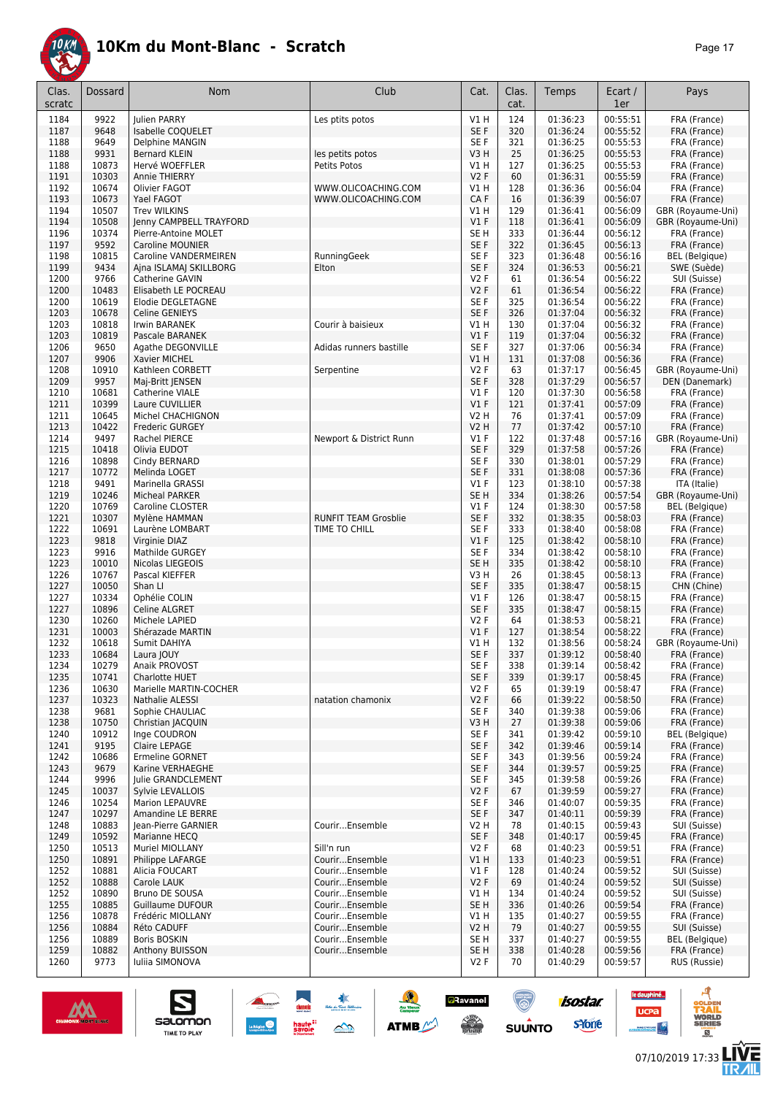

| Clas.<br>scratc | Dossard        | Nom                                         | Club                             | Cat.             | Clas.<br>cat. | Temps                | Ecart /<br>1er       | Pays                                |
|-----------------|----------------|---------------------------------------------|----------------------------------|------------------|---------------|----------------------|----------------------|-------------------------------------|
| 1184            | 9922           | <b>Iulien PARRY</b>                         | Les ptits potos                  | V1 H             | 124           | 01:36:23             | 00:55:51             | FRA (France)                        |
| 1187            | 9648           | Isabelle COQUELET                           |                                  | SE F             | 320           | 01:36:24             | 00:55:52             | FRA (France)                        |
| 1188            | 9649           | Delphine MANGIN                             |                                  | SE F             | 321           | 01:36:25             | 00:55:53             | FRA (France)                        |
| 1188            | 9931           | <b>Bernard KLEIN</b>                        | les petits potos                 | V3H              | 25            | 01:36:25             | 00:55:53             | FRA (France)                        |
| 1188            | 10873          | Hervé WOEFFLER                              | Petits Potos                     | V1 H             | 127           | 01:36:25             | 00:55:53             | FRA (France)                        |
| 1191            | 10303          | Annie THIERRY                               |                                  | V2F              | 60            | 01:36:31             | 00:55:59             | FRA (France)                        |
| 1192            | 10674          | Olivier FAGOT                               | WWW.OLICOACHING.COM              | V1 H             | 128           | 01:36:36             | 00:56:04             | FRA (France)                        |
| 1193            | 10673          | Yael FAGOT                                  | WWW.OLICOACHING.COM              | CA F             | 16            | 01:36:39             | 00:56:07             | FRA (France)                        |
| 1194            | 10507          | <b>Trev WILKINS</b>                         |                                  | V1 H             | 129           | 01:36:41             | 00:56:09             | GBR (Royaume-Uni)                   |
| 1194            | 10508          | Jenny CAMPBELL TRAYFORD                     |                                  | V1F              | 118           | 01:36:41             | 00:56:09             | GBR (Royaume-Uni)                   |
| 1196            | 10374          | Pierre-Antoine MOLET                        |                                  | SE <sub>H</sub>  | 333           | 01:36:44             | 00:56:12             | FRA (France)                        |
| 1197            | 9592           | <b>Caroline MOUNIER</b>                     |                                  | SE F             | 322           | 01:36:45             | 00:56:13             | FRA (France)                        |
| 1198            | 10815          | Caroline VANDERMEIREN                       | RunningGeek                      | SE F             | 323           | 01:36:48             | 00:56:16             | BEL (Belgique)                      |
| 1199            | 9434           | Ajna ISLAMAJ SKILLBORG                      | Elton                            | SE F             | 324           | 01:36:53             | 00:56:21             | SWE (Suède)                         |
| 1200            | 9766           | Catherine GAVIN                             |                                  | V2F              | 61            | 01:36:54             | 00:56:22             | SUI (Suisse)                        |
| 1200            | 10483          | Elisabeth LE POCREAU                        |                                  | V2F              | 61            | 01:36:54             | 00:56:22             | FRA (France)                        |
| 1200            | 10619          | Elodie DEGLETAGNE                           |                                  | SE F             | 325           | 01:36:54             | 00:56:22             | FRA (France)                        |
| 1203            | 10678          | Celine GENIEYS                              |                                  | SE F             | 326           | 01:37:04             | 00:56:32             | FRA (France)                        |
| 1203            | 10818          | Irwin BARANEK                               | Courir à baisieux                | V1 H             | 130           | 01:37:04             | 00:56:32             | FRA (France)                        |
| 1203            | 10819<br>9650  | Pascale BARANEK                             |                                  | V1F<br>SE F      | 119<br>327    | 01:37:04<br>01:37:06 | 00:56:32<br>00:56:34 | FRA (France)<br>FRA (France)        |
| 1206            | 9906           | Agathe DEGONVILLE                           | Adidas runners bastille          | VIH              | 131           | 01:37:08             | 00:56:36             | FRA (France)                        |
| 1207            | 10910          | Xavier MICHEL                               |                                  | V2F              | 63            | 01:37:17             | 00:56:45             |                                     |
| 1208<br>1209    | 9957           | Kathleen CORBETT                            | Serpentine                       | SE F             | 328           | 01:37:29             | 00:56:57             | GBR (Royaume-Uni)<br>DEN (Danemark) |
|                 | 10681          | Maj-Britt JENSEN                            |                                  |                  | 120           | 01:37:30             | 00:56:58             | FRA (France)                        |
| 1210<br>1211    | 10399          | <b>Catherine VIALE</b><br>Laure CUVILLIER   |                                  | $VI$ F<br>$VI$ F | 121           | 01:37:41             |                      | FRA (France)                        |
| 1211            | 10645          |                                             |                                  | V2 H             | 76            | 01:37:41             | 00:57:09<br>00:57:09 |                                     |
| 1213            | 10422          | Michel CHACHIGNON<br><b>Frederic GURGEY</b> |                                  | <b>V2 H</b>      | 77            | 01:37:42             | 00:57:10             | FRA (France)<br>FRA (France)        |
| 1214            | 9497           | Rachel PIERCE                               | Newport & District Runn          | $VI$ F           | 122           | 01:37:48             | 00:57:16             | GBR (Royaume-Uni)                   |
| 1215            | 10418          | Olivia EUDOT                                |                                  | SE F             | 329           | 01:37:58             | 00:57:26             | FRA (France)                        |
| 1216            | 10898          | Cindy BERNARD                               |                                  | SE F             | 330           | 01:38:01             | 00:57:29             | FRA (France)                        |
| 1217            | 10772          | Melinda LOGET                               |                                  | SE F             | 331           | 01:38:08             | 00:57:36             | FRA (France)                        |
| 1218            | 9491           | Marinella GRASSI                            |                                  | $VI$ F           | 123           | 01:38:10             | 00:57:38             | ITA (Italie)                        |
| 1219            | 10246          | <b>Micheal PARKER</b>                       |                                  | SE <sub>H</sub>  | 334           | 01:38:26             | 00:57:54             | GBR (Royaume-Uni)                   |
| 1220            | 10769          | Caroline CLOSTER                            |                                  | $VI$ F           | 124           | 01:38:30             | 00:57:58             | BEL (Belgique)                      |
| 1221            | 10307          | Mylène HAMMAN                               | <b>RUNFIT TEAM Grosblie</b>      | SE F             | 332           | 01:38:35             | 00:58:03             | FRA (France)                        |
| 1222            | 10691          | Laurène LOMBART                             | TIME TO CHILL                    | SE F             | 333           | 01:38:40             | 00:58:08             | FRA (France)                        |
| 1223            | 9818           | Virginie DIAZ                               |                                  | $VI$ F           | 125           | 01:38:42             | 00:58:10             | FRA (France)                        |
| 1223            | 9916           | Mathilde GURGEY                             |                                  | SE F             | 334           | 01:38:42             | 00:58:10             | FRA (France)                        |
| 1223            | 10010          | Nicolas LIEGEOIS                            |                                  | SE <sub>H</sub>  | 335           | 01:38:42             | 00:58:10             | FRA (France)                        |
| 1226            | 10767          | Pascal KIEFFER                              |                                  | V3 H             | 26            | 01:38:45             | 00:58:13             | FRA (France)                        |
| 1227            | 10050          | Shan Ll                                     |                                  | SE F             | 335           | 01:38:47             | 00:58:15             | CHN (Chine)                         |
| 1227            | 10334          | Ophélie COLIN                               |                                  | $VI$ F           | 126           | 01:38:47             | 00:58:15             | FRA (France)                        |
| 1227            | 10896          | Celine ALGRET                               |                                  | SE F             | 335           | 01:38:47             | 00:58:15             | FRA (France)                        |
| 1230            | 10260          | Michele LAPIED                              |                                  | V2F              | 64            | 01:38:53             | 00:58:21             | FRA (France)                        |
| 1231            | 10003          | Shérazade MARTIN                            |                                  | V1F              | 127           | 01:38:54             | 00:58:22             | FRA (France)                        |
| 1232            | 10618          | Sumit DAHIYA                                |                                  | V1 H             | 132           | 01:38:56             | 00:58:24             | GBR (Royaume-Uni)                   |
| 1233            | 10684          | Laura JOUY                                  |                                  | SE F             | 337           | 01:39:12             | 00:58:40             | FRA (France)                        |
| 1234            | 10279          | Anaik PROVOST                               |                                  | SE F             | 338           | 01:39:14             | 00:58:42             | FRA (France)                        |
| 1235            | 10741          | Charlotte HUET                              |                                  | SE F             | 339           | 01:39:17             | 00:58:45             | FRA (France)                        |
| 1236            | 10630          | Marielle MARTIN-COCHER                      |                                  | V2F              | 65            | 01:39:19             | 00:58:47             | FRA (France)                        |
| 1237            | 10323          | Nathalie ALESSI                             | natation chamonix                | V2F              | 66            | 01:39:22             | 00:58:50             | FRA (France)                        |
| 1238            | 9681           | Sophie CHAULIAC                             |                                  | SE F             | 340           | 01:39:38             | 00:59:06             | FRA (France)                        |
| 1238            | 10750          | Christian JACQUIN                           |                                  | V3H              | 27            | 01:39:38             | 00:59:06             | FRA (France)                        |
| 1240            | 10912          | Inge COUDRON                                |                                  | SE F             | 341           | 01:39:42             | 00:59:10             | <b>BEL</b> (Belgique)               |
| 1241            | 9195           | Claire LEPAGE                               |                                  | SE F             | 342           | 01:39:46             | 00:59:14             | FRA (France)                        |
| 1242            | 10686          | <b>Ermeline GORNET</b>                      |                                  | SE F             | 343           | 01:39:56             | 00:59:24             | FRA (France)                        |
| 1243            | 9679           | Karine VERHAEGHE                            |                                  | SE F             | 344           | 01:39:57             | 00:59:25             | FRA (France)                        |
| 1244            | 9996           | Julie GRANDCLEMENT                          |                                  | SE F             | 345           | 01:39:58             | 00:59:26             | FRA (France)                        |
| 1245            | 10037          | Sylvie LEVALLOIS                            |                                  | V2F              | 67            | 01:39:59             | 00:59:27             | FRA (France)                        |
| 1246            | 10254          | Marion LEPAUVRE                             |                                  | SE F             | 346           | 01:40:07             | 00:59:35             | FRA (France)                        |
| 1247            | 10297          | Amandine LE BERRE                           |                                  | SE F             | 347           | 01:40:11             | 00:59:39             | FRA (France)                        |
| 1248            | 10883          | Jean-Pierre GARNIER                         | CourirEnsemble                   | V2 H             | 78            | 01:40:15             | 00:59:43             | SUI (Suisse)                        |
| 1249            | 10592          | Marianne HECQ                               |                                  | SE F             | 348           | 01:40:17             | 00:59:45             | FRA (France)                        |
| 1250            | 10513          | Muriel MIOLLANY                             | Sill'n run                       | V2F              | 68            | 01:40:23             | 00:59:51             | FRA (France)                        |
| 1250            | 10891          | Philippe LAFARGE                            | CourirEnsemble                   | V1H              | 133           | 01:40:23             | 00:59:51             | FRA (France)                        |
| 1252            | 10881          | Alicia FOUCART                              | CourirEnsemble                   | $VI$ F           | 128           | 01:40:24             | 00:59:52             | SUI (Suisse)                        |
| 1252            | 10888          | Carole LAUK                                 | CourirEnsemble                   | V2F              | 69            | 01:40:24             | 00:59:52             | SUI (Suisse)                        |
| 1252            | 10890          | Bruno DE SOUSA                              | CourirEnsemble                   | V1 H             | 134           | 01:40:24             | 00:59:52             | SUI (Suisse)                        |
| 1255            | 10885          | <b>Guillaume DUFOUR</b>                     | CourirEnsemble                   | SE <sub>H</sub>  | 336           | 01:40:26             | 00:59:54             | FRA (France)                        |
| 1256            | 10878          | Frédéric MIOLLANY                           | CourirEnsemble                   | V1 H             | 135           | 01:40:27             | 00:59:55             | FRA (France)                        |
| 1256            | 10884          | Réto CADUFF<br><b>Boris BOSKIN</b>          | CourirEnsemble<br>CourirEnsemble | V2 H             | 79            | 01:40:27             | 00:59:55             | SUI (Suisse)                        |
| 1256<br>1259    | 10889<br>10882 | Anthony BUISSON                             |                                  | SE H             | 337<br>338    | 01:40:27<br>01:40:28 | 00:59:55<br>00:59:56 | BEL (Belgique)<br>FRA (France)      |
|                 |                | Iuliia SIMONOVA                             | CourirEnsemble                   | SE <sub>H</sub>  | 70            |                      |                      |                                     |
| 1260            | 9773           |                                             |                                  | V2 F             |               | 01:40:29             | 00:59:57             | RUS (Russie)                        |

忽

 $\rightarrow$ 



S

Salomon

 $\bigcirc$ 

**a**Ravanel

**isostar** 

ه

le dauphiné...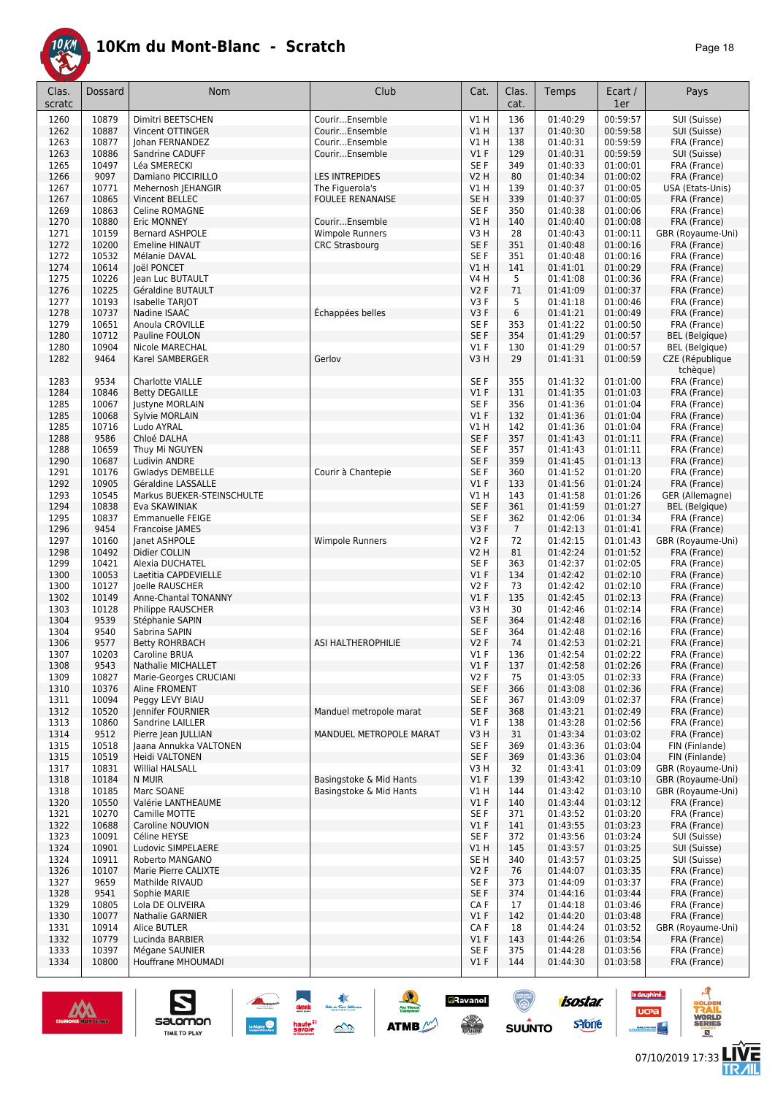

| age | 8 |
|-----|---|
|-----|---|

| Clas.<br>scratc | <b>Dossard</b> | Nom                                      | Club                    | Cat.                    | Clas.<br>cat.  | Temps                | Ecart /<br>1er       | Pays                              |
|-----------------|----------------|------------------------------------------|-------------------------|-------------------------|----------------|----------------------|----------------------|-----------------------------------|
| 1260            | 10879          | Dimitri BEETSCHEN                        | CourirEnsemble          | V1H                     | 136            | 01:40:29             | 00:59:57             | SUI (Suisse)                      |
| 1262            | 10887          | Vincent OTTINGER                         | CourirEnsemble          | V1H                     | 137            | 01:40:30             | 00:59:58             | SUI (Suisse)                      |
| 1263            | 10877          | Johan FERNANDEZ                          | CourirEnsemble          | V1H                     | 138            | 01:40:31             | 00:59:59             | FRA (France)                      |
| 1263            | 10886          | Sandrine CADUFF                          | CourirEnsemble          | $VI$ F                  | 129            | 01:40:31             | 00:59:59             | SUI (Suisse)                      |
| 1265            | 10497<br>9097  | Léa SMERECKI                             | <b>LES INTREPIDES</b>   | SE F<br><b>V2 H</b>     | 349<br>80      | 01:40:33             | 01:00:01<br>01:00:02 | FRA (France)                      |
| 1266<br>1267    | 10771          | Damiano PICCIRILLO<br>Mehernosh JEHANGIR | The Figuerola's         | V1 H                    | 139            | 01:40:34<br>01:40:37 | 01:00:05             | FRA (France)<br>USA (Etats-Unis)  |
| 1267            | 10865          | Vincent BELLEC                           | <b>FOULEE RENANAISE</b> | SE <sub>H</sub>         | 339            | 01:40:37             | 01:00:05             | FRA (France)                      |
| 1269            | 10863          | Celine ROMAGNE                           |                         | SE F                    | 350            | 01:40:38             | 01:00:06             | FRA (France)                      |
| 1270            | 10880          | Eric MONNEY                              | CourirEnsemble          | V1H                     | 140            | 01:40:40             | 01:00:08             | FRA (France)                      |
| 1271            | 10159          | <b>Bernard ASHPOLE</b>                   | <b>Wimpole Runners</b>  | V3H                     | 28             | 01:40:43             | 01:00:11             | GBR (Royaume-Uni)                 |
| 1272            | 10200          | <b>Emeline HINAUT</b>                    | <b>CRC Strasbourg</b>   | SE F                    | 351            | 01:40:48             | 01:00:16             | FRA (France)                      |
| 1272            | 10532          | Mélanie DAVAL                            |                         | SE F                    | 351            | 01:40:48             | 01:00:16             | FRA (France)                      |
| 1274            | 10614          | loël PONCET                              |                         | V1H                     | 141            | 01:41:01             | 01:00:29             | FRA (France)                      |
| 1275            | 10226          | Jean Luc BUTAULT                         |                         | V4 H                    | 5              | 01:41:08             | 01:00:36             | FRA (France)                      |
| 1276            | 10225          | Géraldine BUTAULT                        |                         | V2F                     | 71             | 01:41:09             | 01:00:37             | FRA (France)                      |
| 1277<br>1278    | 10193<br>10737 | Isabelle TARJOT<br>Nadine ISAAC          | Échappées belles        | V <sub>3</sub> F<br>V3F | 5<br>6         | 01:41:18<br>01:41:21 | 01:00:46<br>01:00:49 | FRA (France)<br>FRA (France)      |
| 1279            | 10651          | Anoula CROVILLE                          |                         | SE F                    | 353            | 01:41:22             | 01:00:50             | FRA (France)                      |
| 1280            | 10712          | Pauline FOULON                           |                         | SE F                    | 354            | 01:41:29             | 01:00:57             | <b>BEL</b> (Belgique)             |
| 1280            | 10904          | Nicole MARECHAL                          |                         | $VI$ F                  | 130            | 01:41:29             | 01:00:57             | <b>BEL</b> (Belgique)             |
| 1282            | 9464           | Karel SAMBERGER                          | Gerlov                  | V <sub>3</sub> H        | 29             | 01:41:31             | 01:00:59             | CZE (République                   |
|                 |                |                                          |                         |                         |                |                      |                      | tchèque)                          |
| 1283            | 9534           | Charlotte VIALLE                         |                         | SE <sub>F</sub>         | 355            | 01:41:32             | 01:01:00             | FRA (France)                      |
| 1284            | 10846          | <b>Betty DEGAILLE</b>                    |                         | $VI$ F                  | 131            | 01:41:35             | 01:01:03             | FRA (France)                      |
| 1285            | 10067          | <b>Justyne MORLAIN</b>                   |                         | SE F                    | 356            | 01:41:36             | 01:01:04             | FRA (France)                      |
| 1285            | 10068          | Sylvie MORLAIN                           |                         | $VI$ F                  | 132            | 01:41:36             | 01:01:04             | FRA (France)                      |
| 1285            | 10716          | Ludo AYRAL                               |                         | V1H                     | 142            | 01:41:36             | 01:01:04             | FRA (France)                      |
| 1288<br>1288    | 9586<br>10659  | Chloé DALHA                              |                         | SE F<br>SE F            | 357<br>357     | 01:41:43<br>01:41:43 | 01:01:11<br>01:01:11 | FRA (France)                      |
| 1290            | 10687          | Thuy Mi NGUYEN<br><b>Ludivin ANDRE</b>   |                         | SE F                    | 359            | 01:41:45             | 01:01:13             | FRA (France)<br>FRA (France)      |
| 1291            | 10176          | Gwladys DEMBELLE                         | Courir à Chantepie      | SE F                    | 360            | 01:41:52             | 01:01:20             | FRA (France)                      |
| 1292            | 10905          | Géraldine LASSALLE                       |                         | $VI$ F                  | 133            | 01:41:56             | 01:01:24             | FRA (France)                      |
| 1293            | 10545          | Markus BUEKER-STEINSCHULTE               |                         | V1H                     | 143            | 01:41:58             | 01:01:26             | GER (Allemagne)                   |
| 1294            | 10838          | Eva SKAWINIAK                            |                         | SE F                    | 361            | 01:41:59             | 01:01:27             | <b>BEL</b> (Belgique)             |
| 1295            | 10837          | Emmanuelle FEIGE                         |                         | SE F                    | 362            | 01:42:06             | 01:01:34             | FRA (France)                      |
| 1296            | 9454           | Francoise JAMES                          |                         | V3F                     | $\overline{7}$ | 01:42:13             | 01:01:41             | FRA (France)                      |
| 1297            | 10160          | Janet ASHPOLE                            | Wimpole Runners         | V2F                     | 72             | 01:42:15             | 01:01:43             | GBR (Royaume-Uni)                 |
| 1298            | 10492          | Didier COLLIN                            |                         | <b>V2 H</b>             | 81             | 01:42:24             | 01:01:52             | FRA (France)                      |
| 1299<br>1300    | 10421<br>10053 | Alexia DUCHATEL<br>Laetitia CAPDEVIELLE  |                         | SE F<br>$VI$ F          | 363<br>134     | 01:42:37<br>01:42:42 | 01:02:05<br>01:02:10 | FRA (France)<br>FRA (France)      |
| 1300            | 10127          | Joelle RAUSCHER                          |                         | V2F                     | 73             | 01:42:42             | 01:02:10             | FRA (France)                      |
| 1302            | 10149          | Anne-Chantal TONANNY                     |                         | $VI$ F                  | 135            | 01:42:45             | 01:02:13             | FRA (France)                      |
| 1303            | 10128          | Philippe RAUSCHER                        |                         | V3H                     | 30             | 01:42:46             | 01:02:14             | FRA (France)                      |
| 1304            | 9539           | Stéphanie SAPIN                          |                         | SE F                    | 364            | 01:42:48             | 01:02:16             | FRA (France)                      |
| 1304            | 9540           | Sabrina SAPIN                            |                         | SE F                    | 364            | 01:42:48             | 01:02:16             | FRA (France)                      |
| 1306            | 9577           | <b>Betty ROHRBACH</b>                    | ASI HALTHEROPHILIE      | V2F                     | 74             | 01:42:53             | 01:02:21             | FRA (France)                      |
| 1307            | 10203          | Caroline BRUA                            |                         | $VI$ F                  | 136            | 01:42:54             | 01:02:22             | FRA (France)                      |
| 1308            | 9543           | Nathalie MICHALLET                       |                         | $VI$ F                  | 137            | 01:42:58             | 01:02:26             | FRA (France)                      |
| 1309            | 10827<br>10376 | Marie-Georges CRUCIANI                   |                         | V2F<br>SE F             | 75             | 01:43:05             | 01:02:33<br>01:02:36 | FRA (France)                      |
| 1310<br>1311    | 10094          | Aline FROMENT<br>Peggy LEVY BIAU         |                         | SE F                    | 366<br>367     | 01:43:08<br>01:43:09 | 01:02:37             | FRA (France)<br>FRA (France)      |
| 1312            | 10520          | Jennifer FOURNIER                        | Manduel metropole marat | SE F                    | 368            | 01:43:21             | 01:02:49             | FRA (France)                      |
| 1313            | 10860          | Sandrine LAILLER                         |                         | $VI$ F                  | 138            | 01:43:28             | 01:02:56             | FRA (France)                      |
| 1314            | 9512           | Pierre Jean JULLIAN                      | MANDUEL METROPOLE MARAT | V3H                     | 31             | 01:43:34             | 01:03:02             | FRA (France)                      |
| 1315            | 10518          | Jaana Annukka VALTONEN                   |                         | SE F                    | 369            | 01:43:36             | 01:03:04             | FIN (Finlande)                    |
| 1315            | 10519          | Heidi VALTONEN                           |                         | SE F                    | 369            | 01:43:36             | 01:03:04             | FIN (Finlande)                    |
| 1317            | 10831          | Willial HALSALL                          |                         | V3H                     | 32             | 01:43:41             | 01:03:09             | GBR (Royaume-Uni)                 |
| 1318            | 10184          | N MUIR                                   | Basingstoke & Mid Hants | $VI$ F                  | 139            | 01:43:42             | 01:03:10             | GBR (Royaume-Uni)                 |
| 1318            | 10185          | Marc SOANE                               | Basingstoke & Mid Hants | V1 H                    | 144            | 01:43:42             | 01:03:10             | GBR (Royaume-Uni)                 |
| 1320<br>1321    | 10550<br>10270 | Valérie LANTHEAUME<br>Camille MOTTE      |                         | V1F<br>SE F             | 140<br>371     | 01:43:44<br>01:43:52 | 01:03:12<br>01:03:20 | FRA (France)<br>FRA (France)      |
| 1322            | 10688          | Caroline NOUVION                         |                         | V1F                     | 141            | 01:43:55             | 01:03:23             | FRA (France)                      |
| 1323            | 10091          | Céline HEYSE                             |                         | SE F                    | 372            | 01:43:56             | 01:03:24             | SUI (Suisse)                      |
| 1324            | 10901          | Ludovic SIMPELAERE                       |                         | V1H                     | 145            | 01:43:57             | 01:03:25             | SUI (Suisse)                      |
| 1324            | 10911          | Roberto MANGANO                          |                         | SE <sub>H</sub>         | 340            | 01:43:57             | 01:03:25             | SUI (Suisse)                      |
| 1326            | 10107          | Marie Pierre CALIXTE                     |                         | V <sub>2</sub> F        | 76             | 01:44:07             | 01:03:35             | FRA (France)                      |
| 1327            | 9659           | Mathilde RIVAUD                          |                         | SE F                    | 373            | 01:44:09             | 01:03:37             | FRA (France)                      |
| 1328            | 9541           | Sophie MARIE                             |                         | SE F                    | 374            | 01:44:16             | 01:03:44             | FRA (France)                      |
| 1329            | 10805          | Lola DE OLIVEIRA                         |                         | CA F                    | 17             | 01:44:18             | 01:03:46             | FRA (France)                      |
| 1330            | 10077          | Nathalie GARNIER                         |                         | $VI$ F                  | 142            | 01:44:20             | 01:03:48             | FRA (France)                      |
| 1331<br>1332    | 10914<br>10779 | Alice BUTLER<br>Lucinda BARBIER          |                         | CA F<br>$VI$ F          | 18<br>143      | 01:44:24<br>01:44:26 | 01:03:52<br>01:03:54 | GBR (Royaume-Uni)<br>FRA (France) |
| 1333            | 10397          | Mégane SAUNIER                           |                         | SE F                    | 375            | 01:44:28             | 01:03:56             | FRA (France)                      |
| 1334            | 10800          | Houffrane MHOUMADI                       |                         | $VI$ F                  | 144            | 01:44:30             | 01:03:58             | FRA (France)                      |
|                 |                |                                          |                         |                         |                |                      |                      |                                   |



 $\sum_{\text{SALOMOM}}$ 

 $\frac{\Gamma}{\Gamma}$ 

**ATMB** 

**a**Ravanel

 $\frac{1}{\sqrt{2}}$ 

ි.

**SUUNTO** 

**LIVE<br>TR***A***IL** 

**UCPa** 

**isostar** 

svone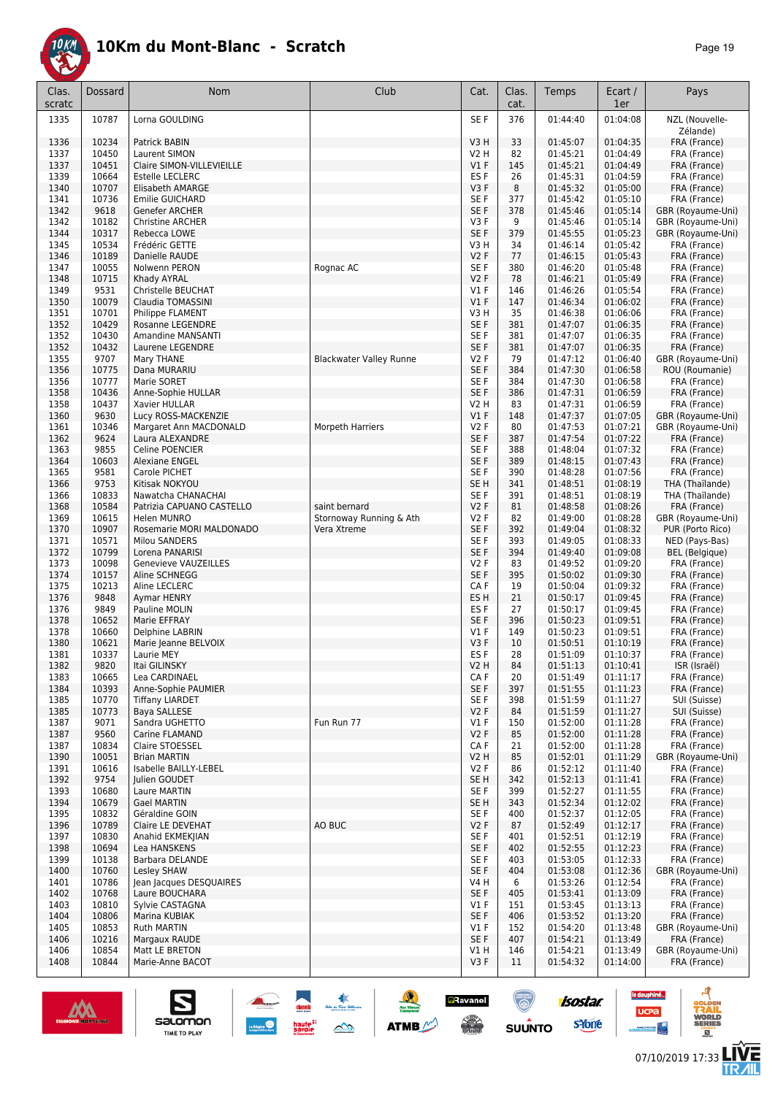

| Clas.<br>scratc | Dossard        | Nom                                             | Club                           | Cat.            | Clas.<br>cat. | Temps                | Ecart /<br>1er       | Pays                              |
|-----------------|----------------|-------------------------------------------------|--------------------------------|-----------------|---------------|----------------------|----------------------|-----------------------------------|
| 1335            | 10787          | Lorna GOULDING                                  |                                | SE F            | 376           | 01:44:40             | 01:04:08             | NZL (Nouvelle-<br>Zélande)        |
| 1336            | 10234          | Patrick BABIN                                   |                                | V3H             | 33            | 01:45:07             | 01:04:35             | FRA (France)                      |
| 1337            | 10450          | Laurent SIMON                                   |                                | V2 H            | 82            | 01:45:21             | 01:04:49             | FRA (France)                      |
| 1337            | 10451          | Claire SIMON-VILLEVIEILLE                       |                                | V1F             | 145           | 01:45:21             | 01:04:49             | FRA (France)                      |
| 1339            | 10664          | <b>Estelle LECLERC</b>                          |                                | ES F            | 26            | 01:45:31             | 01:04:59             | FRA (France)                      |
| 1340            | 10707          | <b>Elisabeth AMARGE</b>                         |                                | V3F             | 8             | 01:45:32             | 01:05:00             | FRA (France)                      |
| 1341            | 10736          | Emilie GUICHARD                                 |                                | SE F            | 377           | 01:45:42             | 01:05:10             | FRA (France)                      |
| 1342            | 9618           | Genefer ARCHER                                  |                                | SE F            | 378           | 01:45:46             | 01:05:14             | GBR (Royaume-Uni)                 |
| 1342            | 10182          | <b>Christine ARCHER</b>                         |                                | V3F             | 9             | 01:45:46             | 01:05:14             | GBR (Royaume-Uni)                 |
| 1344            | 10317          | Rebecca LOWE                                    |                                | SE F            | 379           | 01:45:55             | 01:05:23             | GBR (Royaume-Uni)                 |
| 1345            | 10534          | Frédéric GETTE                                  |                                | V3 H            | 34            | 01:46:14             | 01:05:42             | FRA (France)                      |
| 1346<br>1347    | 10189<br>10055 | Danielle RAUDE                                  | Rognac AC                      | V2F<br>SE F     | 77<br>380     | 01:46:15             | 01:05:43             | FRA (France)                      |
| 1348            | 10715          | Nolwenn PERON<br>Khady AYRAL                    |                                | <b>V2F</b>      | 78            | 01:46:20<br>01:46:21 | 01:05:48<br>01:05:49 | FRA (France)<br>FRA (France)      |
| 1349            | 9531           | Christelle BEUCHAT                              |                                | $VI$ F          | 146           | 01:46:26             | 01:05:54             | FRA (France)                      |
| 1350            | 10079          | Claudia TOMASSINI                               |                                | V1F             | 147           | 01:46:34             | 01:06:02             | FRA (France)                      |
| 1351            | 10701          | Philippe FLAMENT                                |                                | V3 H            | 35            | 01:46:38             | 01:06:06             | FRA (France)                      |
| 1352            | 10429          | Rosanne LEGENDRE                                |                                | SE F            | 381           | 01:47:07             | 01:06:35             | FRA (France)                      |
| 1352            | 10430          | <b>Amandine MANSANTI</b>                        |                                | SE F            | 381           | 01:47:07             | 01:06:35             | FRA (France)                      |
| 1352            | 10432          | Laurene LEGENDRE                                |                                | SE F            | 381           | 01:47:07             | 01:06:35             | FRA (France)                      |
| 1355            | 9707           | Mary THANE                                      | <b>Blackwater Valley Runne</b> | V2F             | 79            | 01:47:12             | 01:06:40             | GBR (Royaume-Uni)                 |
| 1356            | 10775          | Dana MURARIU                                    |                                | SE F            | 384           | 01:47:30             | 01:06:58             | ROU (Roumanie)                    |
| 1356            | 10777          | Marie SORET                                     |                                | SE F            | 384           | 01:47:30             | 01:06:58             | FRA (France)                      |
| 1358            | 10436          | Anne-Sophie HULLAR                              |                                | SE F            | 386           | 01:47:31             | 01:06:59             | FRA (France)                      |
| 1358            | 10437          | Xavier HULLAR                                   |                                | V2 H            | 83            | 01:47:31             | 01:06:59             | FRA (France)                      |
| 1360            | 9630           | Lucy ROSS-MACKENZIE                             |                                | $VI$ F          | 148           | 01:47:37             | 01:07:05             | GBR (Royaume-Uni)                 |
| 1361            | 10346          | Margaret Ann MACDONALD                          | Morpeth Harriers               | V2F             | 80            | 01:47:53             | 01:07:21             | GBR (Royaume-Uni)                 |
| 1362            | 9624           | Laura ALEXANDRE                                 |                                | SE F            | 387           | 01:47:54             | 01:07:22             | FRA (France)                      |
| 1363            | 9855           | Celine POENCIER                                 |                                | SE F            | 388           | 01:48:04             | 01:07:32             | FRA (France)                      |
| 1364            | 10603          | Alexiane ENGEL                                  |                                | SE F            | 389           | 01:48:15             | 01:07:43             | FRA (France)                      |
| 1365            | 9581           | Carole PICHET                                   |                                | SE F            | 390           | 01:48:28             | 01:07:56             | FRA (France)                      |
| 1366            | 9753           | Kitisak NOKYOU                                  |                                | SE <sub>H</sub> | 341           | 01:48:51             | 01:08:19             | THA (Thaïlande)                   |
| 1366<br>1368    | 10833<br>10584 | Nawatcha CHANACHAI<br>Patrizia CAPUANO CASTELLO | saint bernard                  | SE F<br>V2F     | 391<br>81     | 01:48:51<br>01:48:58 | 01:08:19<br>01:08:26 | THA (Thaïlande)                   |
| 1369            | 10615          | Helen MUNRO                                     | Stornoway Running & Ath        | V2F             | 82            | 01:49:00             | 01:08:28             | FRA (France)<br>GBR (Royaume-Uni) |
| 1370            | 10907          | Rosemarie MORI MALDONADO                        | Vera Xtreme                    | SE F            | 392           | 01:49:04             | 01:08:32             | PUR (Porto Rico)                  |
| 1371            | 10571          | Milou SANDERS                                   |                                | SE F            | 393           | 01:49:05             | 01:08:33             | NED (Pays-Bas)                    |
| 1372            | 10799          | Lorena PANARISI                                 |                                | SE F            | 394           | 01:49:40             | 01:09:08             | BEL (Belgique)                    |
| 1373            | 10098          | Genevieve VAUZEILLES                            |                                | V2F             | 83            | 01:49:52             | 01:09:20             | FRA (France)                      |
| 1374            | 10157          | Aline SCHNEGG                                   |                                | SE F            | 395           | 01:50:02             | 01:09:30             | FRA (France)                      |
| 1375            | 10213          | Aline LECLERC                                   |                                | CA F            | 19            | 01:50:04             | 01:09:32             | FRA (France)                      |
| 1376            | 9848           | Aymar HENRY                                     |                                | ES <sub>H</sub> | 21            | 01:50:17             | 01:09:45             | FRA (France)                      |
| 1376            | 9849           | Pauline MOLIN                                   |                                | ES F            | 27            | 01:50:17             | 01:09:45             | FRA (France)                      |
| 1378            | 10652          | Marie EFFRAY                                    |                                | SE F            | 396           | 01:50:23             | 01:09:51             | FRA (France)                      |
| 1378            | 10660          | Delphine LABRIN                                 |                                | $VI$ F          | 149           | 01:50:23             | 01:09:51             | FRA (France)                      |
| 1380            | 10621          | Marie Jeanne BELVOIX                            |                                | V3F             | 10            | 01:50:51             | 01:10:19             | FRA (France)                      |
| 1381            | 10337          | Laurie MEY                                      |                                | ES F            | 28            | 01:51:09             | 01:10:37             | FRA (France)                      |
| 1382            | 9820           | Itai GILINSKY                                   |                                | V2 H            | 84            | 01:51:13             | 01:10:41             | ISR (Israël)                      |
| 1383            | 10665          | Lea CARDINAEL                                   |                                | CAF             | 20            | 01:51:49             | 01:11:17             | FRA (France)                      |
| 1384            | 10393          | Anne-Sophie PAUMIER                             |                                | SE F            | 397           | 01:51:55             | 01:11:23             | FRA (France)                      |
| 1385<br>1385    | 10770<br>10773 | <b>Tiffany LIARDET</b><br>Baya SALLESE          |                                | SE F<br>V2F     | 398<br>84     | 01:51:59<br>01:51:59 | 01:11:27             | SUI (Suisse)                      |
| 1387            | 9071           | Sandra UGHETTO                                  | Fun Run 77                     | $VI$ F          | 150           | 01:52:00             | 01:11:27<br>01:11:28 | SUI (Suisse)<br>FRA (France)      |
| 1387            | 9560           | Carine FLAMAND                                  |                                | V2F             | 85            | 01:52:00             | 01:11:28             | FRA (France)                      |
| 1387            | 10834          | Claire STOESSEL                                 |                                | CA F            | 21            | 01:52:00             | 01:11:28             | FRA (France)                      |
| 1390            | 10051          | <b>Brian MARTIN</b>                             |                                | <b>V2 H</b>     | 85            | 01:52:01             | 01:11:29             | GBR (Royaume-Uni)                 |
| 1391            | 10616          | Isabelle BAILLY-LEBEL                           |                                | V2F             | 86            | 01:52:12             | 01:11:40             | FRA (France)                      |
| 1392            | 9754           | Julien GOUDET                                   |                                | SE H            | 342           | 01:52:13             | 01:11:41             | FRA (France)                      |
| 1393            | 10680          | Laure MARTIN                                    |                                | SE F            | 399           | 01:52:27             | 01:11:55             | FRA (France)                      |
| 1394            | 10679          | <b>Gael MARTIN</b>                              |                                | SE H            | 343           | 01:52:34             | 01:12:02             | FRA (France)                      |
| 1395            | 10832          | Géraldine GOIN                                  |                                | SE F            | 400           | 01:52:37             | 01:12:05             | FRA (France)                      |
| 1396            | 10789          | Claire LE DEVEHAT                               | AO BUC                         | V2 F            | 87            | 01:52:49             | 01:12:17             | FRA (France)                      |
| 1397            | 10830          | Anahid EKMEKJIAN                                |                                | SE F            | 401           | 01:52:51             | 01:12:19             | FRA (France)                      |
| 1398            | 10694          | Lea HANSKENS                                    |                                | SE F            | 402           | 01:52:55             | 01:12:23             | FRA (France)                      |
| 1399            | 10138          | Barbara DELANDE                                 |                                | SE F            | 403           | 01:53:05             | 01:12:33             | FRA (France)                      |
| 1400            | 10760          | Lesley SHAW                                     |                                | SE F            | 404           | 01:53:08             | 01:12:36             | GBR (Royaume-Uni)                 |
| 1401            | 10786          | Jean Jacques DESQUAIRES                         |                                | V4 H            | 6             | 01:53:26             | 01:12:54             | FRA (France)                      |
| 1402            | 10768          | Laure BOUCHARA                                  |                                | SE F            | 405           | 01:53:41             | 01:13:09             | FRA (France)                      |
| 1403            | 10810          | Sylvie CASTAGNA                                 |                                | V1F             | 151           | 01:53:45             | 01:13:13             | FRA (France)                      |
| 1404            | 10806          | Marina KUBIAK                                   |                                | SE F<br>$VI$ F  | 406           | 01:53:52             | 01:13:20<br>01:13:48 | FRA (France)                      |
| 1405<br>1406    | 10853<br>10216 | Ruth MARTIN<br>Margaux RAUDE                    |                                | SE F            | 152<br>407    | 01:54:20<br>01:54:21 | 01:13:49             | GBR (Royaume-Uni)<br>FRA (France) |
| 1406            | 10854          | Matt LE BRETON                                  |                                | V1 H            | 146           | 01:54:21             | 01:13:49             | GBR (Royaume-Uni)                 |
| 1408            | 10844          | Marie-Anne BACOT                                |                                | V3F             | 11            | 01:54:32             | 01:14:00             | FRA (France)                      |
|                 |                |                                                 |                                |                 |               |                      |                      |                                   |

大会

 $\rightarrow$ 

**ATMB** 

**a**Ravanel

**SERVICE** 

 $\bigcirc$ 

**SUUNTO** 



 $\sum_{\text{SALOMOM}}$ 

le dauphiné...

**UCPa** 

G

isostar.

**s**Yone

A

**VORLD**<br>ERIES